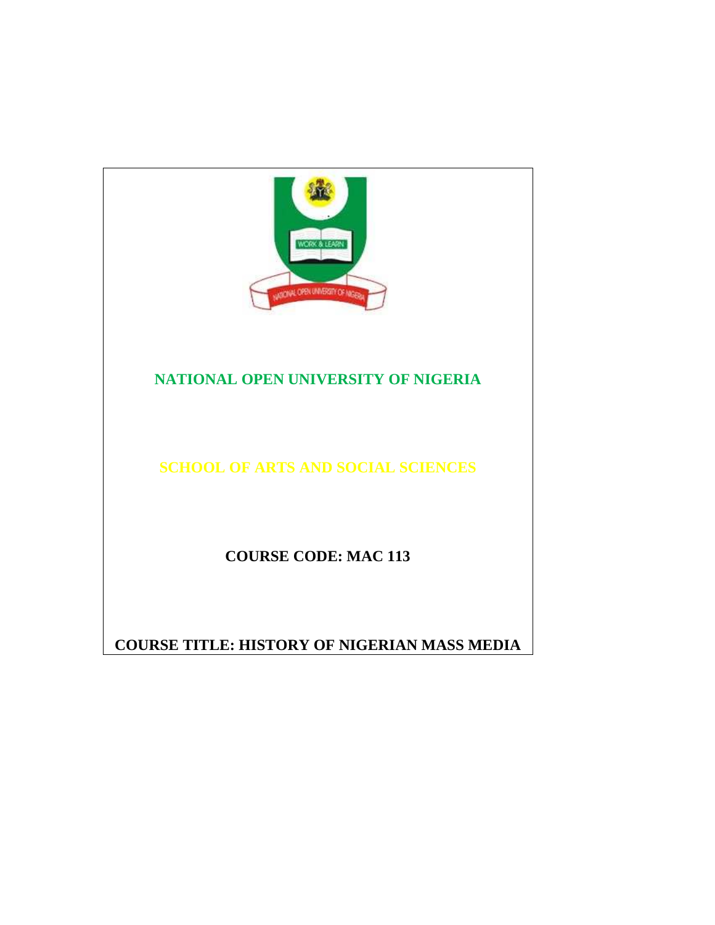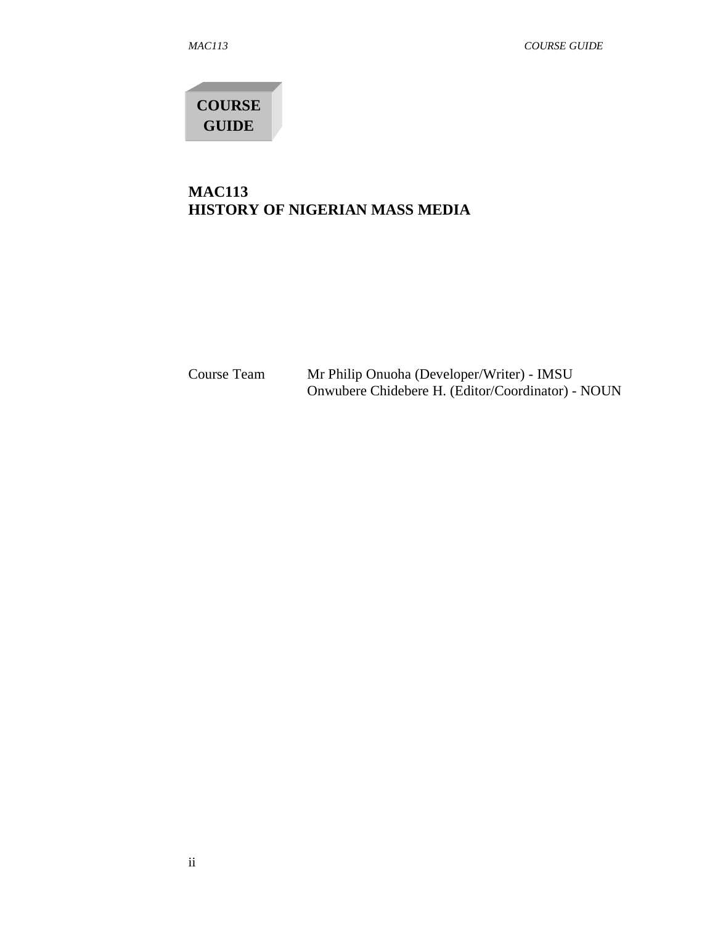**COURSE GUIDE** 

# **MAC113 HISTORY OF NIGERIAN MASS MEDIA**

Course Team Mr Philip Onuoha (Developer/Writer) - IMSU Onwubere Chidebere H. (Editor/Coordinator) - NOUN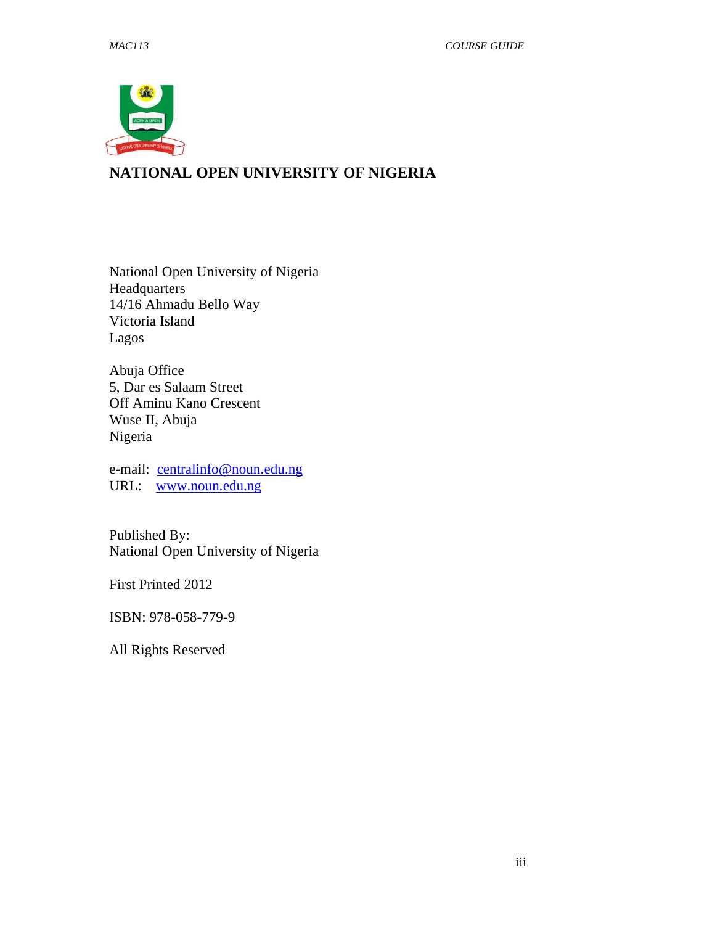

# **NATIONAL OPEN UNIVERSITY OF NIGERIA**

National Open University of Nigeria Headquarters 14/16 Ahmadu Bello Way Victoria Island Lagos

Abuja Office 5, Dar es Salaam Street Off Aminu Kano Crescent Wuse II, Abuja Nigeria

e-mail: centralinfo@noun.edu.ng URL: www.noun.edu.ng

Published By: National Open University of Nigeria

First Printed 2012

ISBN: 978-058-779-9

All Rights Reserved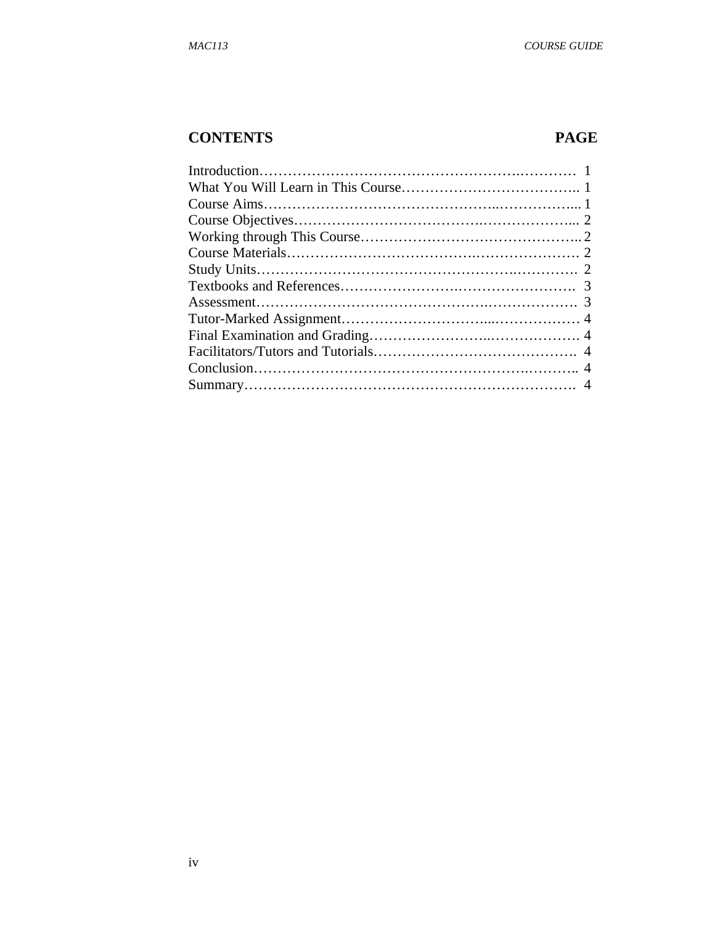# **CONTENTS PAGE**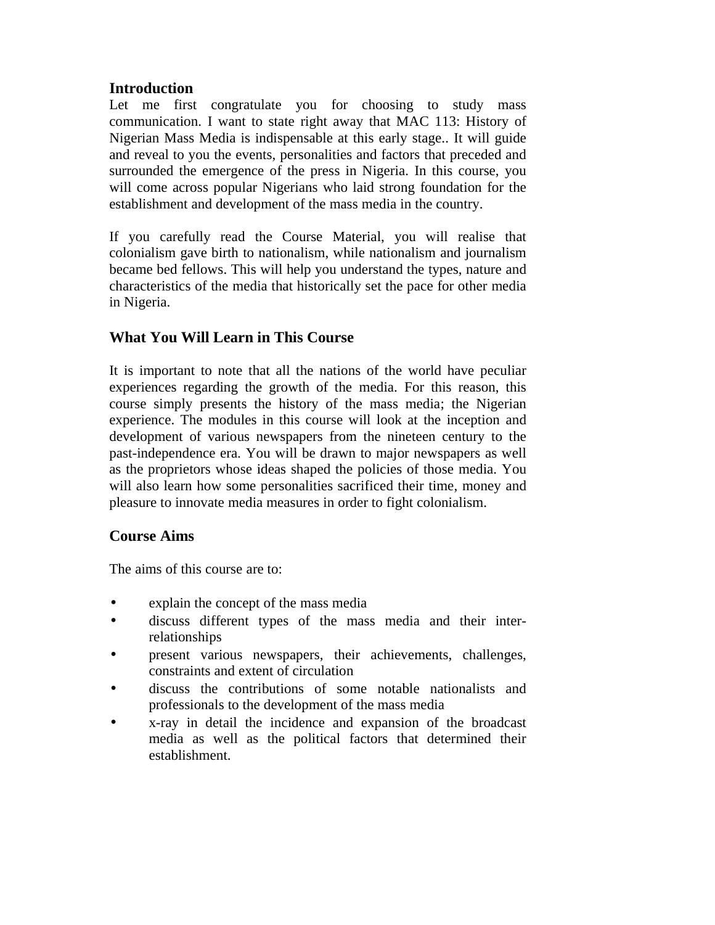# **Introduction**

Let me first congratulate you for choosing to study mass communication. I want to state right away that MAC 113: History of Nigerian Mass Media is indispensable at this early stage.. It will guide and reveal to you the events, personalities and factors that preceded and surrounded the emergence of the press in Nigeria. In this course, you will come across popular Nigerians who laid strong foundation for the establishment and development of the mass media in the country.

If you carefully read the Course Material, you will realise that colonialism gave birth to nationalism, while nationalism and journalism became bed fellows. This will help you understand the types, nature and characteristics of the media that historically set the pace for other media in Nigeria.

## **What You Will Learn in This Course**

It is important to note that all the nations of the world have peculiar experiences regarding the growth of the media. For this reason, this course simply presents the history of the mass media; the Nigerian experience. The modules in this course will look at the inception and development of various newspapers from the nineteen century to the past-independence era. You will be drawn to major newspapers as well as the proprietors whose ideas shaped the policies of those media. You will also learn how some personalities sacrificed their time, money and pleasure to innovate media measures in order to fight colonialism.

#### **Course Aims**

The aims of this course are to:

- explain the concept of the mass media
- discuss different types of the mass media and their interrelationships
- present various newspapers, their achievements, challenges, constraints and extent of circulation
- discuss the contributions of some notable nationalists and professionals to the development of the mass media
- x-ray in detail the incidence and expansion of the broadcast media as well as the political factors that determined their establishment.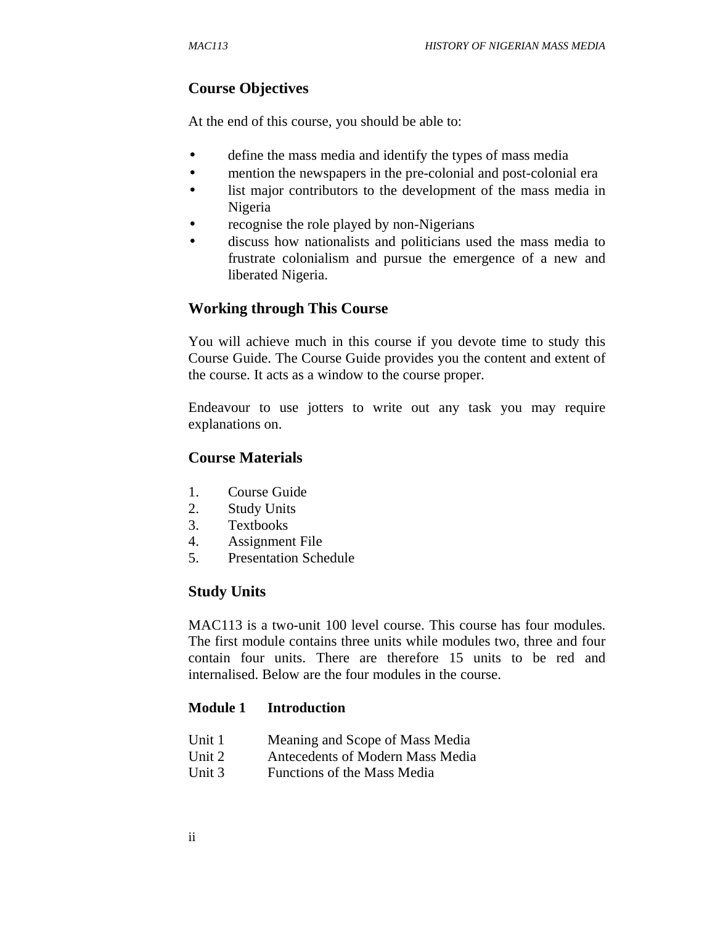## **Course Objectives**

At the end of this course, you should be able to:

- define the mass media and identify the types of mass media
- mention the newspapers in the pre-colonial and post-colonial era
- list major contributors to the development of the mass media in Nigeria
- recognise the role played by non-Nigerians
- discuss how nationalists and politicians used the mass media to frustrate colonialism and pursue the emergence of a new and liberated Nigeria.

## **Working through This Course**

You will achieve much in this course if you devote time to study this Course Guide. The Course Guide provides you the content and extent of the course. It acts as a window to the course proper.

Endeavour to use jotters to write out any task you may require explanations on.

#### **Course Materials**

- 1. Course Guide
- 2. Study Units
- 3. Textbooks
- 4. Assignment File
- 5. Presentation Schedule

#### **Study Units**

MAC113 is a two-unit 100 level course. This course has four modules. The first module contains three units while modules two, three and four contain four units. There are therefore 15 units to be red and internalised. Below are the four modules in the course.

#### **Module 1 Introduction**

- Unit 1 Meaning and Scope of Mass Media
- Unit 2 Antecedents of Modern Mass Media
- Unit 3 Functions of the Mass Media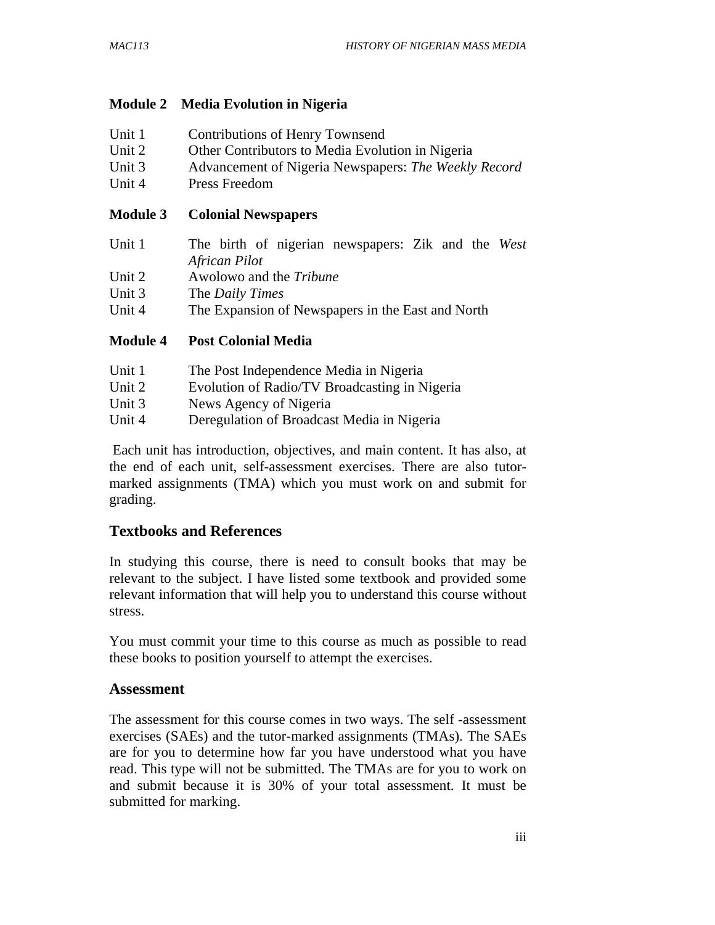## **Module 2 Media Evolution in Nigeria**

| <b>AFIIA</b> |                                                      |
|--------------|------------------------------------------------------|
| Unit 4       | Press Freedom                                        |
| Unit 3       | Advancement of Nigeria Newspapers: The Weekly Record |
| Unit 2       | Other Contributors to Media Evolution in Nigeria     |
| Unit 1       | <b>Contributions of Henry Townsend</b>               |

#### **Module 3 Colonial Newspapers**

| Unit 1 | The birth of nigerian newspapers: Zik and the West |
|--------|----------------------------------------------------|
|        | African Pilot                                      |
| Unit 2 | Awolowo and the <i>Tribune</i>                     |
| Unit 3 | The <i>Daily Times</i>                             |
| Unit 4 | The Expansion of Newspapers in the East and North  |

#### **Module 4 Post Colonial Media**

| Unit 1 | The Post Independence Media in Nigeria        |
|--------|-----------------------------------------------|
| Unit 2 | Evolution of Radio/TV Broadcasting in Nigeria |
| Unit 3 | News Agency of Nigeria                        |
| Unit 4 | Deregulation of Broadcast Media in Nigeria    |

 Each unit has introduction, objectives, and main content. It has also, at the end of each unit, self-assessment exercises. There are also tutormarked assignments (TMA) which you must work on and submit for grading.

# **Textbooks and References**

In studying this course, there is need to consult books that may be relevant to the subject. I have listed some textbook and provided some relevant information that will help you to understand this course without stress.

You must commit your time to this course as much as possible to read these books to position yourself to attempt the exercises.

#### **Assessment**

The assessment for this course comes in two ways. The self -assessment exercises (SAEs) and the tutor-marked assignments (TMAs). The SAEs are for you to determine how far you have understood what you have read. This type will not be submitted. The TMAs are for you to work on and submit because it is 30% of your total assessment. It must be submitted for marking.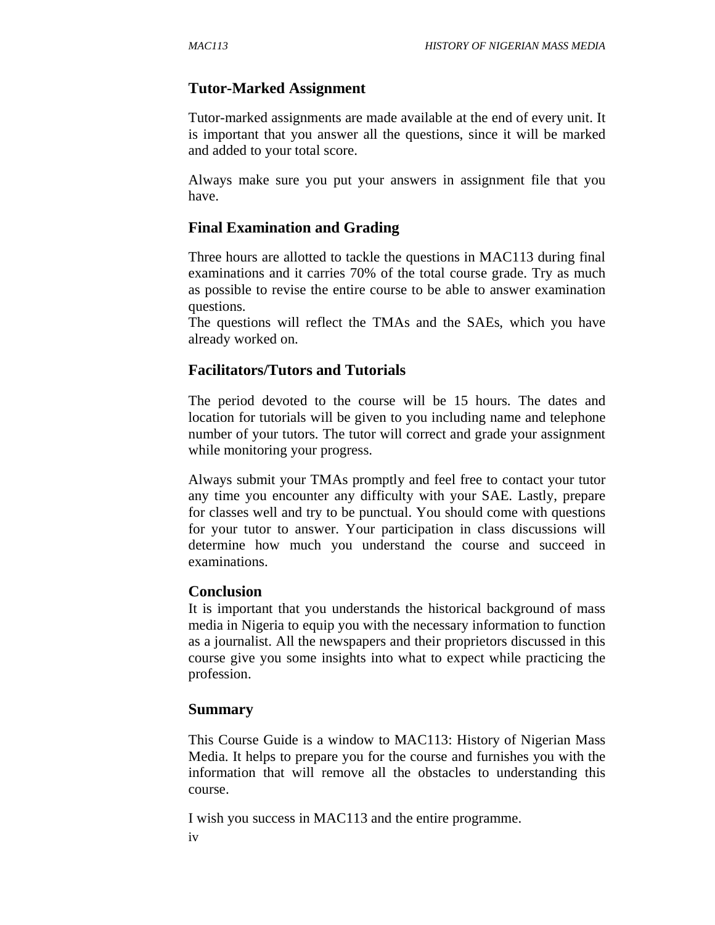# **Tutor-Marked Assignment**

Tutor-marked assignments are made available at the end of every unit. It is important that you answer all the questions, since it will be marked and added to your total score.

Always make sure you put your answers in assignment file that you have.

## **Final Examination and Grading**

Three hours are allotted to tackle the questions in MAC113 during final examinations and it carries 70% of the total course grade. Try as much as possible to revise the entire course to be able to answer examination questions.

The questions will reflect the TMAs and the SAEs, which you have already worked on.

## **Facilitators/Tutors and Tutorials**

The period devoted to the course will be 15 hours. The dates and location for tutorials will be given to you including name and telephone number of your tutors. The tutor will correct and grade your assignment while monitoring your progress.

Always submit your TMAs promptly and feel free to contact your tutor any time you encounter any difficulty with your SAE. Lastly, prepare for classes well and try to be punctual. You should come with questions for your tutor to answer. Your participation in class discussions will determine how much you understand the course and succeed in examinations.

#### **Conclusion**

It is important that you understands the historical background of mass media in Nigeria to equip you with the necessary information to function as a journalist. All the newspapers and their proprietors discussed in this course give you some insights into what to expect while practicing the profession.

#### **Summary**

This Course Guide is a window to MAC113: History of Nigerian Mass Media. It helps to prepare you for the course and furnishes you with the information that will remove all the obstacles to understanding this course.

iv I wish you success in MAC113 and the entire programme.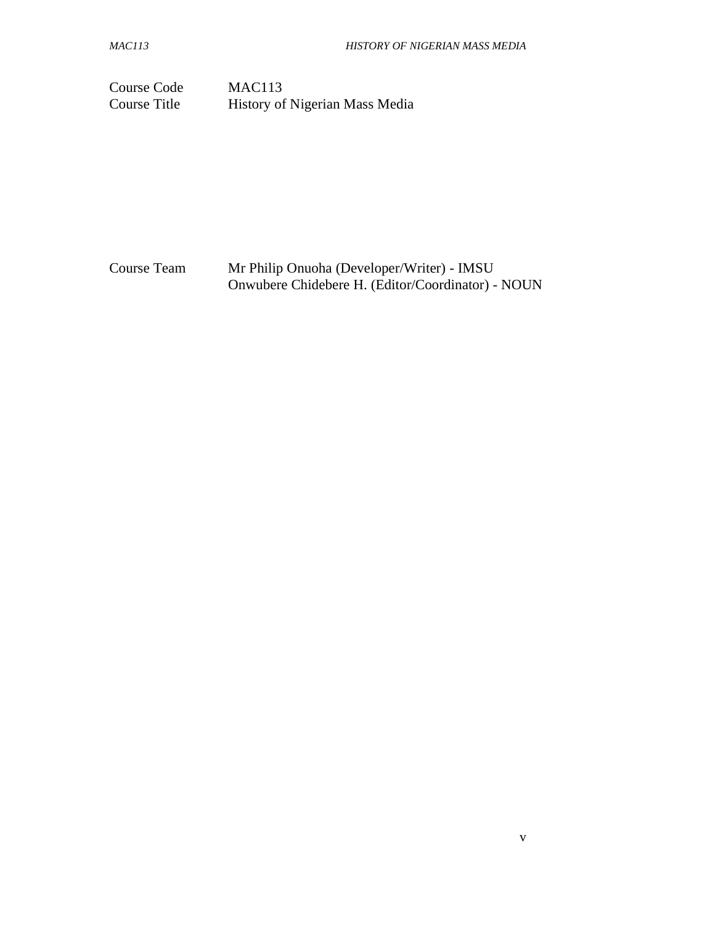Course Code MAC113<br>Course Title History of

History of Nigerian Mass Media

Course Team Mr Philip Onuoha (Developer/Writer) - IMSU Onwubere Chidebere H. (Editor/Coordinator) - NOUN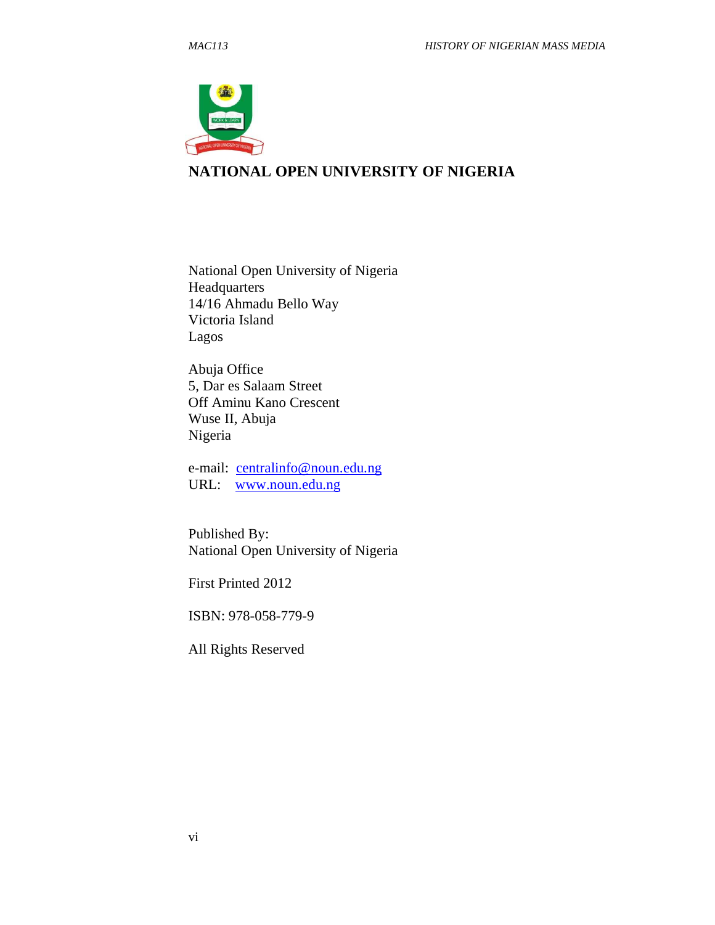

## **NATIONAL OPEN UNIVERSITY OF NIGERIA**

National Open University of Nigeria Headquarters 14/16 Ahmadu Bello Way Victoria Island Lagos

Abuja Office 5, Dar es Salaam Street Off Aminu Kano Crescent Wuse II, Abuja Nigeria

e-mail: centralinfo@noun.edu.ng URL: www.noun.edu.ng

Published By: National Open University of Nigeria

First Printed 2012

ISBN: 978-058-779-9

All Rights Reserved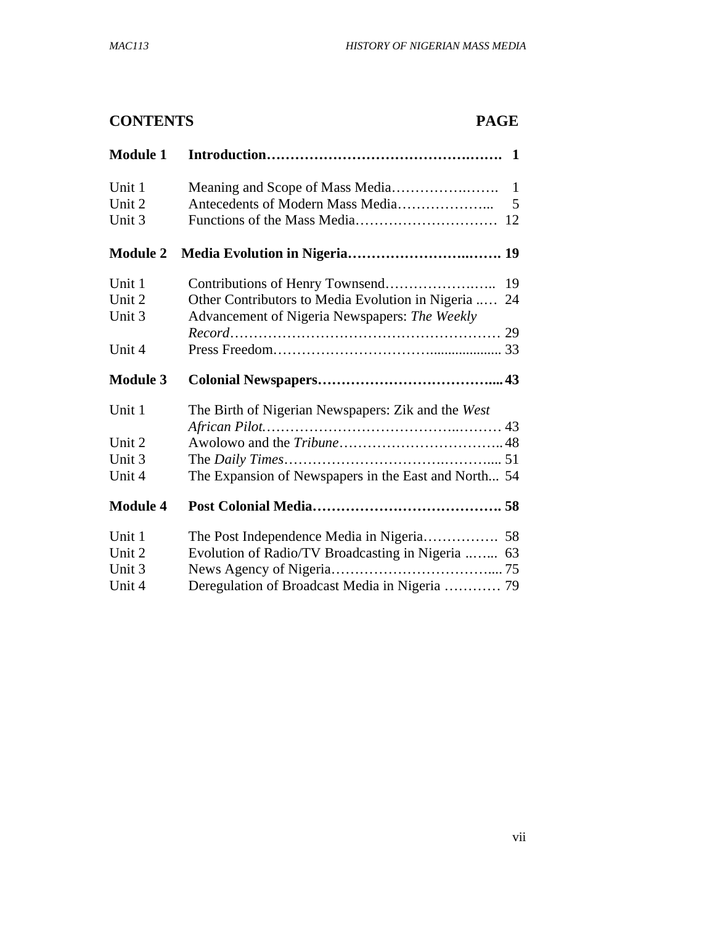# **CONTENTS PAGE**

| <b>Module 1</b> |                                                        |
|-----------------|--------------------------------------------------------|
| Unit 1          | $\mathbf{1}$                                           |
| Unit 2          | 5                                                      |
| Unit 3          | 12                                                     |
| <b>Module 2</b> |                                                        |
| Unit 1          | 19                                                     |
| Unit 2          | Other Contributors to Media Evolution in Nigeria<br>24 |
| Unit 3          | Advancement of Nigeria Newspapers: The Weekly          |
|                 |                                                        |
| Unit 4          |                                                        |
| <b>Module 3</b> |                                                        |
|                 |                                                        |
| Unit 1          | The Birth of Nigerian Newspapers: Zik and the West     |
|                 |                                                        |
| Unit 2          |                                                        |
| Unit 3          |                                                        |
| Unit 4          | The Expansion of Newspapers in the East and North 54   |
| <b>Module 4</b> |                                                        |
| Unit 1          |                                                        |
| Unit 2          | Evolution of Radio/TV Broadcasting in Nigeria  63      |
| Unit 3          |                                                        |
| Unit 4          | Deregulation of Broadcast Media in Nigeria  79         |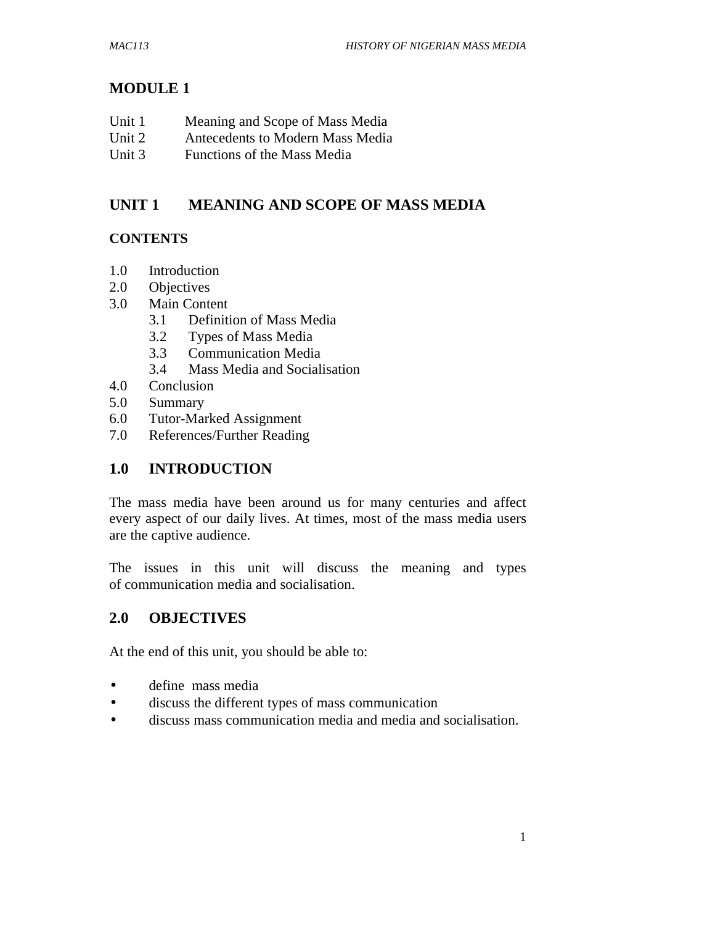# **MODULE 1**

| Unit 1 | Meaning and Scope of Mass Media  |
|--------|----------------------------------|
| Unit 2 | Antecedents to Modern Mass Media |

Unit 3 Functions of the Mass Media

# **UNIT 1 MEANING AND SCOPE OF MASS MEDIA**

# **CONTENTS**

- 1.0 Introduction
- 2.0 Objectives
- 3.0 Main Content
	- 3.1 Definition of Mass Media
	- 3.2 Types of Mass Media
	- 3.3 Communication Media
	- 3.4 Mass Media and Socialisation
- 4.0 Conclusion
- 5.0 Summary
- 6.0 Tutor-Marked Assignment
- 7.0 References/Further Reading

# **1.0 INTRODUCTION**

The mass media have been around us for many centuries and affect every aspect of our daily lives. At times, most of the mass media users are the captive audience.

The issues in this unit will discuss the meaning and types of communication media and socialisation.

# **2.0 OBJECTIVES**

At the end of this unit, you should be able to:

- define mass media
- discuss the different types of mass communication
- discuss mass communication media and media and socialisation.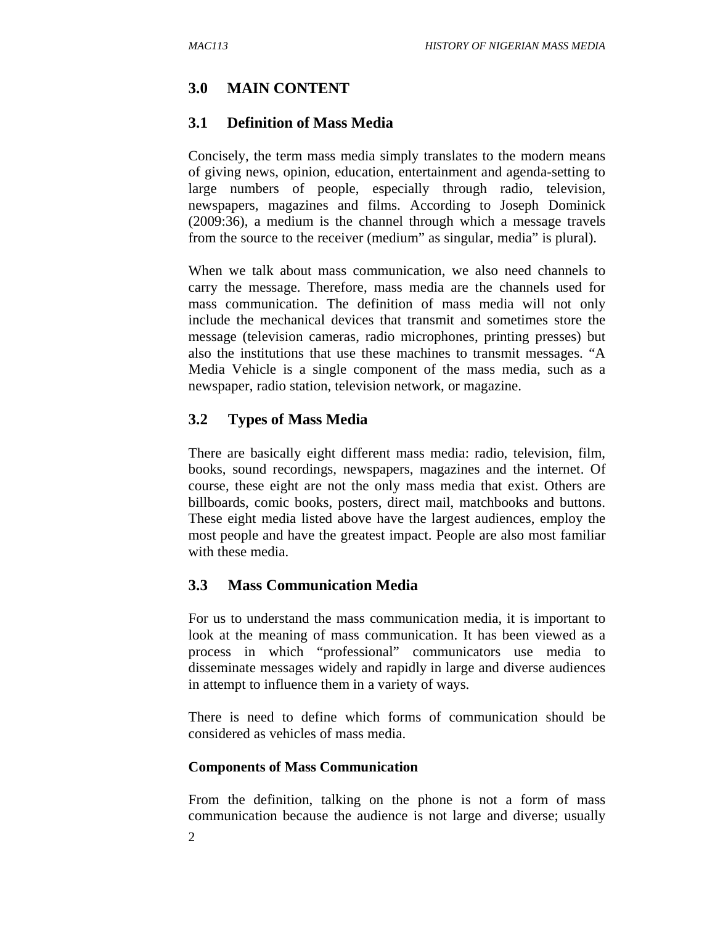## **3.0 MAIN CONTENT**

#### **3.1 Definition of Mass Media**

Concisely, the term mass media simply translates to the modern means of giving news, opinion, education, entertainment and agenda-setting to large numbers of people, especially through radio, television, newspapers, magazines and films. According to Joseph Dominick (2009:36), a medium is the channel through which a message travels from the source to the receiver (medium" as singular, media" is plural).

When we talk about mass communication, we also need channels to carry the message. Therefore, mass media are the channels used for mass communication. The definition of mass media will not only include the mechanical devices that transmit and sometimes store the message (television cameras, radio microphones, printing presses) but also the institutions that use these machines to transmit messages. "A Media Vehicle is a single component of the mass media, such as a newspaper, radio station, television network, or magazine.

#### **3.2 Types of Mass Media**

There are basically eight different mass media: radio, television, film, books, sound recordings, newspapers, magazines and the internet. Of course, these eight are not the only mass media that exist. Others are billboards, comic books, posters, direct mail, matchbooks and buttons. These eight media listed above have the largest audiences, employ the most people and have the greatest impact. People are also most familiar with these media.

#### **3.3 Mass Communication Media**

For us to understand the mass communication media, it is important to look at the meaning of mass communication. It has been viewed as a process in which "professional" communicators use media to disseminate messages widely and rapidly in large and diverse audiences in attempt to influence them in a variety of ways.

There is need to define which forms of communication should be considered as vehicles of mass media.

#### **Components of Mass Communication**

From the definition, talking on the phone is not a form of mass communication because the audience is not large and diverse; usually

2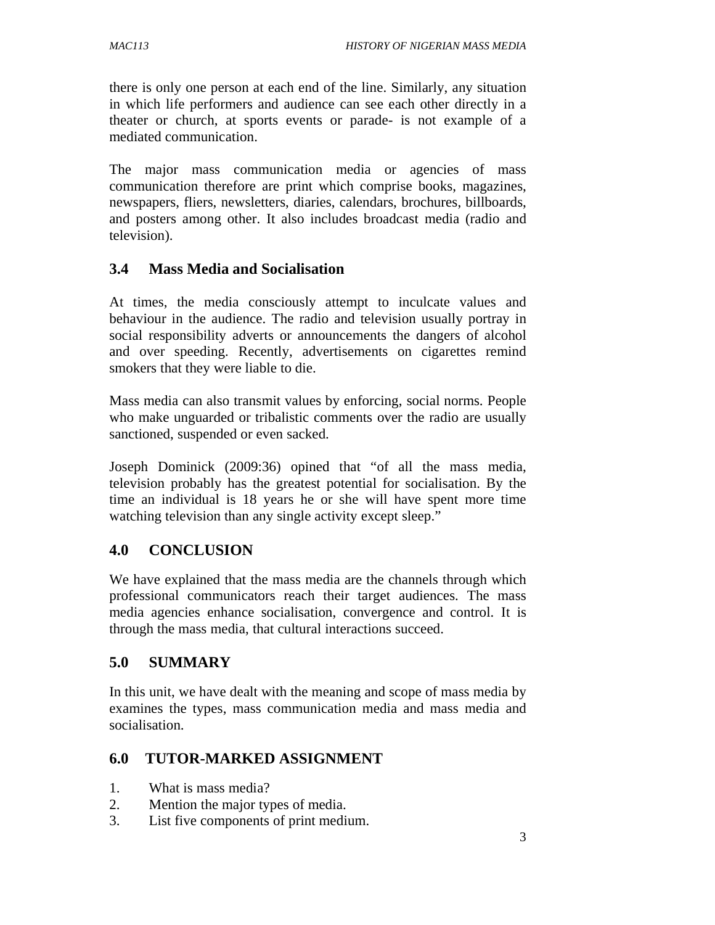there is only one person at each end of the line. Similarly, any situation in which life performers and audience can see each other directly in a theater or church, at sports events or parade- is not example of a mediated communication.

The major mass communication media or agencies of mass communication therefore are print which comprise books, magazines, newspapers, fliers, newsletters, diaries, calendars, brochures, billboards, and posters among other. It also includes broadcast media (radio and television).

#### **3.4 Mass Media and Socialisation**

At times, the media consciously attempt to inculcate values and behaviour in the audience. The radio and television usually portray in social responsibility adverts or announcements the dangers of alcohol and over speeding. Recently, advertisements on cigarettes remind smokers that they were liable to die.

Mass media can also transmit values by enforcing, social norms. People who make unguarded or tribalistic comments over the radio are usually sanctioned, suspended or even sacked.

Joseph Dominick (2009:36) opined that "of all the mass media, television probably has the greatest potential for socialisation. By the time an individual is 18 years he or she will have spent more time watching television than any single activity except sleep."

#### **4.0 CONCLUSION**

We have explained that the mass media are the channels through which professional communicators reach their target audiences. The mass media agencies enhance socialisation, convergence and control. It is through the mass media, that cultural interactions succeed.

#### **5.0 SUMMARY**

In this unit, we have dealt with the meaning and scope of mass media by examines the types, mass communication media and mass media and socialisation.

#### **6.0 TUTOR-MARKED ASSIGNMENT**

- 1. What is mass media?
- 2. Mention the major types of media.
- 3. List five components of print medium.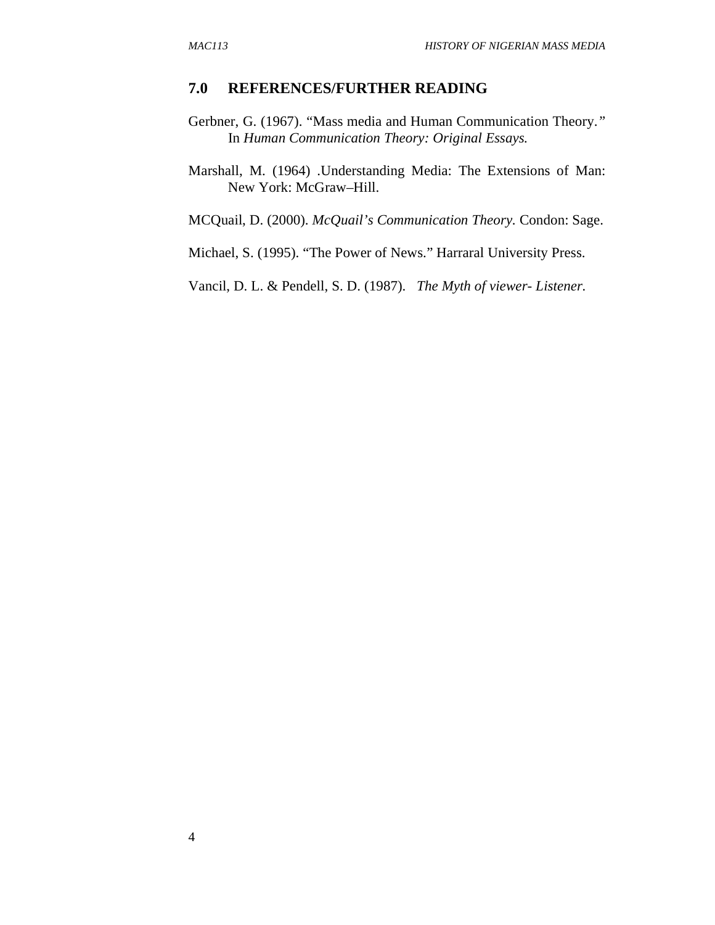#### **7.0 REFERENCES/FURTHER READING**

- Gerbner, G. (1967). "Mass media and Human Communication Theory.*"*  In *Human Communication Theory: Original Essays.*
- Marshall, M. (1964) .Understanding Media: The Extensions of Man: New York: McGraw–Hill.

MCQuail, D. (2000). *McQuail's Communication Theory.* Condon: Sage.

Michael, S. (1995). "The Power of News." Harraral University Press.

Vancil, D. L. & Pendell, S. D. (1987). *The Myth of viewer- Listener.*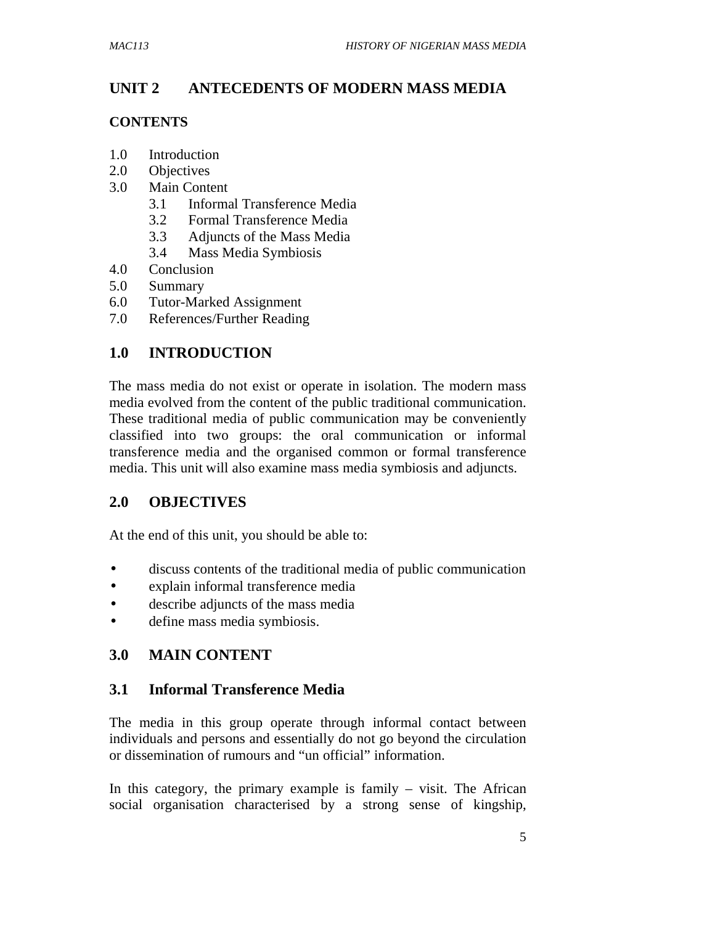# **UNIT 2 ANTECEDENTS OF MODERN MASS MEDIA**

#### **CONTENTS**

- 1.0 Introduction
- 2.0 Objectives
- 3.0 Main Content
	- 3.1 Informal Transference Media
	- 3.2 Formal Transference Media
	- 3.3 Adjuncts of the Mass Media
	- 3.4 Mass Media Symbiosis
- 4.0 Conclusion
- 5.0 Summary
- 6.0 Tutor-Marked Assignment
- 7.0 References/Further Reading

## **1.0 INTRODUCTION**

The mass media do not exist or operate in isolation. The modern mass media evolved from the content of the public traditional communication. These traditional media of public communication may be conveniently classified into two groups: the oral communication or informal transference media and the organised common or formal transference media. This unit will also examine mass media symbiosis and adjuncts.

#### **2.0 OBJECTIVES**

At the end of this unit, you should be able to:

- discuss contents of the traditional media of public communication
- explain informal transference media
- describe adjuncts of the mass media
- define mass media symbiosis.

#### **3.0 MAIN CONTENT**

### **3.1 Informal Transference Media**

The media in this group operate through informal contact between individuals and persons and essentially do not go beyond the circulation or dissemination of rumours and "un official" information.

In this category, the primary example is family  $-$  visit. The African social organisation characterised by a strong sense of kingship,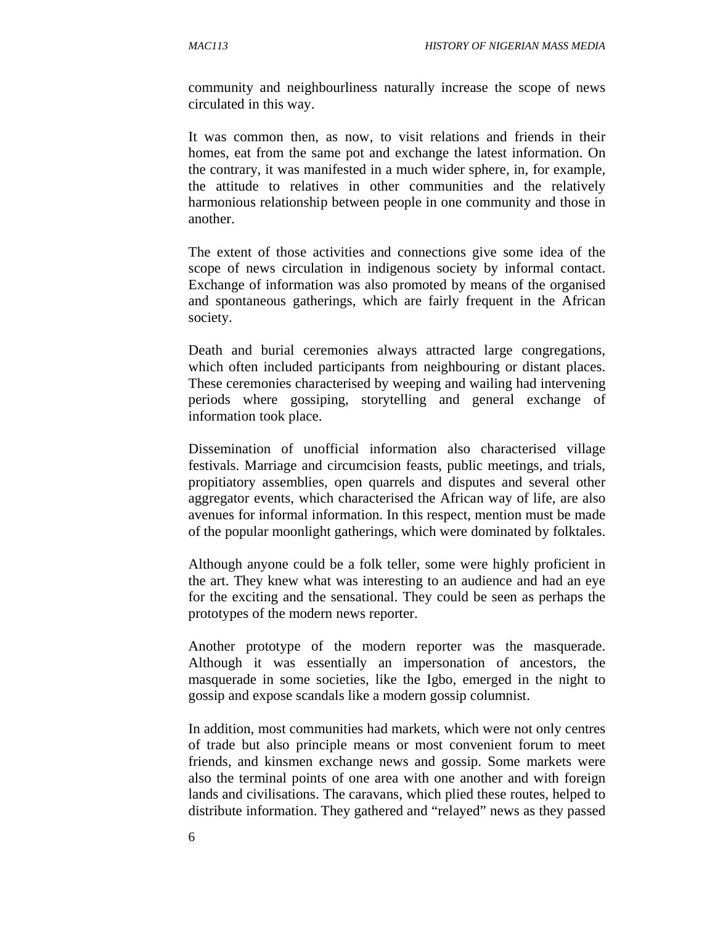community and neighbourliness naturally increase the scope of news circulated in this way.

It was common then, as now, to visit relations and friends in their homes, eat from the same pot and exchange the latest information. On the contrary, it was manifested in a much wider sphere, in, for example, the attitude to relatives in other communities and the relatively harmonious relationship between people in one community and those in another.

The extent of those activities and connections give some idea of the scope of news circulation in indigenous society by informal contact. Exchange of information was also promoted by means of the organised and spontaneous gatherings, which are fairly frequent in the African society.

Death and burial ceremonies always attracted large congregations, which often included participants from neighbouring or distant places. These ceremonies characterised by weeping and wailing had intervening periods where gossiping, storytelling and general exchange of information took place.

Dissemination of unofficial information also characterised village festivals. Marriage and circumcision feasts, public meetings, and trials, propitiatory assemblies, open quarrels and disputes and several other aggregator events, which characterised the African way of life, are also avenues for informal information. In this respect, mention must be made of the popular moonlight gatherings, which were dominated by folktales.

Although anyone could be a folk teller, some were highly proficient in the art. They knew what was interesting to an audience and had an eye for the exciting and the sensational. They could be seen as perhaps the prototypes of the modern news reporter.

Another prototype of the modern reporter was the masquerade. Although it was essentially an impersonation of ancestors, the masquerade in some societies, like the Igbo, emerged in the night to gossip and expose scandals like a modern gossip columnist.

In addition, most communities had markets, which were not only centres of trade but also principle means or most convenient forum to meet friends, and kinsmen exchange news and gossip. Some markets were also the terminal points of one area with one another and with foreign lands and civilisations. The caravans, which plied these routes, helped to distribute information. They gathered and "relayed" news as they passed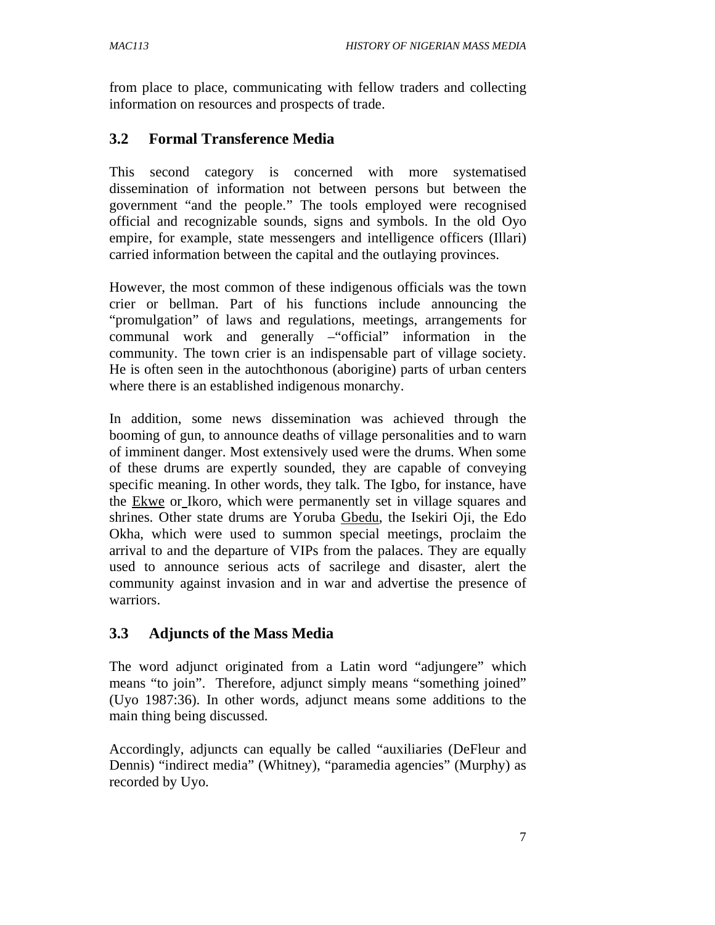from place to place, communicating with fellow traders and collecting information on resources and prospects of trade.

# **3.2 Formal Transference Media**

This second category is concerned with more systematised dissemination of information not between persons but between the government "and the people." The tools employed were recognised official and recognizable sounds, signs and symbols. In the old Oyo empire, for example, state messengers and intelligence officers (Illari) carried information between the capital and the outlaying provinces.

However, the most common of these indigenous officials was the town crier or bellman. Part of his functions include announcing the "promulgation" of laws and regulations, meetings, arrangements for communal work and generally –"official" information in the community. The town crier is an indispensable part of village society. He is often seen in the autochthonous (aborigine) parts of urban centers where there is an established indigenous monarchy.

In addition, some news dissemination was achieved through the booming of gun, to announce deaths of village personalities and to warn of imminent danger. Most extensively used were the drums. When some of these drums are expertly sounded, they are capable of conveying specific meaning. In other words, they talk. The Igbo, for instance, have the Ekwe or Ikoro, which were permanently set in village squares and shrines. Other state drums are Yoruba Gbedu, the Isekiri Oji, the Edo Okha, which were used to summon special meetings, proclaim the arrival to and the departure of VIPs from the palaces. They are equally used to announce serious acts of sacrilege and disaster, alert the community against invasion and in war and advertise the presence of warriors.

# **3.3 Adjuncts of the Mass Media**

The word adjunct originated from a Latin word "adjungere" which means "to join". Therefore, adjunct simply means "something joined" (Uyo 1987:36). In other words, adjunct means some additions to the main thing being discussed.

Accordingly, adjuncts can equally be called "auxiliaries (DeFleur and Dennis) "indirect media" (Whitney), "paramedia agencies" (Murphy) as recorded by Uyo.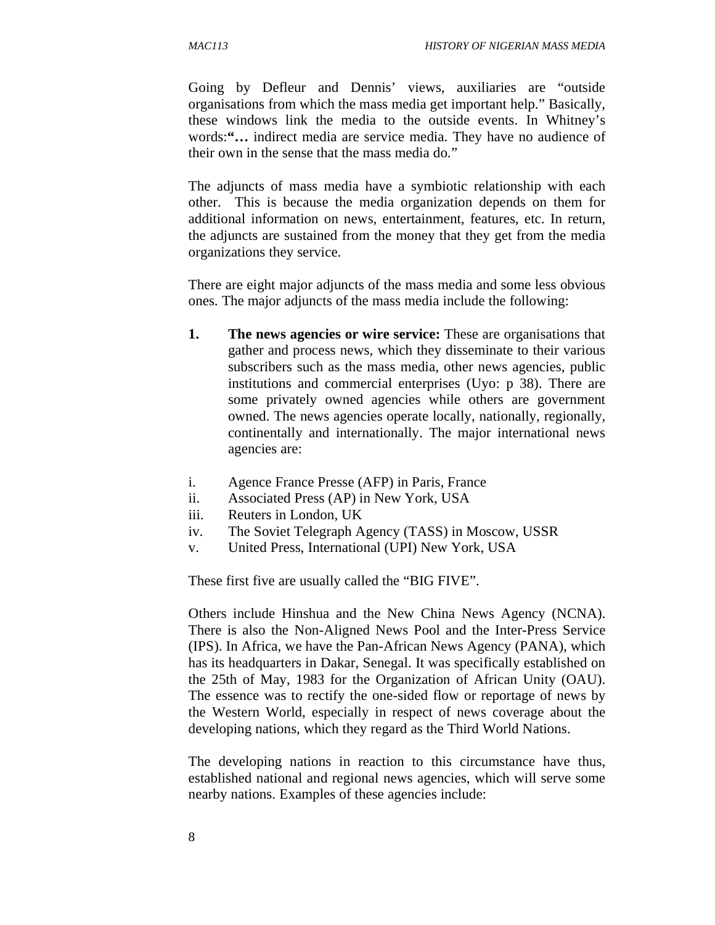Going by Defleur and Dennis' views, auxiliaries are "outside organisations from which the mass media get important help." Basically, these windows link the media to the outside events. In Whitney's words:**"…** indirect media are service media. They have no audience of their own in the sense that the mass media do."

The adjuncts of mass media have a symbiotic relationship with each other. This is because the media organization depends on them for additional information on news, entertainment, features, etc. In return, the adjuncts are sustained from the money that they get from the media organizations they service.

There are eight major adjuncts of the mass media and some less obvious ones. The major adjuncts of the mass media include the following:

- **1. The news agencies or wire service:** These are organisations that gather and process news, which they disseminate to their various subscribers such as the mass media, other news agencies, public institutions and commercial enterprises (Uyo: p 38). There are some privately owned agencies while others are government owned. The news agencies operate locally, nationally, regionally, continentally and internationally. The major international news agencies are:
- i. Agence France Presse (AFP) in Paris, France
- ii. Associated Press (AP) in New York, USA
- iii. Reuters in London, UK
- iv. The Soviet Telegraph Agency (TASS) in Moscow, USSR
- v. United Press, International (UPI) New York, USA

These first five are usually called the "BIG FIVE".

Others include Hinshua and the New China News Agency (NCNA). There is also the Non-Aligned News Pool and the Inter-Press Service (IPS). In Africa, we have the Pan-African News Agency (PANA), which has its headquarters in Dakar, Senegal. It was specifically established on the 25th of May, 1983 for the Organization of African Unity (OAU). The essence was to rectify the one-sided flow or reportage of news by the Western World, especially in respect of news coverage about the developing nations, which they regard as the Third World Nations.

The developing nations in reaction to this circumstance have thus, established national and regional news agencies, which will serve some nearby nations. Examples of these agencies include: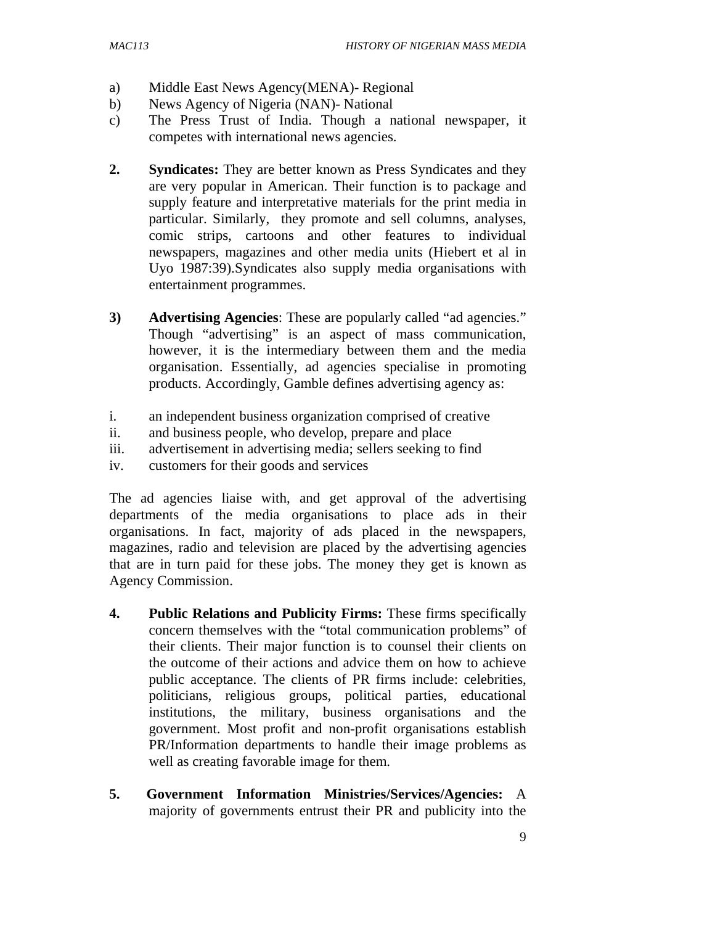- a) Middle East News Agency(MENA)- Regional
- b) News Agency of Nigeria (NAN)- National
- c) The Press Trust of India. Though a national newspaper, it competes with international news agencies.
- **2.** Syndicates: They are better known as Press Syndicates and they are very popular in American. Their function is to package and supply feature and interpretative materials for the print media in particular. Similarly, they promote and sell columns, analyses, comic strips, cartoons and other features to individual newspapers, magazines and other media units (Hiebert et al in Uyo 1987:39).Syndicates also supply media organisations with entertainment programmes.
- **3) Advertising Agencies**: These are popularly called "ad agencies." Though "advertising" is an aspect of mass communication, however, it is the intermediary between them and the media organisation. Essentially, ad agencies specialise in promoting products. Accordingly, Gamble defines advertising agency as:
- i. an independent business organization comprised of creative
- ii. and business people, who develop, prepare and place
- iii. advertisement in advertising media; sellers seeking to find
- iv. customers for their goods and services

The ad agencies liaise with, and get approval of the advertising departments of the media organisations to place ads in their organisations. In fact, majority of ads placed in the newspapers, magazines, radio and television are placed by the advertising agencies that are in turn paid for these jobs. The money they get is known as Agency Commission.

- **4. Public Relations and Publicity Firms:** These firms specifically concern themselves with the "total communication problems" of their clients. Their major function is to counsel their clients on the outcome of their actions and advice them on how to achieve public acceptance. The clients of PR firms include: celebrities, politicians, religious groups, political parties, educational institutions, the military, business organisations and the government. Most profit and non-profit organisations establish PR/Information departments to handle their image problems as well as creating favorable image for them.
- **5. Government Information Ministries/Services/Agencies:** A majority of governments entrust their PR and publicity into the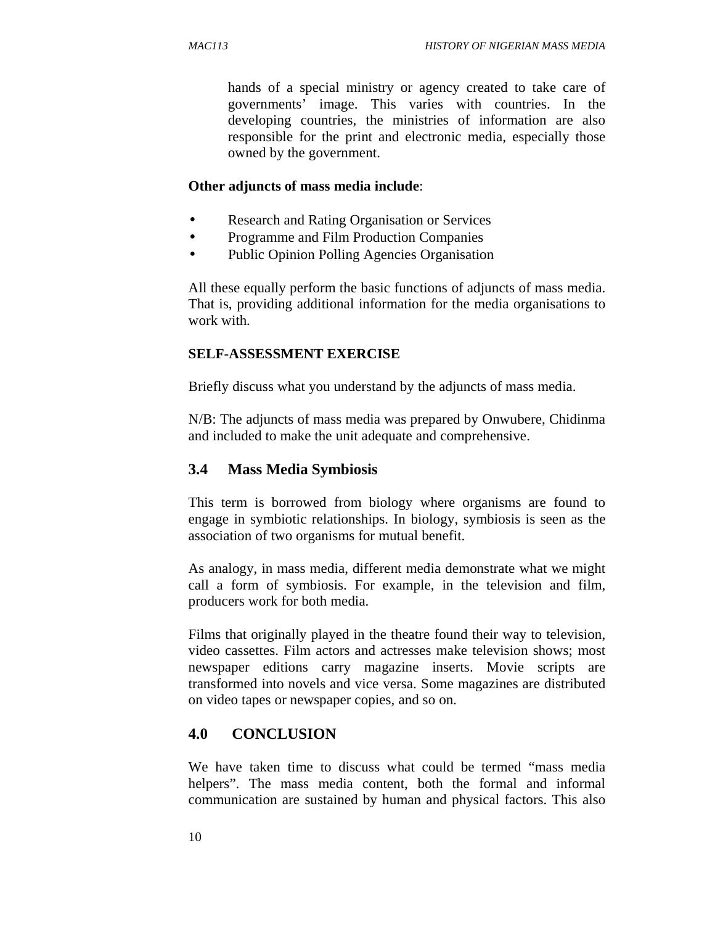hands of a special ministry or agency created to take care of governments' image. This varies with countries. In the developing countries, the ministries of information are also responsible for the print and electronic media, especially those owned by the government.

#### **Other adjuncts of mass media include**:

- Research and Rating Organisation or Services
- Programme and Film Production Companies
- Public Opinion Polling Agencies Organisation

All these equally perform the basic functions of adjuncts of mass media. That is, providing additional information for the media organisations to work with.

#### **SELF-ASSESSMENT EXERCISE**

Briefly discuss what you understand by the adjuncts of mass media.

N/B: The adjuncts of mass media was prepared by Onwubere, Chidinma and included to make the unit adequate and comprehensive.

#### **3.4 Mass Media Symbiosis**

This term is borrowed from biology where organisms are found to engage in symbiotic relationships. In biology, symbiosis is seen as the association of two organisms for mutual benefit.

As analogy, in mass media, different media demonstrate what we might call a form of symbiosis. For example, in the television and film, producers work for both media.

Films that originally played in the theatre found their way to television, video cassettes. Film actors and actresses make television shows; most newspaper editions carry magazine inserts. Movie scripts are transformed into novels and vice versa. Some magazines are distributed on video tapes or newspaper copies, and so on.

#### **4.0 CONCLUSION**

We have taken time to discuss what could be termed "mass media helpers". The mass media content, both the formal and informal communication are sustained by human and physical factors. This also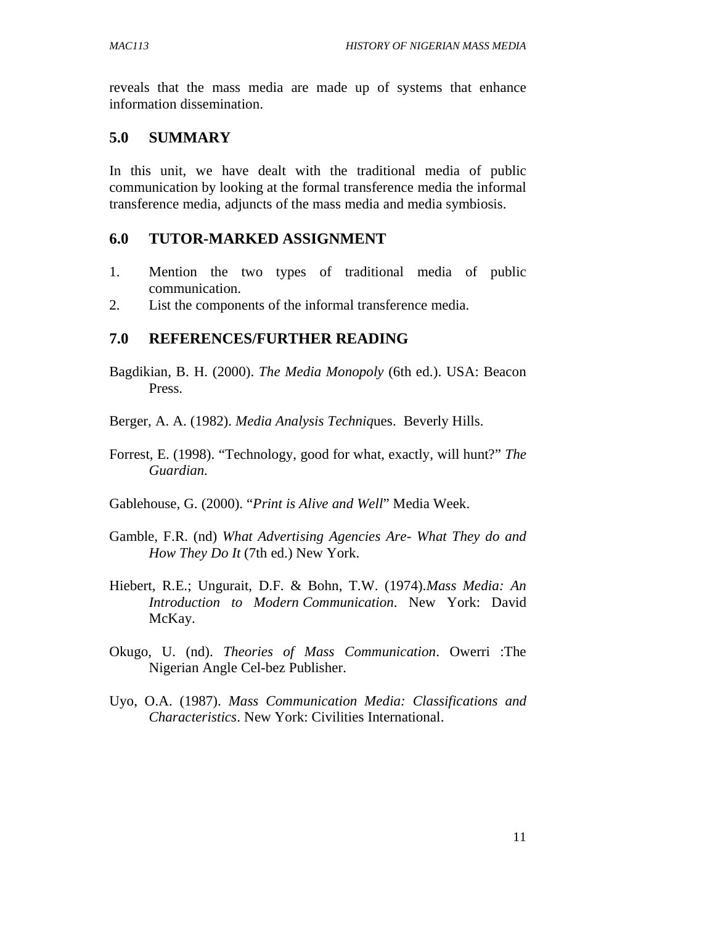reveals that the mass media are made up of systems that enhance information dissemination.

#### **5.0 SUMMARY**

In this unit, we have dealt with the traditional media of public communication by looking at the formal transference media the informal transference media, adjuncts of the mass media and media symbiosis.

#### **6.0 TUTOR-MARKED ASSIGNMENT**

- 1. Mention the two types of traditional media of public communication.
- 2. List the components of the informal transference media.

#### **7.0 REFERENCES/FURTHER READING**

- Bagdikian, B. H. (2000). *The Media Monopoly* (6th ed.). USA: Beacon Press.
- Berger, A. A. (1982). *Media Analysis Techniq*ues. Beverly Hills.
- Forrest, E. (1998). "Technology, good for what, exactly, will hunt?" *The Guardian.*
- Gablehouse, G. (2000). "*Print is Alive and Well*" Media Week.
- Gamble, F.R. (nd) *What Advertising Agencies Are- What They do and How They Do It* (7th ed.) New York.
- Hiebert, R.E.; Ungurait, D.F. & Bohn, T.W. (1974).*Mass Media: An Introduction to Modern Communication*. New York: David McKay.
- Okugo, U. (nd). *Theories of Mass Communication*. Owerri :The Nigerian Angle Cel-bez Publisher.
- Uyo, O.A. (1987). *Mass Communication Media: Classifications and Characteristics*. New York: Civilities International.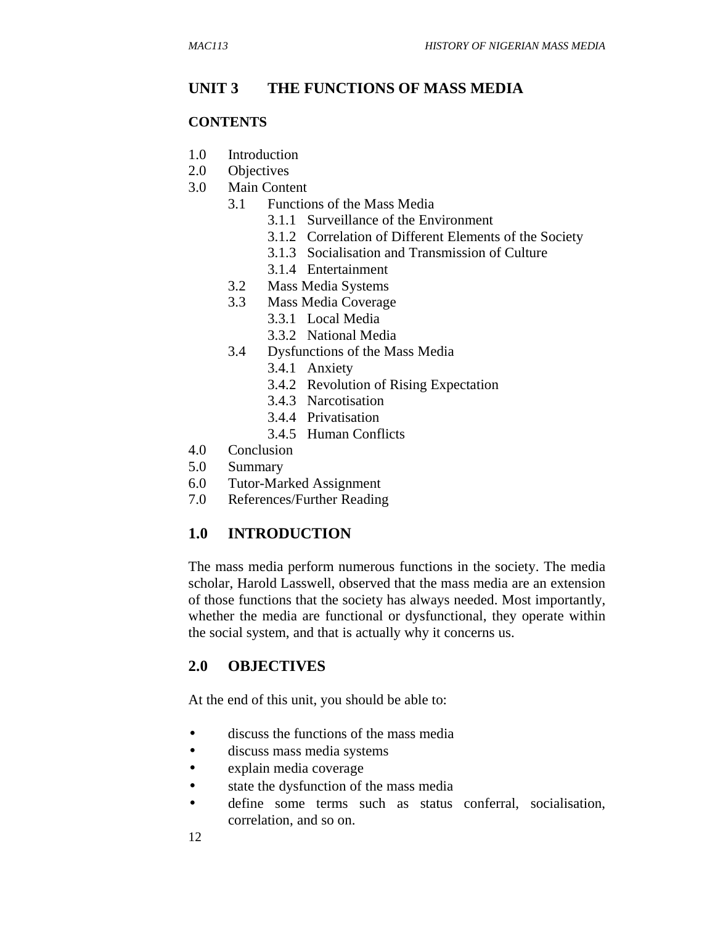## **UNIT 3 THE FUNCTIONS OF MASS MEDIA**

#### **CONTENTS**

- 1.0 Introduction
- 2.0 Objectives
- 3.0 Main Content
	- 3.1 Functions of the Mass Media
		- 3.1.1 Surveillance of the Environment
		- 3.1.2 Correlation of Different Elements of the Society
		- 3.1.3 Socialisation and Transmission of Culture
		- 3.1.4 Entertainment
	- 3.2 Mass Media Systems
	- 3.3 Mass Media Coverage
		- 3.3.1 Local Media
		- 3.3.2 National Media
	- 3.4 Dysfunctions of the Mass Media
		- 3.4.1 Anxiety
		- 3.4.2 Revolution of Rising Expectation
		- 3.4.3 Narcotisation
		- 3.4.4 Privatisation
		- 3.4.5 Human Conflicts
- 4.0 Conclusion
- 5.0 Summary
- 6.0 Tutor-Marked Assignment
- 7.0 References/Further Reading

#### **1.0 INTRODUCTION**

The mass media perform numerous functions in the society. The media scholar, Harold Lasswell, observed that the mass media are an extension of those functions that the society has always needed. Most importantly, whether the media are functional or dysfunctional, they operate within the social system, and that is actually why it concerns us.

#### **2.0 OBJECTIVES**

At the end of this unit, you should be able to:

- discuss the functions of the mass media
- discuss mass media systems
- explain media coverage
- state the dysfunction of the mass media
- define some terms such as status conferral, socialisation, correlation, and so on.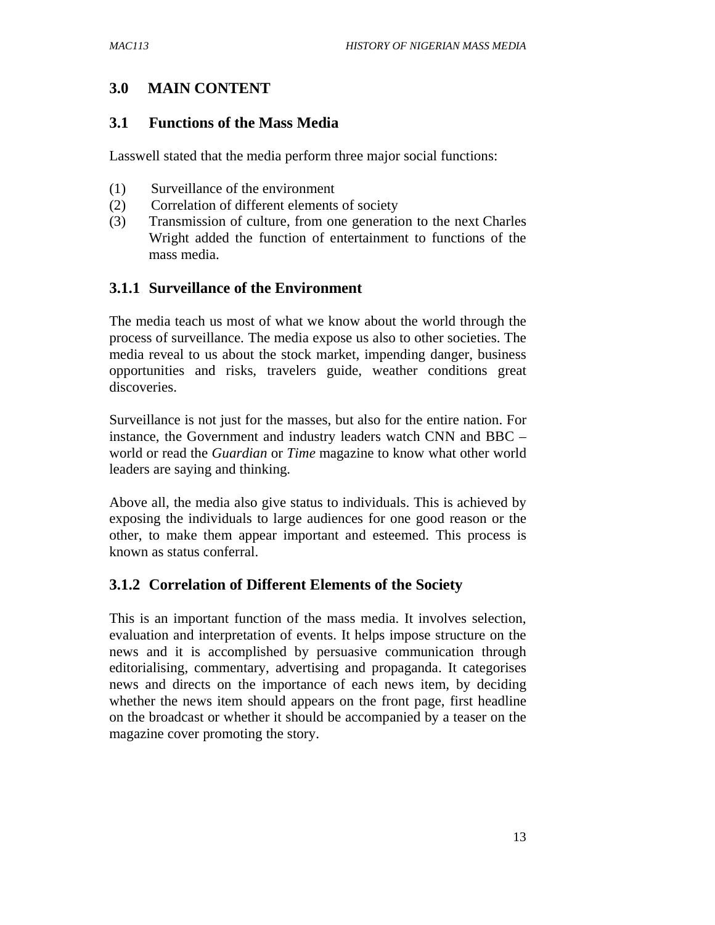# **3.0 MAIN CONTENT**

#### **3.1 Functions of the Mass Media**

Lasswell stated that the media perform three major social functions:

- (1) Surveillance of the environment
- (2) Correlation of different elements of society
- (3) Transmission of culture, from one generation to the next Charles Wright added the function of entertainment to functions of the mass media.

#### **3.1.1 Surveillance of the Environment**

The media teach us most of what we know about the world through the process of surveillance. The media expose us also to other societies. The media reveal to us about the stock market, impending danger, business opportunities and risks, travelers guide, weather conditions great discoveries.

Surveillance is not just for the masses, but also for the entire nation. For instance, the Government and industry leaders watch CNN and BBC – world or read the *Guardian* or *Time* magazine to know what other world leaders are saying and thinking.

Above all, the media also give status to individuals. This is achieved by exposing the individuals to large audiences for one good reason or the other, to make them appear important and esteemed. This process is known as status conferral.

#### **3.1.2 Correlation of Different Elements of the Society**

This is an important function of the mass media. It involves selection, evaluation and interpretation of events. It helps impose structure on the news and it is accomplished by persuasive communication through editorialising, commentary, advertising and propaganda. It categorises news and directs on the importance of each news item, by deciding whether the news item should appears on the front page, first headline on the broadcast or whether it should be accompanied by a teaser on the magazine cover promoting the story.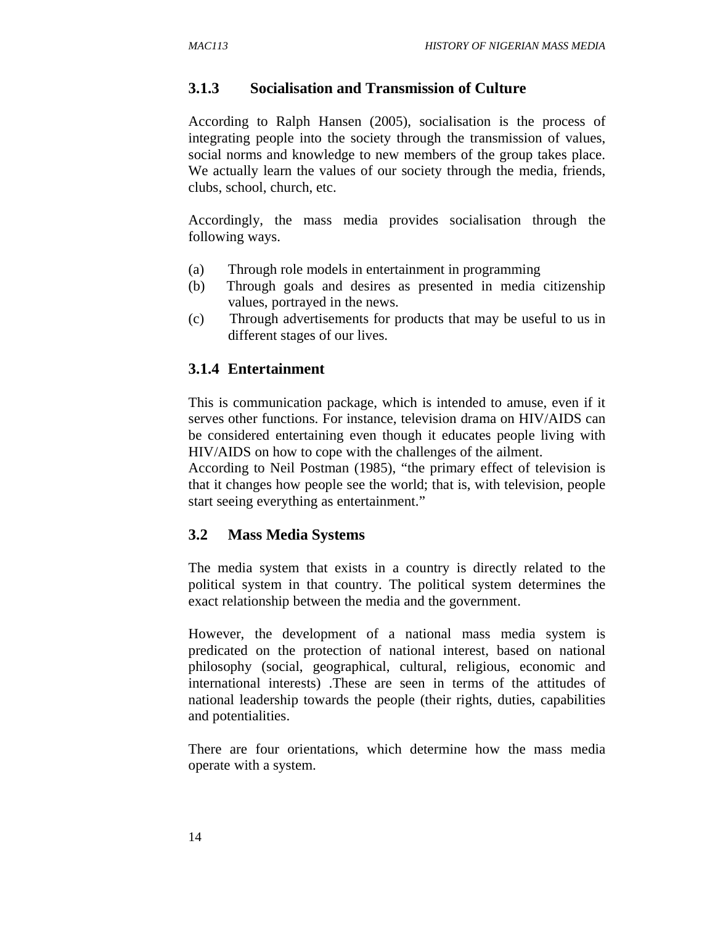#### **3.1.3 Socialisation and Transmission of Culture**

According to Ralph Hansen (2005), socialisation is the process of integrating people into the society through the transmission of values, social norms and knowledge to new members of the group takes place. We actually learn the values of our society through the media, friends, clubs, school, church, etc.

Accordingly, the mass media provides socialisation through the following ways.

- (a) Through role models in entertainment in programming
- (b) Through goals and desires as presented in media citizenship values, portrayed in the news.
- (c) Through advertisements for products that may be useful to us in different stages of our lives.

#### **3.1.4 Entertainment**

This is communication package, which is intended to amuse, even if it serves other functions. For instance, television drama on HIV/AIDS can be considered entertaining even though it educates people living with HIV/AIDS on how to cope with the challenges of the ailment.

According to Neil Postman (1985), "the primary effect of television is that it changes how people see the world; that is, with television, people start seeing everything as entertainment."

#### **3.2 Mass Media Systems**

The media system that exists in a country is directly related to the political system in that country. The political system determines the exact relationship between the media and the government.

However, the development of a national mass media system is predicated on the protection of national interest, based on national philosophy (social, geographical, cultural, religious, economic and international interests) .These are seen in terms of the attitudes of national leadership towards the people (their rights, duties, capabilities and potentialities.

There are four orientations, which determine how the mass media operate with a system.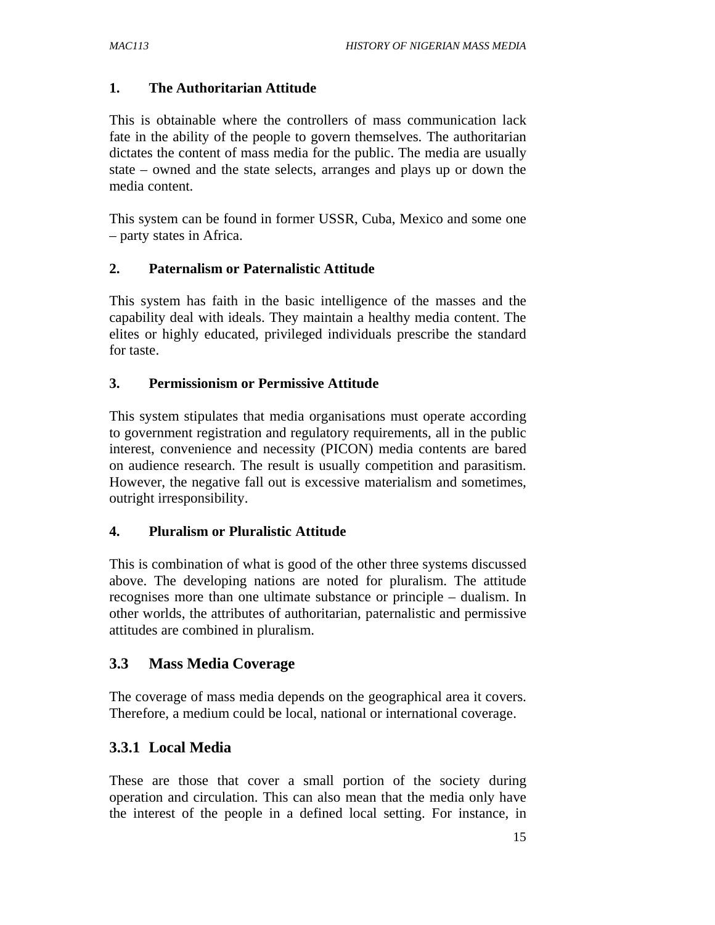#### **1. The Authoritarian Attitude**

This is obtainable where the controllers of mass communication lack fate in the ability of the people to govern themselves. The authoritarian dictates the content of mass media for the public. The media are usually state – owned and the state selects, arranges and plays up or down the media content.

This system can be found in former USSR, Cuba, Mexico and some one – party states in Africa.

#### **2. Paternalism or Paternalistic Attitude**

This system has faith in the basic intelligence of the masses and the capability deal with ideals. They maintain a healthy media content. The elites or highly educated, privileged individuals prescribe the standard for taste.

#### **3. Permissionism or Permissive Attitude**

This system stipulates that media organisations must operate according to government registration and regulatory requirements, all in the public interest, convenience and necessity (PICON) media contents are bared on audience research. The result is usually competition and parasitism. However, the negative fall out is excessive materialism and sometimes, outright irresponsibility.

#### **4. Pluralism or Pluralistic Attitude**

This is combination of what is good of the other three systems discussed above. The developing nations are noted for pluralism. The attitude recognises more than one ultimate substance or principle – dualism. In other worlds, the attributes of authoritarian, paternalistic and permissive attitudes are combined in pluralism.

#### **3.3 Mass Media Coverage**

The coverage of mass media depends on the geographical area it covers. Therefore, a medium could be local, national or international coverage.

# **3.3.1 Local Media**

These are those that cover a small portion of the society during operation and circulation. This can also mean that the media only have the interest of the people in a defined local setting. For instance, in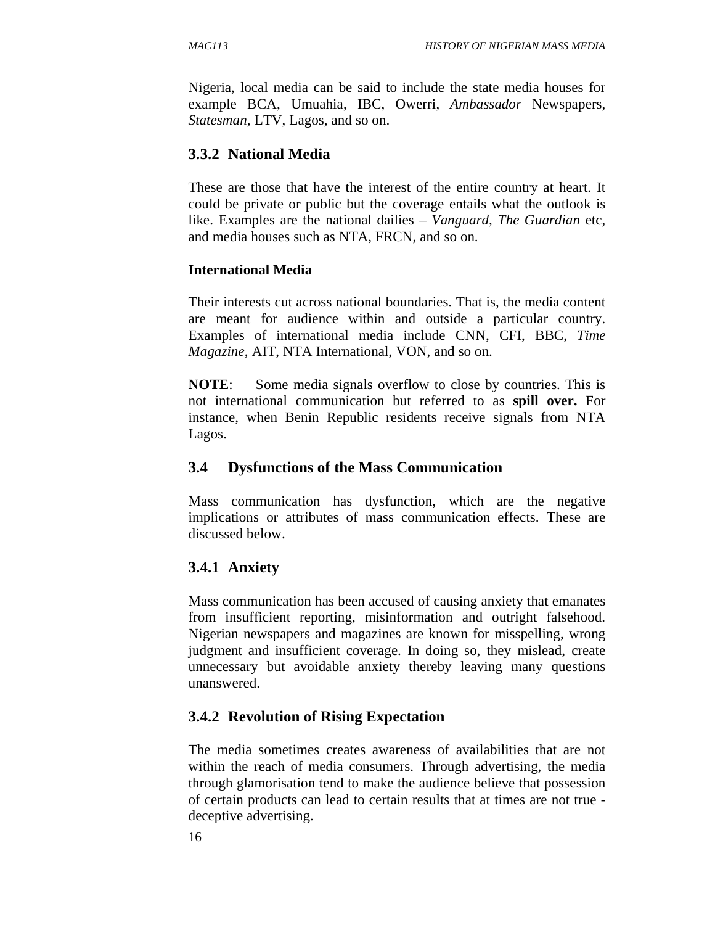Nigeria, local media can be said to include the state media houses for example BCA, Umuahia, IBC, Owerri, *Ambassador* Newspapers, *Statesman*, LTV, Lagos, and so on.

## **3.3.2 National Media**

These are those that have the interest of the entire country at heart. It could be private or public but the coverage entails what the outlook is like. Examples are the national dailies – *Vanguard, The Guardian* etc, and media houses such as NTA, FRCN, and so on.

#### **International Media**

Their interests cut across national boundaries. That is, the media content are meant for audience within and outside a particular country. Examples of international media include CNN, CFI, BBC, *Time Magazine*, AIT, NTA International, VON, and so on.

**NOTE**: Some media signals overflow to close by countries. This is not international communication but referred to as **spill over.** For instance, when Benin Republic residents receive signals from NTA Lagos.

# **3.4 Dysfunctions of the Mass Communication**

Mass communication has dysfunction, which are the negative implications or attributes of mass communication effects. These are discussed below.

# **3.4.1 Anxiety**

Mass communication has been accused of causing anxiety that emanates from insufficient reporting, misinformation and outright falsehood. Nigerian newspapers and magazines are known for misspelling, wrong judgment and insufficient coverage. In doing so, they mislead, create unnecessary but avoidable anxiety thereby leaving many questions unanswered.

# **3.4.2 Revolution of Rising Expectation**

The media sometimes creates awareness of availabilities that are not within the reach of media consumers. Through advertising, the media through glamorisation tend to make the audience believe that possession of certain products can lead to certain results that at times are not true deceptive advertising.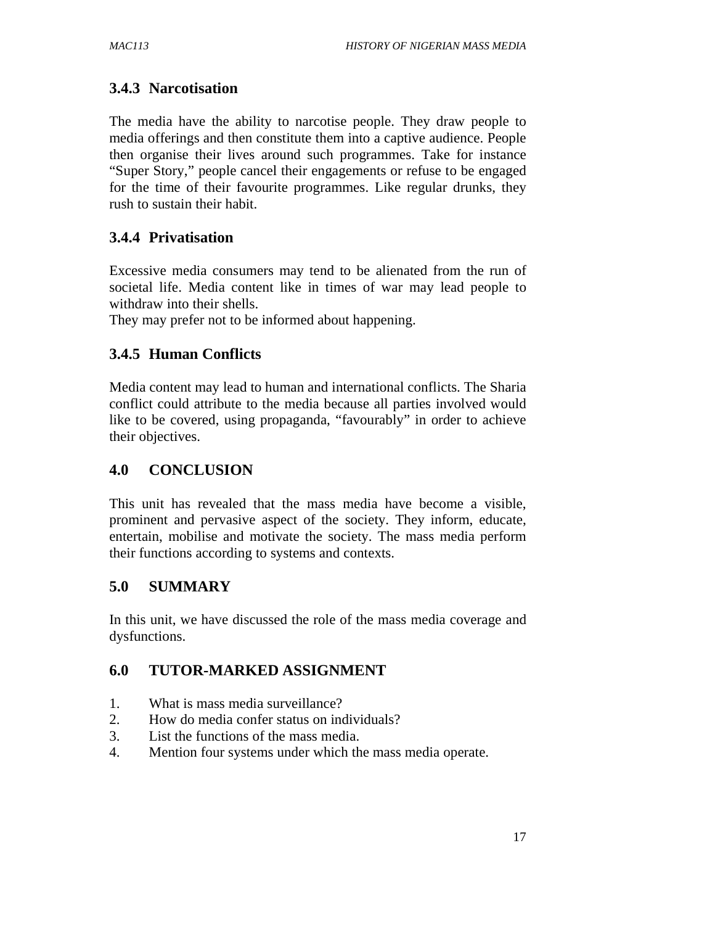# **3.4.3 Narcotisation**

The media have the ability to narcotise people. They draw people to media offerings and then constitute them into a captive audience. People then organise their lives around such programmes. Take for instance "Super Story," people cancel their engagements or refuse to be engaged for the time of their favourite programmes. Like regular drunks, they rush to sustain their habit.

# **3.4.4 Privatisation**

Excessive media consumers may tend to be alienated from the run of societal life. Media content like in times of war may lead people to withdraw into their shells.

They may prefer not to be informed about happening.

# **3.4.5 Human Conflicts**

Media content may lead to human and international conflicts. The Sharia conflict could attribute to the media because all parties involved would like to be covered, using propaganda, "favourably" in order to achieve their objectives.

# **4.0 CONCLUSION**

This unit has revealed that the mass media have become a visible, prominent and pervasive aspect of the society. They inform, educate, entertain, mobilise and motivate the society. The mass media perform their functions according to systems and contexts.

# **5.0 SUMMARY**

In this unit, we have discussed the role of the mass media coverage and dysfunctions.

# **6.0 TUTOR-MARKED ASSIGNMENT**

- 1. What is mass media surveillance?
- 2. How do media confer status on individuals?
- 3. List the functions of the mass media.
- 4. Mention four systems under which the mass media operate.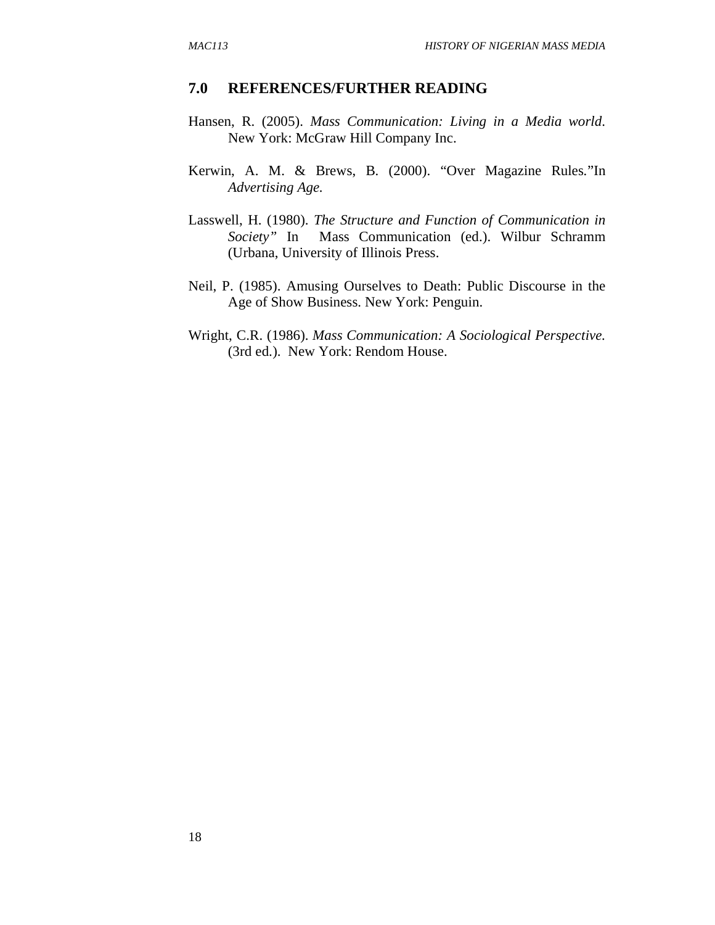#### **7.0 REFERENCES/FURTHER READING**

- Hansen, R. (2005). *Mass Communication: Living in a Media world*. New York: McGraw Hill Company Inc.
- Kerwin, A. M. & Brews, B. (2000). "Over Magazine Rules*.*"In *Advertising Age.*
- Lasswell, H. (1980). *The Structure and Function of Communication in Society"* In Mass Communication (ed.). Wilbur Schramm (Urbana, University of Illinois Press.
- Neil, P. (1985). Amusing Ourselves to Death: Public Discourse in the Age of Show Business. New York: Penguin.
- Wright, C.R. (1986). *Mass Communication: A Sociological Perspective.* (3rd ed.). New York: Rendom House.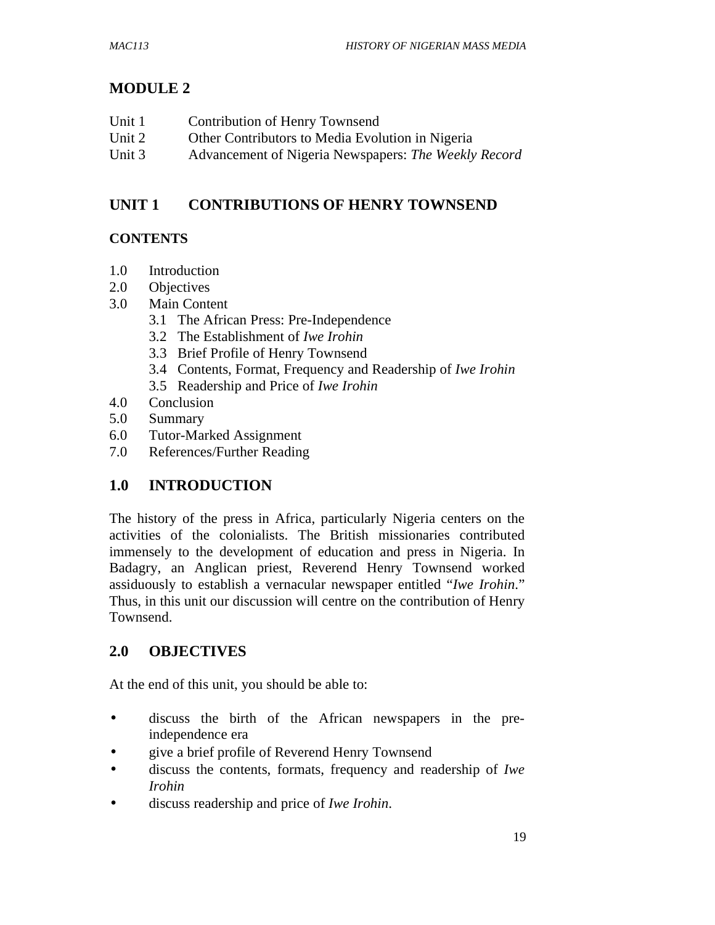# **MODULE 2**

| Unit 1 | Contribution of Henry Townsend                       |
|--------|------------------------------------------------------|
| Unit 2 | Other Contributors to Media Evolution in Nigeria     |
| Unit 3 | Advancement of Nigeria Newspapers: The Weekly Record |

# **UNIT 1 CONTRIBUTIONS OF HENRY TOWNSEND**

# **CONTENTS**

- 1.0 Introduction
- 2.0 Objectives
- 3.0 Main Content
	- 3.1 The African Press: Pre-Independence
	- 3.2 The Establishment of *Iwe Irohin*
	- 3.3 Brief Profile of Henry Townsend
	- 3.4 Contents, Format, Frequency and Readership of *Iwe Irohin*
	- 3.5 Readership and Price of *Iwe Irohin*
- 4.0 Conclusion
- 5.0 Summary
- 6.0 Tutor-Marked Assignment
- 7.0 References/Further Reading

# **1.0 INTRODUCTION**

The history of the press in Africa, particularly Nigeria centers on the activities of the colonialists. The British missionaries contributed immensely to the development of education and press in Nigeria. In Badagry, an Anglican priest, Reverend Henry Townsend worked assiduously to establish a vernacular newspaper entitled "*Iwe Irohin*." Thus, in this unit our discussion will centre on the contribution of Henry Townsend.

# **2.0 OBJECTIVES**

At the end of this unit, you should be able to:

- discuss the birth of the African newspapers in the preindependence era
- give a brief profile of Reverend Henry Townsend
- discuss the contents, formats, frequency and readership of *Iwe Irohin*
- discuss readership and price of *Iwe Irohin*.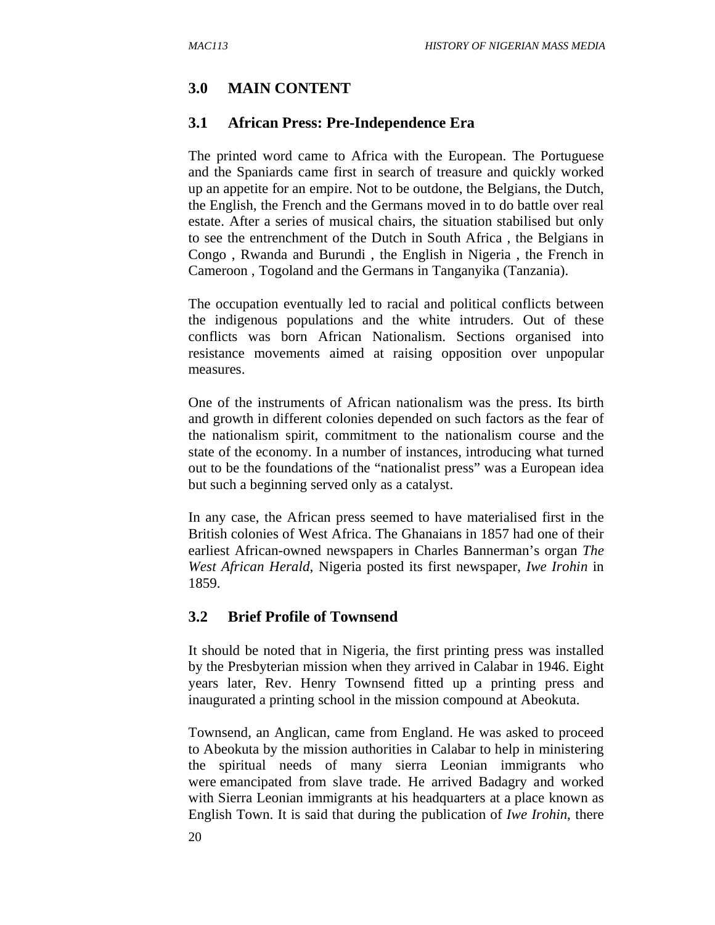# **3.0 MAIN CONTENT**

#### **3.1 African Press: Pre-Independence Era**

The printed word came to Africa with the European. The Portuguese and the Spaniards came first in search of treasure and quickly worked up an appetite for an empire. Not to be outdone, the Belgians, the Dutch, the English, the French and the Germans moved in to do battle over real estate. After a series of musical chairs, the situation stabilised but only to see the entrenchment of the Dutch in South Africa , the Belgians in Congo , Rwanda and Burundi , the English in Nigeria , the French in Cameroon , Togoland and the Germans in Tanganyika (Tanzania).

The occupation eventually led to racial and political conflicts between the indigenous populations and the white intruders. Out of these conflicts was born African Nationalism. Sections organised into resistance movements aimed at raising opposition over unpopular measures.

One of the instruments of African nationalism was the press. Its birth and growth in different colonies depended on such factors as the fear of the nationalism spirit, commitment to the nationalism course and the state of the economy. In a number of instances, introducing what turned out to be the foundations of the "nationalist press" was a European idea but such a beginning served only as a catalyst.

In any case, the African press seemed to have materialised first in the British colonies of West Africa. The Ghanaians in 1857 had one of their earliest African-owned newspapers in Charles Bannerman's organ *The West African Herald*, Nigeria posted its first newspaper, *Iwe Irohin* in 1859.

#### **3.2 Brief Profile of Townsend**

It should be noted that in Nigeria, the first printing press was installed by the Presbyterian mission when they arrived in Calabar in 1946. Eight years later, Rev. Henry Townsend fitted up a printing press and inaugurated a printing school in the mission compound at Abeokuta.

Townsend, an Anglican, came from England. He was asked to proceed to Abeokuta by the mission authorities in Calabar to help in ministering the spiritual needs of many sierra Leonian immigrants who were emancipated from slave trade. He arrived Badagry and worked with Sierra Leonian immigrants at his headquarters at a place known as English Town. It is said that during the publication of *Iwe Irohin*, there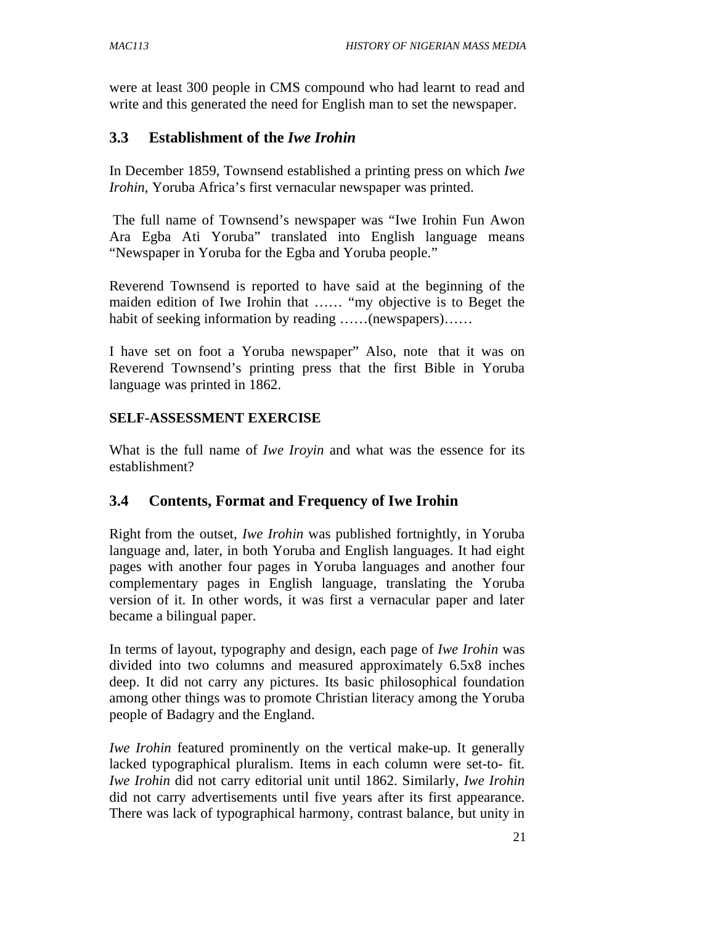were at least 300 people in CMS compound who had learnt to read and write and this generated the need for English man to set the newspaper.

## **3.3 Establishment of the** *Iwe Irohin*

In December 1859, Townsend established a printing press on which *Iwe Irohin*, Yoruba Africa's first vernacular newspaper was printed.

 The full name of Townsend's newspaper was "Iwe Irohin Fun Awon Ara Egba Ati Yoruba" translated into English language means "Newspaper in Yoruba for the Egba and Yoruba people."

Reverend Townsend is reported to have said at the beginning of the maiden edition of Iwe Irohin that …… "my objective is to Beget the habit of seeking information by reading ……(newspapers)……

I have set on foot a Yoruba newspaper" Also, note that it was on Reverend Townsend's printing press that the first Bible in Yoruba language was printed in 1862.

#### **SELF-ASSESSMENT EXERCISE**

What is the full name of *Iwe Iroyin* and what was the essence for its establishment?

# **3.4 Contents, Format and Frequency of Iwe Irohin**

Right from the outset, *Iwe Irohin* was published fortnightly, in Yoruba language and, later, in both Yoruba and English languages. It had eight pages with another four pages in Yoruba languages and another four complementary pages in English language, translating the Yoruba version of it. In other words, it was first a vernacular paper and later became a bilingual paper.

In terms of layout, typography and design, each page of *Iwe Irohin* was divided into two columns and measured approximately 6.5x8 inches deep. It did not carry any pictures. Its basic philosophical foundation among other things was to promote Christian literacy among the Yoruba people of Badagry and the England.

*Iwe Irohin* featured prominently on the vertical make-up. It generally lacked typographical pluralism. Items in each column were set-to- fit. *Iwe Irohin* did not carry editorial unit until 1862. Similarly, *Iwe Irohin* did not carry advertisements until five years after its first appearance. There was lack of typographical harmony, contrast balance, but unity in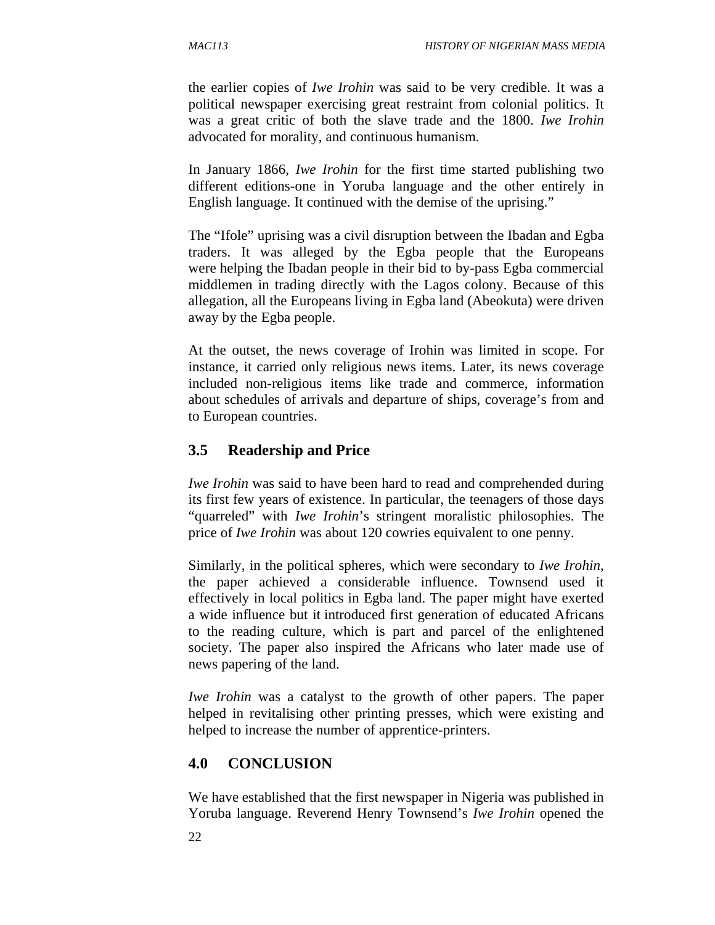the earlier copies of *Iwe Irohin* was said to be very credible. It was a political newspaper exercising great restraint from colonial politics. It was a great critic of both the slave trade and the 1800. *Iwe Irohin* advocated for morality, and continuous humanism.

In January 1866, *Iwe Irohin* for the first time started publishing two different editions-one in Yoruba language and the other entirely in English language. It continued with the demise of the uprising."

The "Ifole" uprising was a civil disruption between the Ibadan and Egba traders. It was alleged by the Egba people that the Europeans were helping the Ibadan people in their bid to by-pass Egba commercial middlemen in trading directly with the Lagos colony. Because of this allegation, all the Europeans living in Egba land (Abeokuta) were driven away by the Egba people.

At the outset, the news coverage of Irohin was limited in scope. For instance, it carried only religious news items. Later, its news coverage included non-religious items like trade and commerce, information about schedules of arrivals and departure of ships, coverage's from and to European countries.

# **3.5 Readership and Price**

*Iwe Irohin* was said to have been hard to read and comprehended during its first few years of existence. In particular, the teenagers of those days "quarreled" with *Iwe Irohin*'s stringent moralistic philosophies. The price of *Iwe Irohin* was about 120 cowries equivalent to one penny.

Similarly, in the political spheres, which were secondary to *Iwe Irohin*, the paper achieved a considerable influence. Townsend used it effectively in local politics in Egba land. The paper might have exerted a wide influence but it introduced first generation of educated Africans to the reading culture, which is part and parcel of the enlightened society. The paper also inspired the Africans who later made use of news papering of the land.

*Iwe Irohin* was a catalyst to the growth of other papers. The paper helped in revitalising other printing presses, which were existing and helped to increase the number of apprentice-printers.

# **4.0 CONCLUSION**

We have established that the first newspaper in Nigeria was published in Yoruba language. Reverend Henry Townsend's *Iwe Irohin* opened the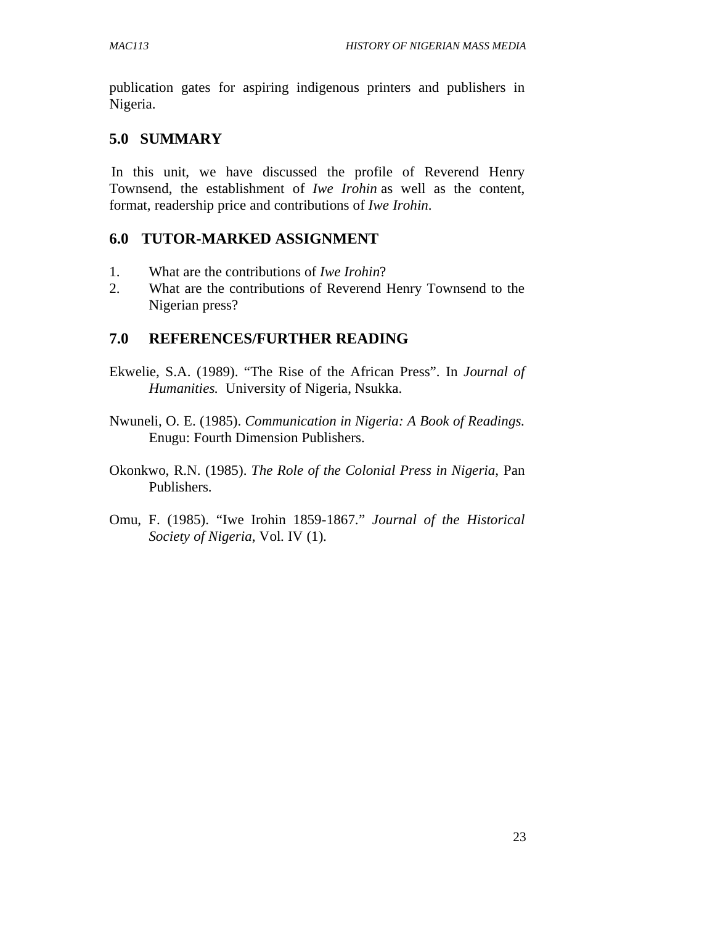publication gates for aspiring indigenous printers and publishers in Nigeria.

# **5.0 SUMMARY**

In this unit, we have discussed the profile of Reverend Henry Townsend, the establishment of *Iwe Irohin* as well as the content, format, readership price and contributions of *Iwe Irohin*.

# **6.0 TUTOR-MARKED ASSIGNMENT**

- 1. What are the contributions of *Iwe Irohin*?
- 2. What are the contributions of Reverend Henry Townsend to the Nigerian press?

# **7.0 REFERENCES/FURTHER READING**

- Ekwelie, S.A. (1989). "The Rise of the African Press". In *Journal of Humanities.* University of Nigeria, Nsukka.
- Nwuneli, O. E. (1985). *Communication in Nigeria: A Book of Readings.* Enugu: Fourth Dimension Publishers.
- Okonkwo, R.N. (1985). *The Role of the Colonial Press in Nigeria*, Pan Publishers.
- Omu, F. (1985). "Iwe Irohin 1859-1867." *Journal of the Historical Society of Nigeria*, Vol. IV (1).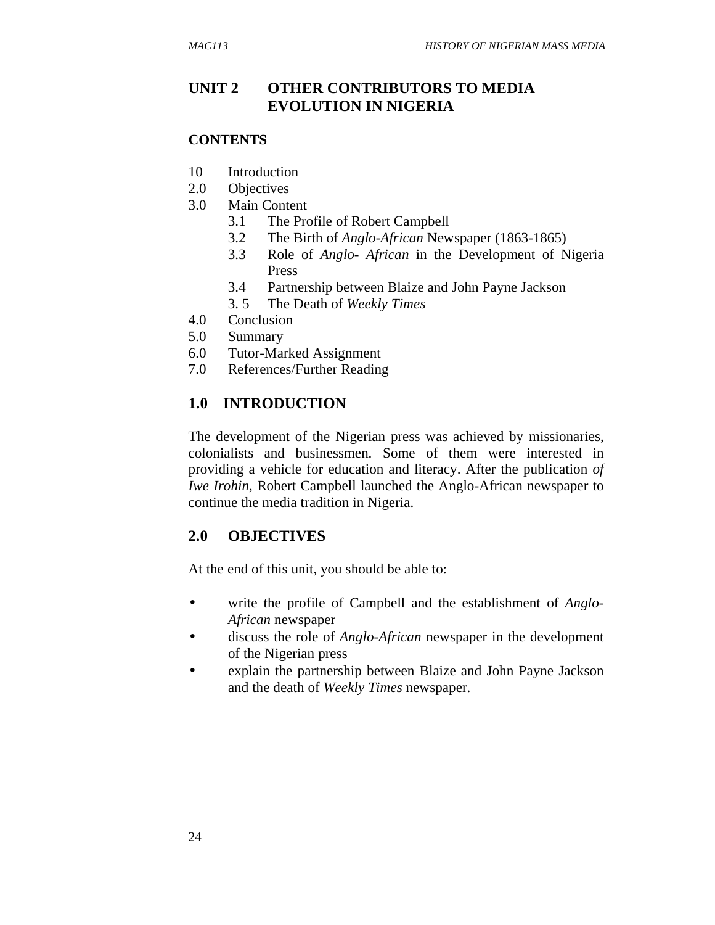# **UNIT 2 OTHER CONTRIBUTORS TO MEDIA EVOLUTION IN NIGERIA**

#### **CONTENTS**

- 10 Introduction
- 2.0 Objectives
- 3.0 Main Content
	- 3.1 The Profile of Robert Campbell
	- 3.2 The Birth of *Anglo-African* Newspaper (1863-1865)
	- 3.3 Role of *Anglo- African* in the Development of Nigeria Press
	- 3.4 Partnership between Blaize and John Payne Jackson
	- 3. 5 The Death of *Weekly Times*
- 4.0 Conclusion
- 5.0 Summary
- 6.0 Tutor-Marked Assignment
- 7.0 References/Further Reading

# **1.0 INTRODUCTION**

The development of the Nigerian press was achieved by missionaries, colonialists and businessmen. Some of them were interested in providing a vehicle for education and literacy. After the publication *of Iwe Irohin*, Robert Campbell launched the Anglo-African newspaper to continue the media tradition in Nigeria.

#### **2.0 OBJECTIVES**

At the end of this unit, you should be able to:

- write the profile of Campbell and the establishment of *Anglo-African* newspaper
- discuss the role of *Anglo-African* newspaper in the development of the Nigerian press
- explain the partnership between Blaize and John Payne Jackson and the death of *Weekly Times* newspaper.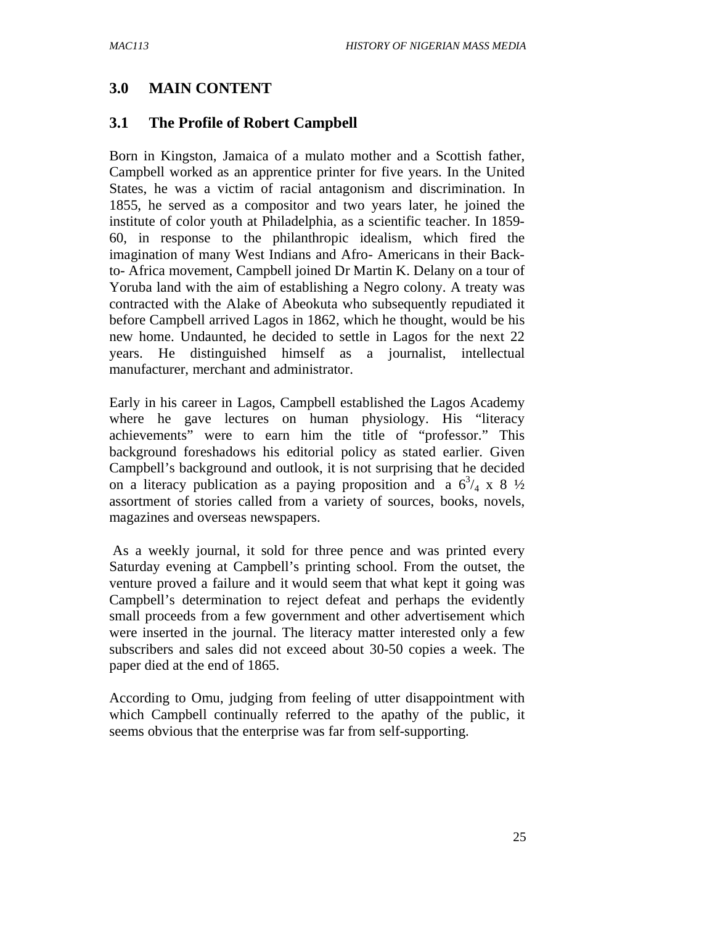### **3.0 MAIN CONTENT**

### **3.1 The Profile of Robert Campbell**

Born in Kingston, Jamaica of a mulato mother and a Scottish father, Campbell worked as an apprentice printer for five years. In the United States, he was a victim of racial antagonism and discrimination. In 1855, he served as a compositor and two years later, he joined the institute of color youth at Philadelphia, as a scientific teacher. In 1859- 60, in response to the philanthropic idealism, which fired the imagination of many West Indians and Afro- Americans in their Backto- Africa movement, Campbell joined Dr Martin K. Delany on a tour of Yoruba land with the aim of establishing a Negro colony. A treaty was contracted with the Alake of Abeokuta who subsequently repudiated it before Campbell arrived Lagos in 1862, which he thought, would be his new home. Undaunted, he decided to settle in Lagos for the next 22 years. He distinguished himself as a journalist, intellectual manufacturer, merchant and administrator.

Early in his career in Lagos, Campbell established the Lagos Academy where he gave lectures on human physiology. His "literacy achievements" were to earn him the title of "professor." This background foreshadows his editorial policy as stated earlier. Given Campbell's background and outlook, it is not surprising that he decided on a literacy publication as a paying proposition and a  $6^{3}/_{4} \times 8$   $\frac{1}{2}$ assortment of stories called from a variety of sources, books, novels, magazines and overseas newspapers.

 As a weekly journal, it sold for three pence and was printed every Saturday evening at Campbell's printing school. From the outset, the venture proved a failure and it would seem that what kept it going was Campbell's determination to reject defeat and perhaps the evidently small proceeds from a few government and other advertisement which were inserted in the journal. The literacy matter interested only a few subscribers and sales did not exceed about 30-50 copies a week. The paper died at the end of 1865.

According to Omu, judging from feeling of utter disappointment with which Campbell continually referred to the apathy of the public, it seems obvious that the enterprise was far from self-supporting.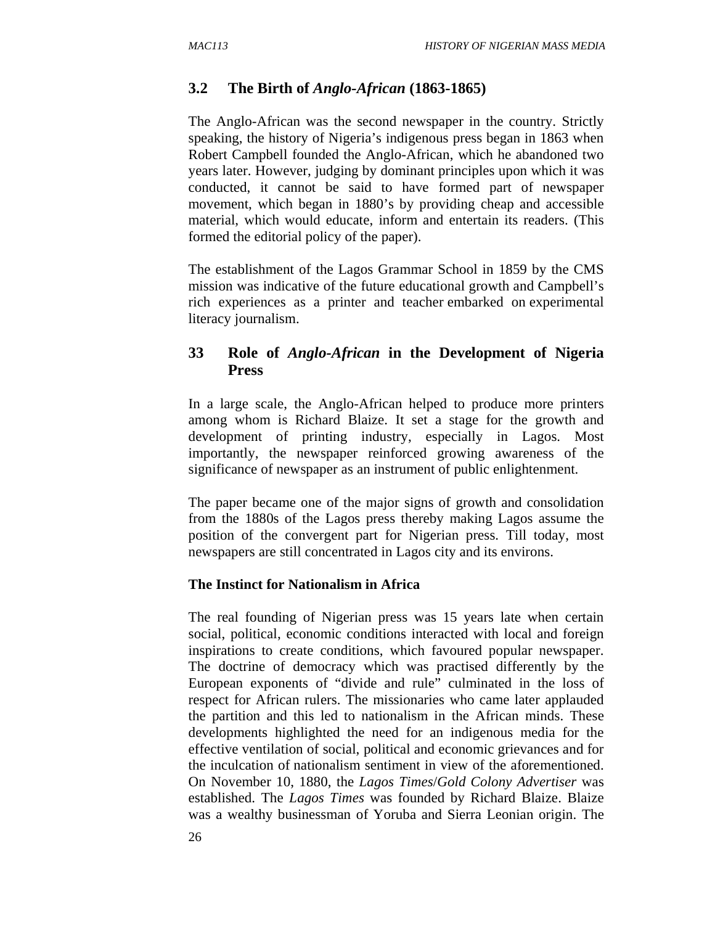### **3.2 The Birth of** *Anglo-African* **(1863-1865)**

The Anglo-African was the second newspaper in the country. Strictly speaking, the history of Nigeria's indigenous press began in 1863 when Robert Campbell founded the Anglo-African, which he abandoned two years later. However, judging by dominant principles upon which it was conducted, it cannot be said to have formed part of newspaper movement, which began in 1880's by providing cheap and accessible material, which would educate, inform and entertain its readers. (This formed the editorial policy of the paper).

The establishment of the Lagos Grammar School in 1859 by the CMS mission was indicative of the future educational growth and Campbell's rich experiences as a printer and teacher embarked on experimental literacy journalism.

## **33 Role of** *Anglo-African* **in the Development of Nigeria Press**

In a large scale, the Anglo-African helped to produce more printers among whom is Richard Blaize. It set a stage for the growth and development of printing industry, especially in Lagos. Most importantly, the newspaper reinforced growing awareness of the significance of newspaper as an instrument of public enlightenment.

The paper became one of the major signs of growth and consolidation from the 1880s of the Lagos press thereby making Lagos assume the position of the convergent part for Nigerian press. Till today, most newspapers are still concentrated in Lagos city and its environs.

#### **The Instinct for Nationalism in Africa**

The real founding of Nigerian press was 15 years late when certain social, political, economic conditions interacted with local and foreign inspirations to create conditions, which favoured popular newspaper. The doctrine of democracy which was practised differently by the European exponents of "divide and rule" culminated in the loss of respect for African rulers. The missionaries who came later applauded the partition and this led to nationalism in the African minds. These developments highlighted the need for an indigenous media for the effective ventilation of social, political and economic grievances and for the inculcation of nationalism sentiment in view of the aforementioned. On November 10, 1880, the *Lagos Times*/*Gold Colony Advertiser* was established. The *Lagos Times* was founded by Richard Blaize. Blaize was a wealthy businessman of Yoruba and Sierra Leonian origin. The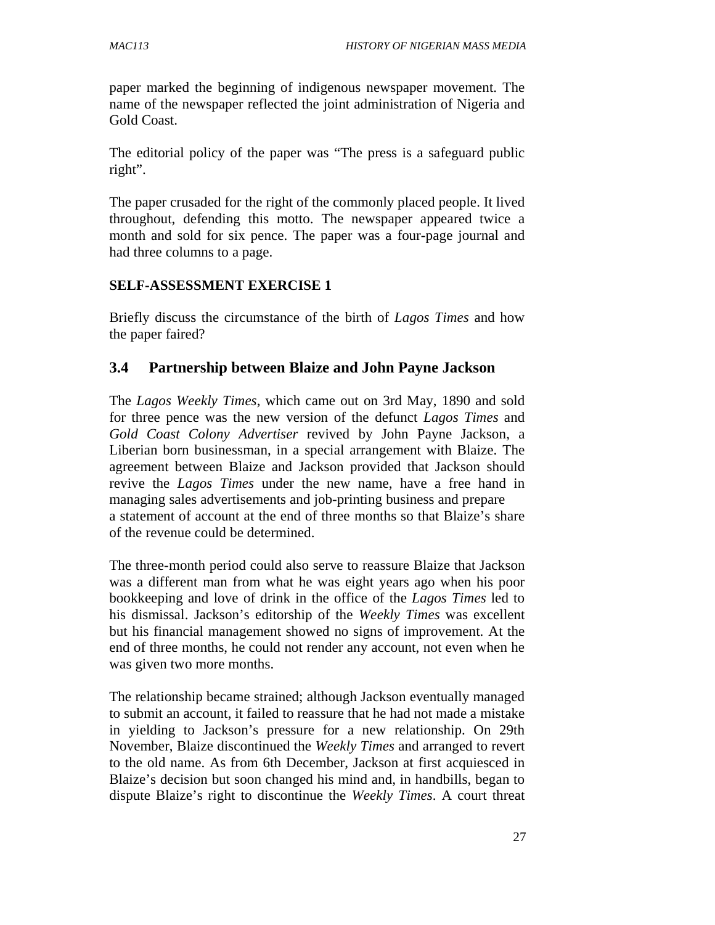paper marked the beginning of indigenous newspaper movement. The name of the newspaper reflected the joint administration of Nigeria and Gold Coast.

The editorial policy of the paper was "The press is a safeguard public right".

The paper crusaded for the right of the commonly placed people. It lived throughout, defending this motto. The newspaper appeared twice a month and sold for six pence. The paper was a four-page journal and had three columns to a page.

#### **SELF-ASSESSMENT EXERCISE 1**

Briefly discuss the circumstance of the birth of *Lagos Times* and how the paper faired?

### **3.4 Partnership between Blaize and John Payne Jackson**

The *Lagos Weekly Times*, which came out on 3rd May, 1890 and sold for three pence was the new version of the defunct *Lagos Times* and *Gold Coast Colony Advertiser* revived by John Payne Jackson, a Liberian born businessman, in a special arrangement with Blaize. The agreement between Blaize and Jackson provided that Jackson should revive the *Lagos Times* under the new name, have a free hand in managing sales advertisements and job-printing business and prepare a statement of account at the end of three months so that Blaize's share of the revenue could be determined.

The three-month period could also serve to reassure Blaize that Jackson was a different man from what he was eight years ago when his poor bookkeeping and love of drink in the office of the *Lagos Times* led to his dismissal. Jackson's editorship of the *Weekly Times* was excellent but his financial management showed no signs of improvement. At the end of three months, he could not render any account, not even when he was given two more months.

The relationship became strained; although Jackson eventually managed to submit an account, it failed to reassure that he had not made a mistake in yielding to Jackson's pressure for a new relationship. On 29th November, Blaize discontinued the *Weekly Times* and arranged to revert to the old name. As from 6th December, Jackson at first acquiesced in Blaize's decision but soon changed his mind and, in handbills, began to dispute Blaize's right to discontinue the *Weekly Times*. A court threat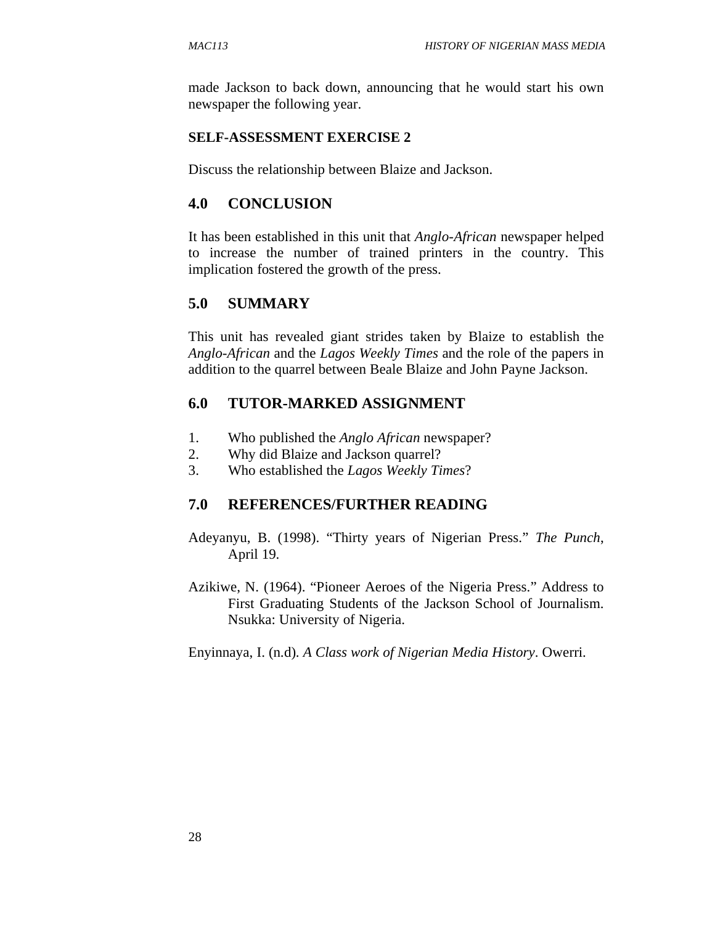made Jackson to back down, announcing that he would start his own newspaper the following year.

### **SELF-ASSESSMENT EXERCISE 2**

Discuss the relationship between Blaize and Jackson.

# **4.0 CONCLUSION**

It has been established in this unit that *Anglo-African* newspaper helped to increase the number of trained printers in the country. This implication fostered the growth of the press.

# **5.0 SUMMARY**

This unit has revealed giant strides taken by Blaize to establish the *Anglo-African* and the *Lagos Weekly Times* and the role of the papers in addition to the quarrel between Beale Blaize and John Payne Jackson.

# **6.0 TUTOR-MARKED ASSIGNMENT**

- 1. Who published the *Anglo African* newspaper?
- 2. Why did Blaize and Jackson quarrel?
- 3. Who established the *Lagos Weekly Times*?

# **7.0 REFERENCES/FURTHER READING**

- Adeyanyu, B. (1998). "Thirty years of Nigerian Press." *The Punch*, April 19.
- Azikiwe, N. (1964). "Pioneer Aeroes of the Nigeria Press." Address to First Graduating Students of the Jackson School of Journalism. Nsukka: University of Nigeria.

Enyinnaya, I. (n.d). *A Class work of Nigerian Media History*. Owerri.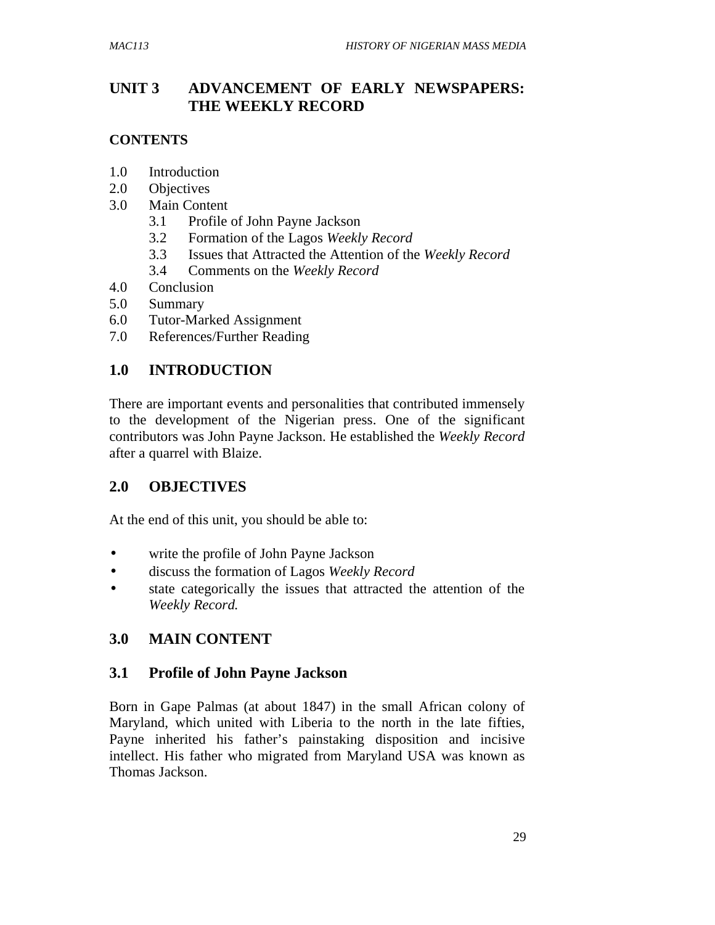# **UNIT 3 ADVANCEMENT OF EARLY NEWSPAPERS: THE WEEKLY RECORD**

## **CONTENTS**

- 1.0 Introduction
- 2.0 Objectives
- 3.0 Main Content
	- 3.1 Profile of John Payne Jackson
	- 3.2 Formation of the Lagos *Weekly Record*
	- 3.3 Issues that Attracted the Attention of the *Weekly Record*
	- 3.4 Comments on the *Weekly Record*
- 4.0 Conclusion
- 5.0 Summary
- 6.0 Tutor-Marked Assignment
- 7.0 References/Further Reading

# **1.0 INTRODUCTION**

There are important events and personalities that contributed immensely to the development of the Nigerian press. One of the significant contributors was John Payne Jackson. He established the *Weekly Record* after a quarrel with Blaize.

# **2.0 OBJECTIVES**

At the end of this unit, you should be able to:

- write the profile of John Payne Jackson
- discuss the formation of Lagos *Weekly Record*
- state categorically the issues that attracted the attention of the *Weekly Record.*

# **3.0 MAIN CONTENT**

# **3.1 Profile of John Payne Jackson**

Born in Gape Palmas (at about 1847) in the small African colony of Maryland, which united with Liberia to the north in the late fifties, Payne inherited his father's painstaking disposition and incisive intellect. His father who migrated from Maryland USA was known as Thomas Jackson.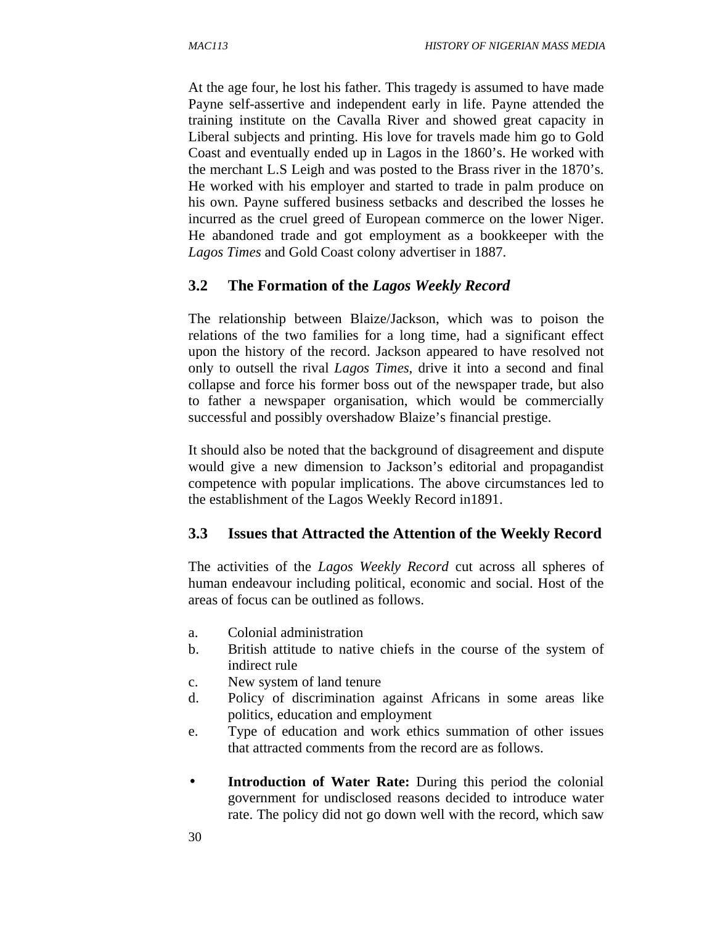At the age four, he lost his father. This tragedy is assumed to have made Payne self-assertive and independent early in life. Payne attended the training institute on the Cavalla River and showed great capacity in Liberal subjects and printing. His love for travels made him go to Gold Coast and eventually ended up in Lagos in the 1860's. He worked with the merchant L.S Leigh and was posted to the Brass river in the 1870's. He worked with his employer and started to trade in palm produce on his own. Payne suffered business setbacks and described the losses he incurred as the cruel greed of European commerce on the lower Niger. He abandoned trade and got employment as a bookkeeper with the *Lagos Times* and Gold Coast colony advertiser in 1887.

### **3.2 The Formation of the** *Lagos Weekly Record*

The relationship between Blaize/Jackson, which was to poison the relations of the two families for a long time, had a significant effect upon the history of the record. Jackson appeared to have resolved not only to outsell the rival *Lagos Times*, drive it into a second and final collapse and force his former boss out of the newspaper trade, but also to father a newspaper organisation, which would be commercially successful and possibly overshadow Blaize's financial prestige.

It should also be noted that the background of disagreement and dispute would give a new dimension to Jackson's editorial and propagandist competence with popular implications. The above circumstances led to the establishment of the Lagos Weekly Record in1891.

### **3.3 Issues that Attracted the Attention of the Weekly Record**

The activities of the *Lagos Weekly Record* cut across all spheres of human endeavour including political, economic and social. Host of the areas of focus can be outlined as follows.

- a. Colonial administration
- b. British attitude to native chiefs in the course of the system of indirect rule
- c. New system of land tenure
- d. Policy of discrimination against Africans in some areas like politics, education and employment
- e. Type of education and work ethics summation of other issues that attracted comments from the record are as follows.
- **Introduction of Water Rate:** During this period the colonial government for undisclosed reasons decided to introduce water rate. The policy did not go down well with the record, which saw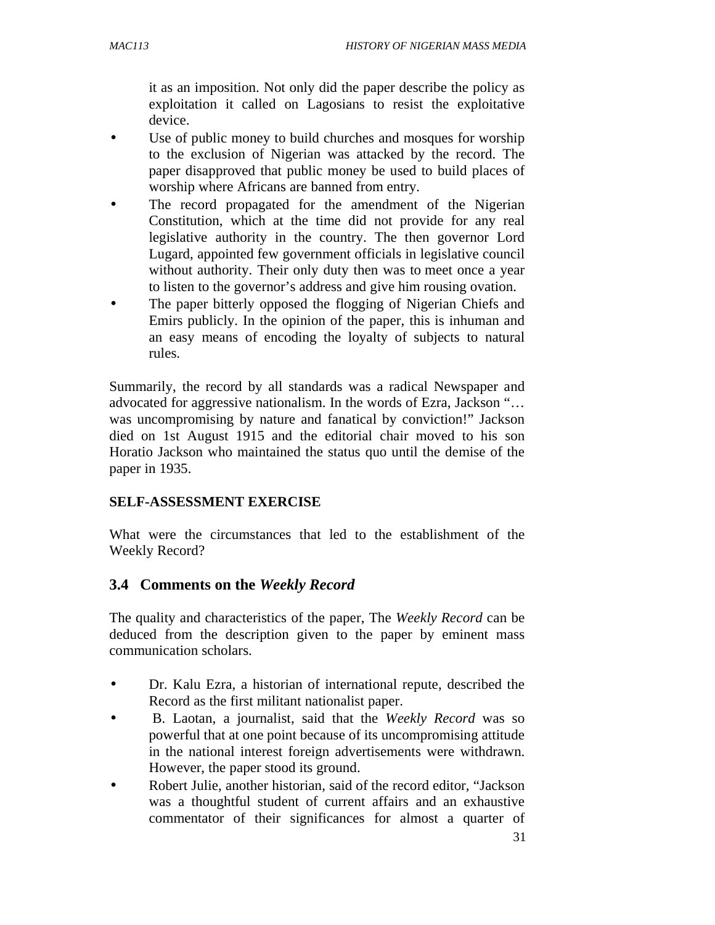it as an imposition. Not only did the paper describe the policy as exploitation it called on Lagosians to resist the exploitative device.

- Use of public money to build churches and mosques for worship to the exclusion of Nigerian was attacked by the record. The paper disapproved that public money be used to build places of worship where Africans are banned from entry.
- The record propagated for the amendment of the Nigerian Constitution, which at the time did not provide for any real legislative authority in the country. The then governor Lord Lugard, appointed few government officials in legislative council without authority. Their only duty then was to meet once a year to listen to the governor's address and give him rousing ovation.
- The paper bitterly opposed the flogging of Nigerian Chiefs and Emirs publicly. In the opinion of the paper, this is inhuman and an easy means of encoding the loyalty of subjects to natural rules.

Summarily, the record by all standards was a radical Newspaper and advocated for aggressive nationalism. In the words of Ezra, Jackson "… was uncompromising by nature and fanatical by conviction!" Jackson died on 1st August 1915 and the editorial chair moved to his son Horatio Jackson who maintained the status quo until the demise of the paper in 1935.

#### **SELF-ASSESSMENT EXERCISE**

What were the circumstances that led to the establishment of the Weekly Record?

### **3.4 Comments on the** *Weekly Record*

The quality and characteristics of the paper, The *Weekly Record* can be deduced from the description given to the paper by eminent mass communication scholars.

- Dr. Kalu Ezra, a historian of international repute, described the Record as the first militant nationalist paper.
- B. Laotan, a journalist, said that the *Weekly Record* was so powerful that at one point because of its uncompromising attitude in the national interest foreign advertisements were withdrawn. However, the paper stood its ground.
- Robert Julie, another historian, said of the record editor, "Jackson was a thoughtful student of current affairs and an exhaustive commentator of their significances for almost a quarter of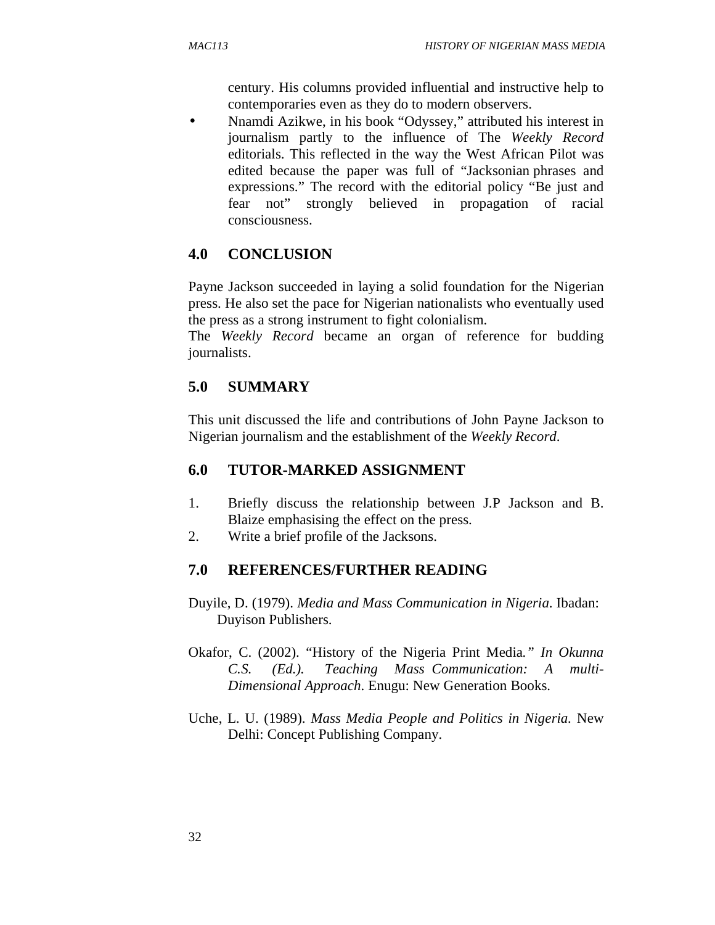century. His columns provided influential and instructive help to contemporaries even as they do to modern observers.

• Nnamdi Azikwe, in his book "Odyssey," attributed his interest in journalism partly to the influence of The *Weekly Record*  editorials. This reflected in the way the West African Pilot was edited because the paper was full of "Jacksonian phrases and expressions." The record with the editorial policy "Be just and fear not" strongly believed in propagation of racial consciousness.

# **4.0 CONCLUSION**

Payne Jackson succeeded in laying a solid foundation for the Nigerian press. He also set the pace for Nigerian nationalists who eventually used the press as a strong instrument to fight colonialism.

The *Weekly Record* became an organ of reference for budding journalists.

# **5.0 SUMMARY**

This unit discussed the life and contributions of John Payne Jackson to Nigerian journalism and the establishment of the *Weekly Record*.

# **6.0 TUTOR-MARKED ASSIGNMENT**

- 1. Briefly discuss the relationship between J.P Jackson and B. Blaize emphasising the effect on the press.
- 2. Write a brief profile of the Jacksons.

# **7.0 REFERENCES/FURTHER READING**

- Duyile, D. (1979). *Media and Mass Communication in Nigeria*. Ibadan: Duyison Publishers.
- Okafor, C. (2002). "History of the Nigeria Print Media*." In Okunna C.S. (Ed.). Teaching Mass Communication: A multi-Dimensional Approach*. Enugu: New Generation Books.
- Uche, L. U. (1989). *Mass Media People and Politics in Nigeria.* New Delhi: Concept Publishing Company.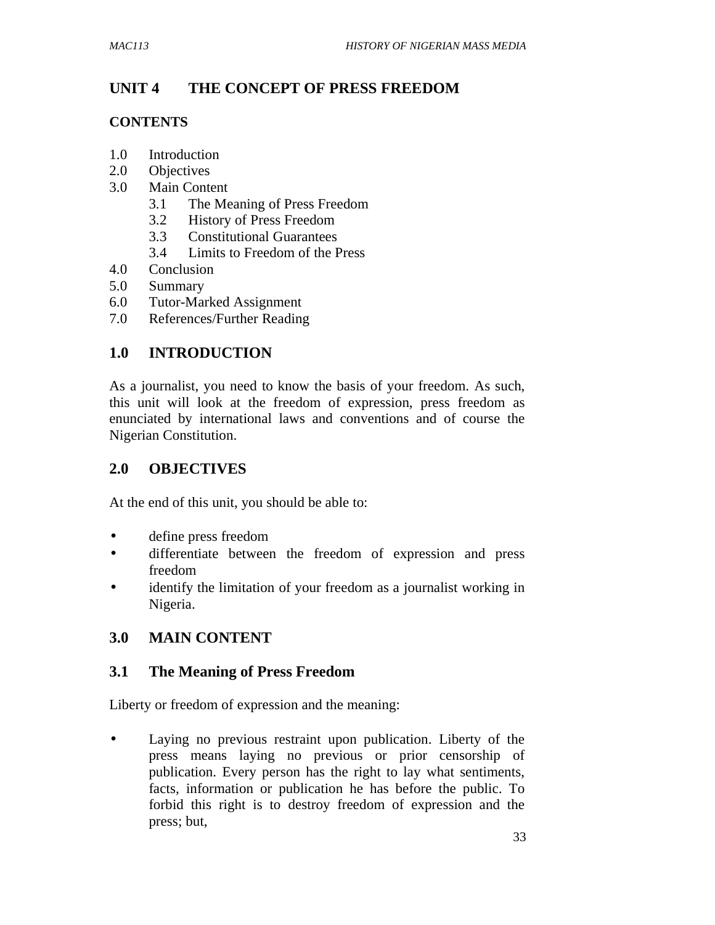# **UNIT 4 THE CONCEPT OF PRESS FREEDOM**

### **CONTENTS**

- 1.0 Introduction
- 2.0 Objectives
- 3.0 Main Content
	- 3.1 The Meaning of Press Freedom
	- 3.2 History of Press Freedom
	- 3.3 Constitutional Guarantees
	- 3.4 Limits to Freedom of the Press
- 4.0 Conclusion
- 5.0 Summary
- 6.0 Tutor-Marked Assignment
- 7.0 References/Further Reading

# **1.0 INTRODUCTION**

As a journalist, you need to know the basis of your freedom. As such, this unit will look at the freedom of expression, press freedom as enunciated by international laws and conventions and of course the Nigerian Constitution.

# **2.0 OBJECTIVES**

At the end of this unit, you should be able to:

- define press freedom
- differentiate between the freedom of expression and press freedom
- identify the limitation of your freedom as a journalist working in Nigeria.

# **3.0 MAIN CONTENT**

### **3.1 The Meaning of Press Freedom**

Liberty or freedom of expression and the meaning:

• Laying no previous restraint upon publication. Liberty of the press means laying no previous or prior censorship of publication. Every person has the right to lay what sentiments, facts, information or publication he has before the public. To forbid this right is to destroy freedom of expression and the press; but,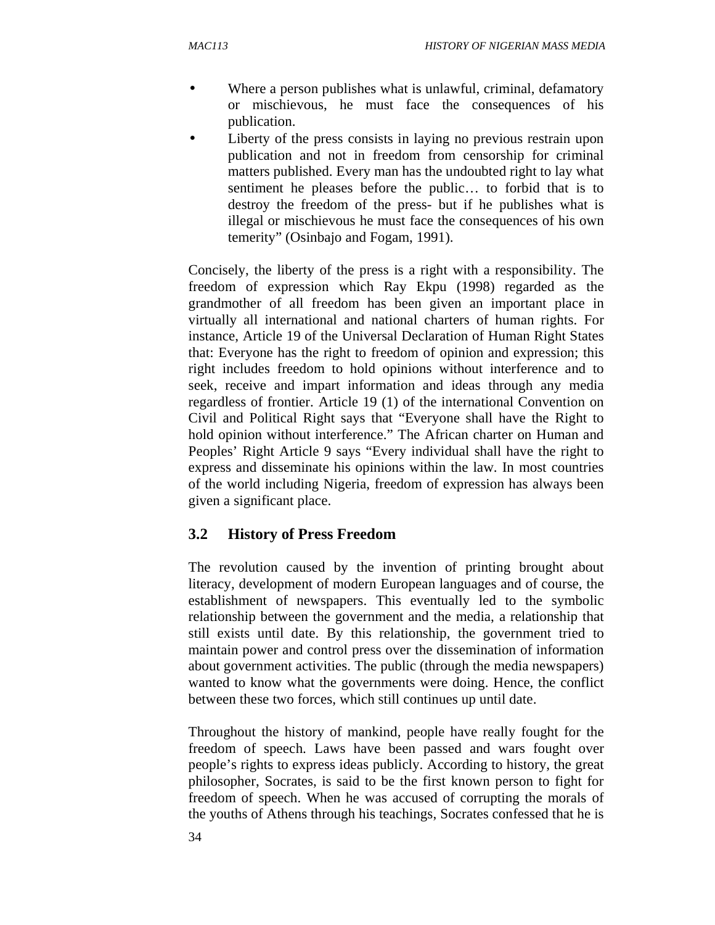- Where a person publishes what is unlawful, criminal, defamatory or mischievous, he must face the consequences of his publication.
- Liberty of the press consists in laying no previous restrain upon publication and not in freedom from censorship for criminal matters published. Every man has the undoubted right to lay what sentiment he pleases before the public… to forbid that is to destroy the freedom of the press- but if he publishes what is illegal or mischievous he must face the consequences of his own temerity" (Osinbajo and Fogam, 1991).

Concisely, the liberty of the press is a right with a responsibility. The freedom of expression which Ray Ekpu (1998) regarded as the grandmother of all freedom has been given an important place in virtually all international and national charters of human rights. For instance, Article 19 of the Universal Declaration of Human Right States that: Everyone has the right to freedom of opinion and expression; this right includes freedom to hold opinions without interference and to seek, receive and impart information and ideas through any media regardless of frontier. Article 19 (1) of the international Convention on Civil and Political Right says that "Everyone shall have the Right to hold opinion without interference." The African charter on Human and Peoples' Right Article 9 says "Every individual shall have the right to express and disseminate his opinions within the law. In most countries of the world including Nigeria, freedom of expression has always been given a significant place.

# **3.2 History of Press Freedom**

The revolution caused by the invention of printing brought about literacy, development of modern European languages and of course, the establishment of newspapers. This eventually led to the symbolic relationship between the government and the media, a relationship that still exists until date. By this relationship, the government tried to maintain power and control press over the dissemination of information about government activities. The public (through the media newspapers) wanted to know what the governments were doing. Hence, the conflict between these two forces, which still continues up until date.

Throughout the history of mankind, people have really fought for the freedom of speech. Laws have been passed and wars fought over people's rights to express ideas publicly. According to history, the great philosopher, Socrates, is said to be the first known person to fight for freedom of speech. When he was accused of corrupting the morals of the youths of Athens through his teachings, Socrates confessed that he is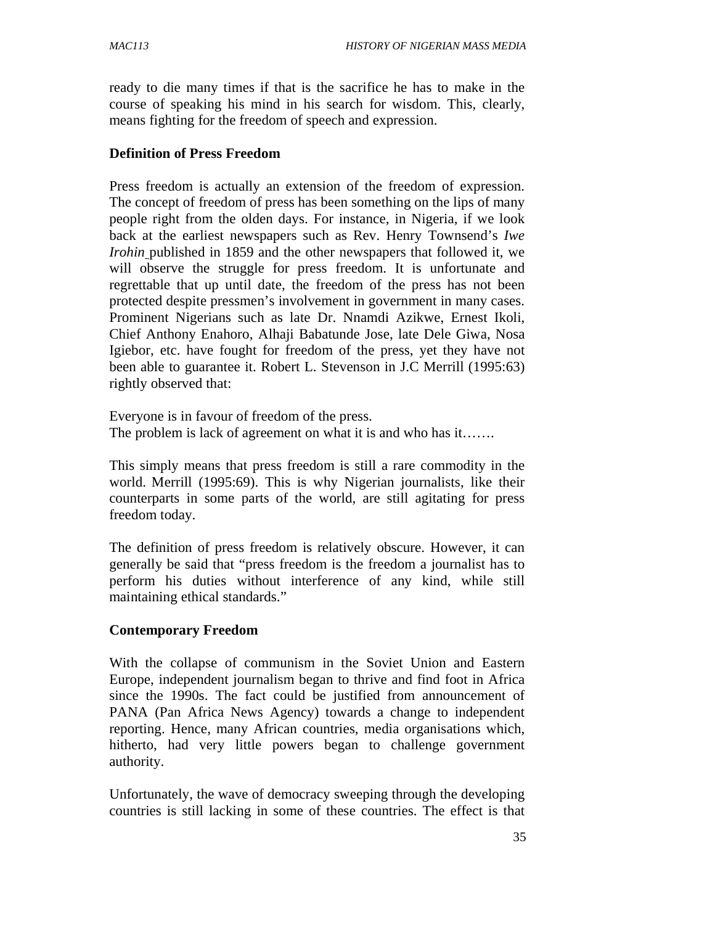ready to die many times if that is the sacrifice he has to make in the course of speaking his mind in his search for wisdom. This, clearly, means fighting for the freedom of speech and expression.

### **Definition of Press Freedom**

Press freedom is actually an extension of the freedom of expression. The concept of freedom of press has been something on the lips of many people right from the olden days. For instance, in Nigeria, if we look back at the earliest newspapers such as Rev. Henry Townsend's *Iwe Irohin* published in 1859 and the other newspapers that followed it, we will observe the struggle for press freedom. It is unfortunate and regrettable that up until date, the freedom of the press has not been protected despite pressmen's involvement in government in many cases. Prominent Nigerians such as late Dr. Nnamdi Azikwe, Ernest Ikoli, Chief Anthony Enahoro, Alhaji Babatunde Jose, late Dele Giwa, Nosa Igiebor, etc. have fought for freedom of the press, yet they have not been able to guarantee it. Robert L. Stevenson in J.C Merrill (1995:63) rightly observed that:

Everyone is in favour of freedom of the press. The problem is lack of agreement on what it is and who has it…….

This simply means that press freedom is still a rare commodity in the world. Merrill (1995:69). This is why Nigerian journalists, like their counterparts in some parts of the world, are still agitating for press freedom today.

The definition of press freedom is relatively obscure. However, it can generally be said that "press freedom is the freedom a journalist has to perform his duties without interference of any kind, while still maintaining ethical standards."

### **Contemporary Freedom**

With the collapse of communism in the Soviet Union and Eastern Europe, independent journalism began to thrive and find foot in Africa since the 1990s. The fact could be justified from announcement of PANA (Pan Africa News Agency) towards a change to independent reporting. Hence, many African countries, media organisations which, hitherto, had very little powers began to challenge government authority.

Unfortunately, the wave of democracy sweeping through the developing countries is still lacking in some of these countries. The effect is that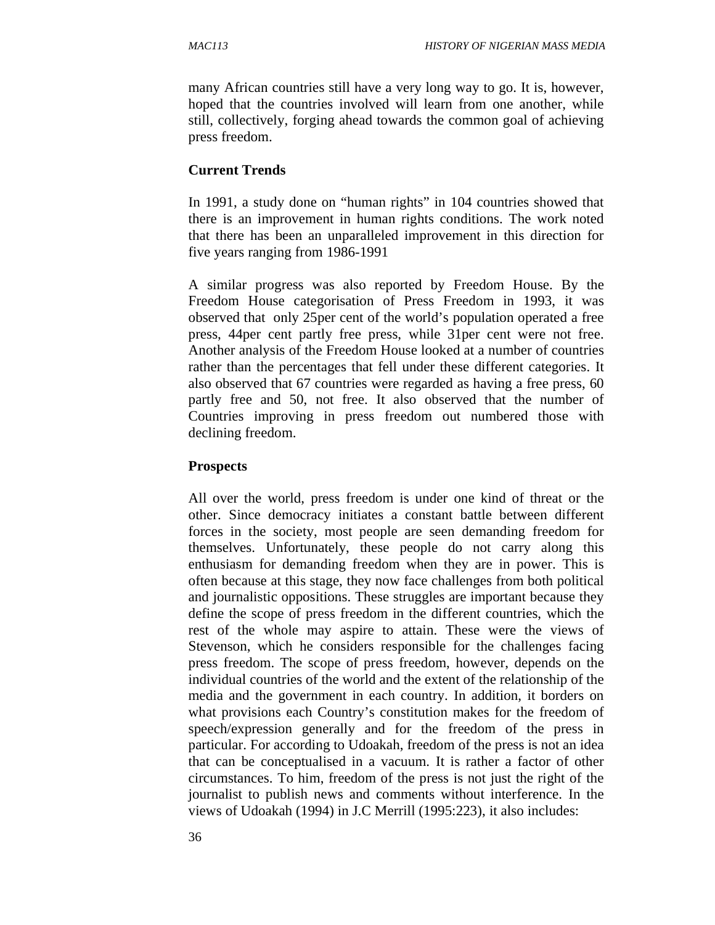many African countries still have a very long way to go. It is, however, hoped that the countries involved will learn from one another, while still, collectively, forging ahead towards the common goal of achieving press freedom.

#### **Current Trends**

In 1991, a study done on "human rights" in 104 countries showed that there is an improvement in human rights conditions. The work noted that there has been an unparalleled improvement in this direction for five years ranging from 1986-1991

A similar progress was also reported by Freedom House. By the Freedom House categorisation of Press Freedom in 1993, it was observed that only 25per cent of the world's population operated a free press, 44per cent partly free press, while 31per cent were not free. Another analysis of the Freedom House looked at a number of countries rather than the percentages that fell under these different categories. It also observed that 67 countries were regarded as having a free press, 60 partly free and 50, not free. It also observed that the number of Countries improving in press freedom out numbered those with declining freedom.

#### **Prospects**

All over the world, press freedom is under one kind of threat or the other. Since democracy initiates a constant battle between different forces in the society, most people are seen demanding freedom for themselves. Unfortunately, these people do not carry along this enthusiasm for demanding freedom when they are in power. This is often because at this stage, they now face challenges from both political and journalistic oppositions. These struggles are important because they define the scope of press freedom in the different countries, which the rest of the whole may aspire to attain. These were the views of Stevenson, which he considers responsible for the challenges facing press freedom. The scope of press freedom, however, depends on the individual countries of the world and the extent of the relationship of the media and the government in each country. In addition, it borders on what provisions each Country's constitution makes for the freedom of speech/expression generally and for the freedom of the press in particular. For according to Udoakah, freedom of the press is not an idea that can be conceptualised in a vacuum. It is rather a factor of other circumstances. To him, freedom of the press is not just the right of the journalist to publish news and comments without interference. In the views of Udoakah (1994) in J.C Merrill (1995:223), it also includes: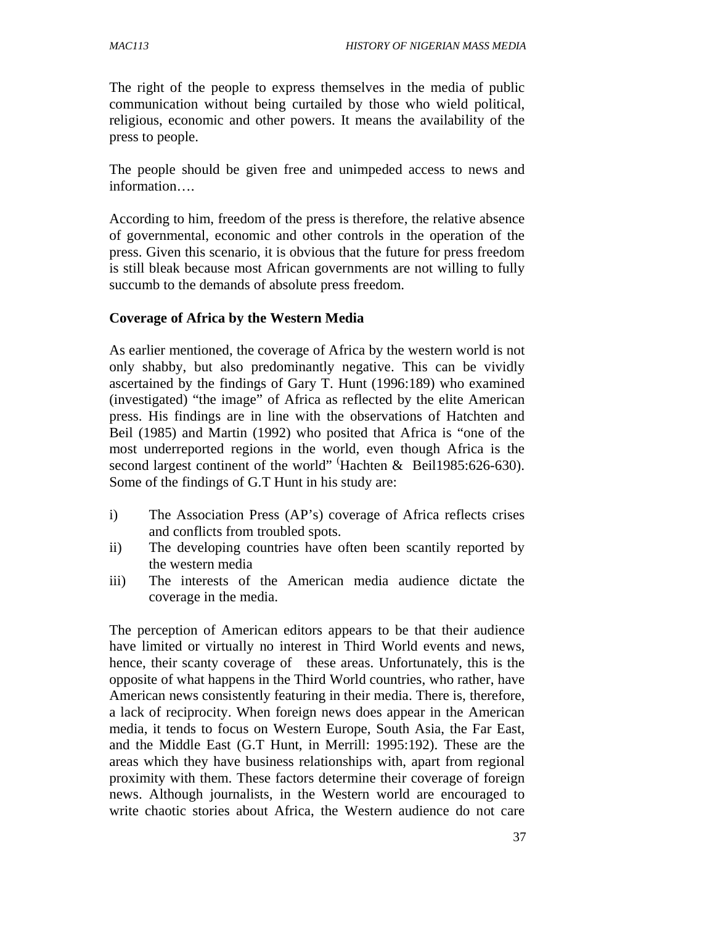The right of the people to express themselves in the media of public communication without being curtailed by those who wield political, religious, economic and other powers. It means the availability of the press to people.

The people should be given free and unimpeded access to news and information….

According to him, freedom of the press is therefore, the relative absence of governmental, economic and other controls in the operation of the press. Given this scenario, it is obvious that the future for press freedom is still bleak because most African governments are not willing to fully succumb to the demands of absolute press freedom.

### **Coverage of Africa by the Western Media**

As earlier mentioned, the coverage of Africa by the western world is not only shabby, but also predominantly negative. This can be vividly ascertained by the findings of Gary T. Hunt (1996:189) who examined (investigated) "the image" of Africa as reflected by the elite American press. His findings are in line with the observations of Hatchten and Beil (1985) and Martin (1992) who posited that Africa is "one of the most underreported regions in the world, even though Africa is the second largest continent of the world" 'Hachten & Beil1985:626-630). Some of the findings of G.T Hunt in his study are:

- i) The Association Press (AP's) coverage of Africa reflects crises and conflicts from troubled spots.
- ii) The developing countries have often been scantily reported by the western media
- iii) The interests of the American media audience dictate the coverage in the media.

The perception of American editors appears to be that their audience have limited or virtually no interest in Third World events and news, hence, their scanty coverage of these areas. Unfortunately, this is the opposite of what happens in the Third World countries, who rather, have American news consistently featuring in their media. There is, therefore, a lack of reciprocity. When foreign news does appear in the American media, it tends to focus on Western Europe, South Asia, the Far East, and the Middle East (G.T Hunt, in Merrill: 1995:192). These are the areas which they have business relationships with, apart from regional proximity with them. These factors determine their coverage of foreign news. Although journalists, in the Western world are encouraged to write chaotic stories about Africa, the Western audience do not care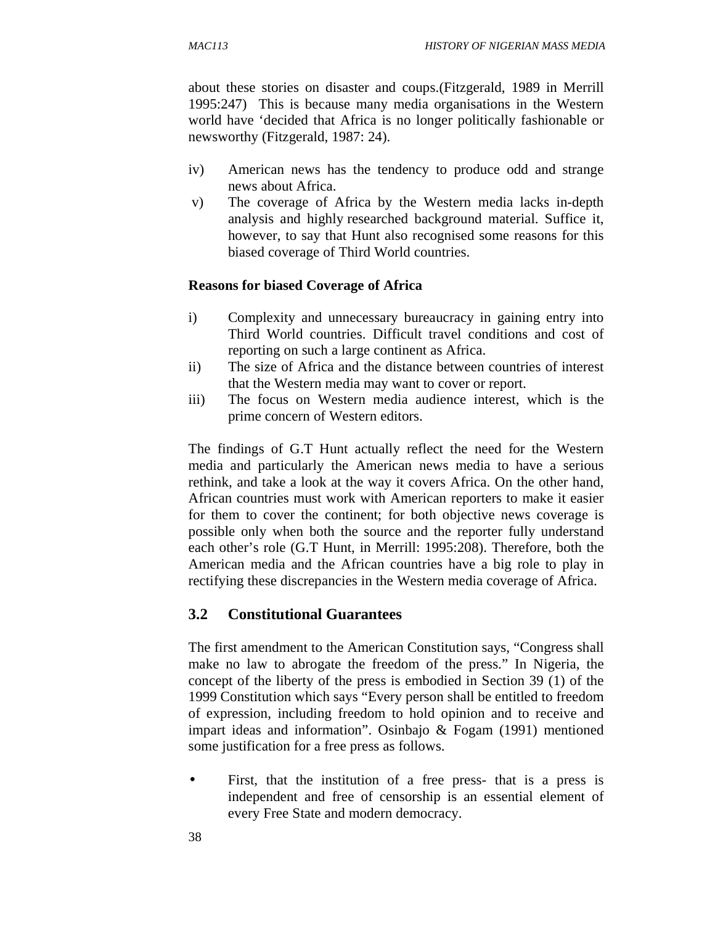about these stories on disaster and coups.(Fitzgerald, 1989 in Merrill 1995:247) This is because many media organisations in the Western world have 'decided that Africa is no longer politically fashionable or newsworthy (Fitzgerald, 1987: 24).

- iv) American news has the tendency to produce odd and strange news about Africa.
- v) The coverage of Africa by the Western media lacks in-depth analysis and highly researched background material. Suffice it, however, to say that Hunt also recognised some reasons for this biased coverage of Third World countries.

### **Reasons for biased Coverage of Africa**

- i) Complexity and unnecessary bureaucracy in gaining entry into Third World countries. Difficult travel conditions and cost of reporting on such a large continent as Africa.
- ii) The size of Africa and the distance between countries of interest that the Western media may want to cover or report.
- iii) The focus on Western media audience interest, which is the prime concern of Western editors.

The findings of G.T Hunt actually reflect the need for the Western media and particularly the American news media to have a serious rethink, and take a look at the way it covers Africa. On the other hand, African countries must work with American reporters to make it easier for them to cover the continent; for both objective news coverage is possible only when both the source and the reporter fully understand each other's role (G.T Hunt, in Merrill: 1995:208). Therefore, both the American media and the African countries have a big role to play in rectifying these discrepancies in the Western media coverage of Africa.

# **3.2 Constitutional Guarantees**

The first amendment to the American Constitution says, "Congress shall make no law to abrogate the freedom of the press." In Nigeria, the concept of the liberty of the press is embodied in Section 39 (1) of the 1999 Constitution which says "Every person shall be entitled to freedom of expression, including freedom to hold opinion and to receive and impart ideas and information". Osinbajo & Fogam (1991) mentioned some justification for a free press as follows.

First, that the institution of a free press- that is a press is independent and free of censorship is an essential element of every Free State and modern democracy.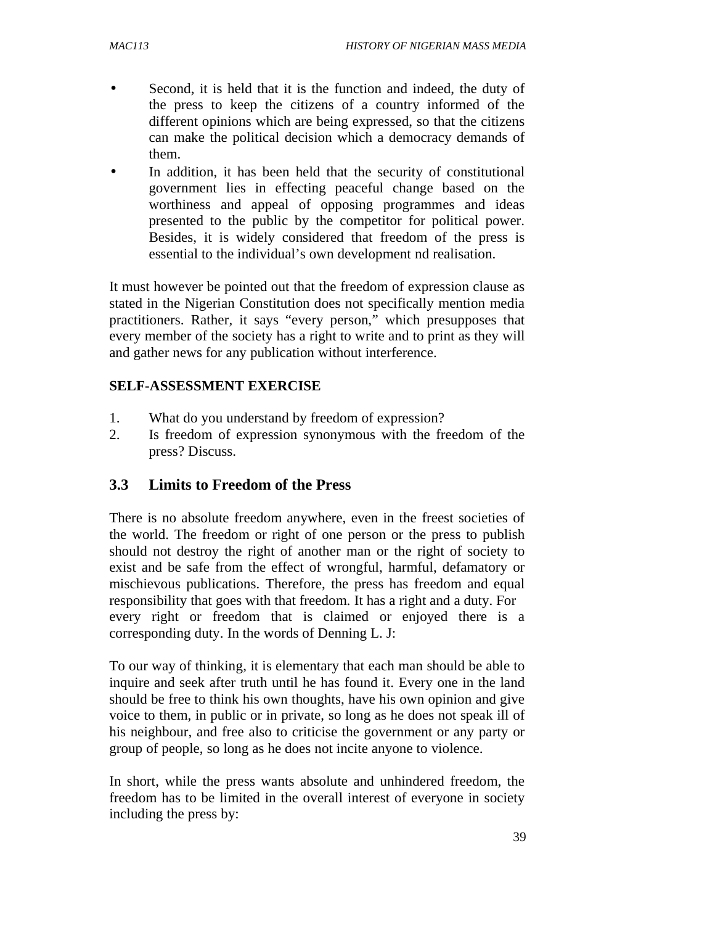- Second, it is held that it is the function and indeed, the duty of the press to keep the citizens of a country informed of the different opinions which are being expressed, so that the citizens can make the political decision which a democracy demands of them.
- In addition, it has been held that the security of constitutional government lies in effecting peaceful change based on the worthiness and appeal of opposing programmes and ideas presented to the public by the competitor for political power. Besides, it is widely considered that freedom of the press is essential to the individual's own development nd realisation.

It must however be pointed out that the freedom of expression clause as stated in the Nigerian Constitution does not specifically mention media practitioners. Rather, it says "every person," which presupposes that every member of the society has a right to write and to print as they will and gather news for any publication without interference.

### **SELF-ASSESSMENT EXERCISE**

- 1. What do you understand by freedom of expression?
- 2. Is freedom of expression synonymous with the freedom of the press? Discuss.

# **3.3 Limits to Freedom of the Press**

There is no absolute freedom anywhere, even in the freest societies of the world. The freedom or right of one person or the press to publish should not destroy the right of another man or the right of society to exist and be safe from the effect of wrongful, harmful, defamatory or mischievous publications. Therefore, the press has freedom and equal responsibility that goes with that freedom. It has a right and a duty. For every right or freedom that is claimed or enjoyed there is a corresponding duty. In the words of Denning L. J:

To our way of thinking, it is elementary that each man should be able to inquire and seek after truth until he has found it. Every one in the land should be free to think his own thoughts, have his own opinion and give voice to them, in public or in private, so long as he does not speak ill of his neighbour, and free also to criticise the government or any party or group of people, so long as he does not incite anyone to violence.

In short, while the press wants absolute and unhindered freedom, the freedom has to be limited in the overall interest of everyone in society including the press by: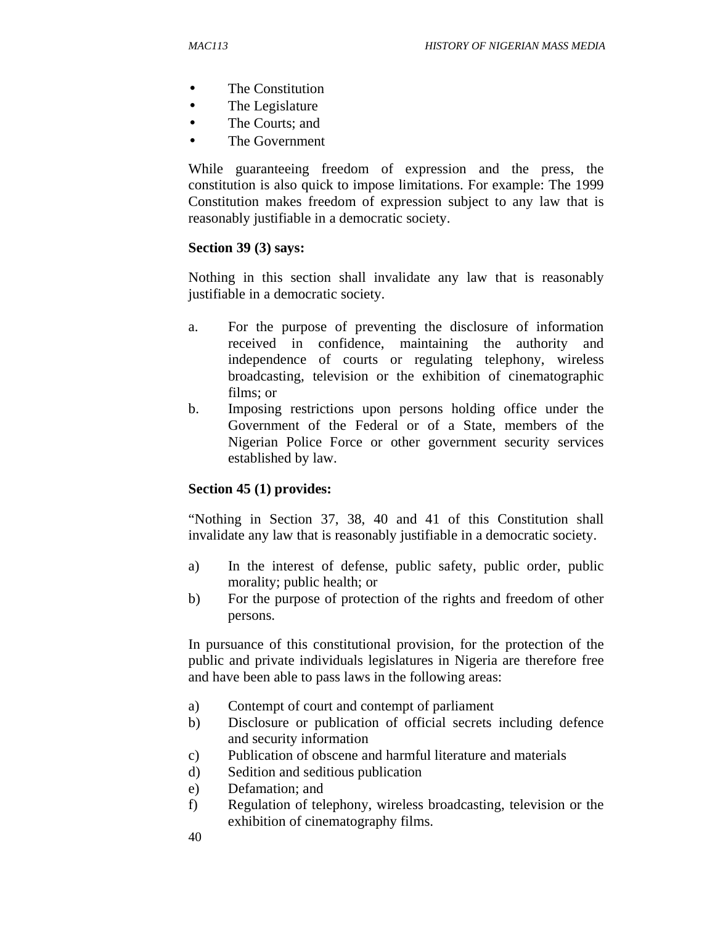- The Constitution
- The Legislature
- The Courts: and
- The Government

While guaranteeing freedom of expression and the press, the constitution is also quick to impose limitations. For example: The 1999 Constitution makes freedom of expression subject to any law that is reasonably justifiable in a democratic society.

### **Section 39 (3) says:**

Nothing in this section shall invalidate any law that is reasonably justifiable in a democratic society.

- a. For the purpose of preventing the disclosure of information received in confidence, maintaining the authority and independence of courts or regulating telephony, wireless broadcasting, television or the exhibition of cinematographic films; or
- b. Imposing restrictions upon persons holding office under the Government of the Federal or of a State, members of the Nigerian Police Force or other government security services established by law.

### **Section 45 (1) provides:**

"Nothing in Section 37, 38, 40 and 41 of this Constitution shall invalidate any law that is reasonably justifiable in a democratic society.

- a) In the interest of defense, public safety, public order, public morality; public health; or
- b) For the purpose of protection of the rights and freedom of other persons.

In pursuance of this constitutional provision, for the protection of the public and private individuals legislatures in Nigeria are therefore free and have been able to pass laws in the following areas:

- a) Contempt of court and contempt of parliament
- b) Disclosure or publication of official secrets including defence and security information
- c) Publication of obscene and harmful literature and materials
- d) Sedition and seditious publication
- e) Defamation; and
- f) Regulation of telephony, wireless broadcasting, television or the exhibition of cinematography films.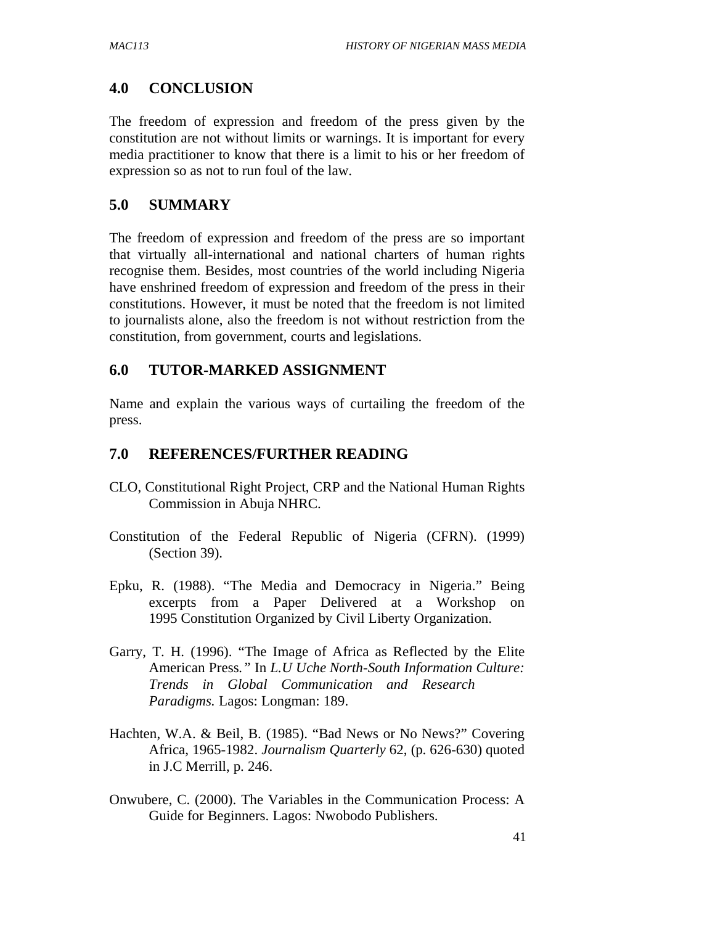# **4.0 CONCLUSION**

The freedom of expression and freedom of the press given by the constitution are not without limits or warnings. It is important for every media practitioner to know that there is a limit to his or her freedom of expression so as not to run foul of the law.

### **5.0 SUMMARY**

The freedom of expression and freedom of the press are so important that virtually all-international and national charters of human rights recognise them. Besides, most countries of the world including Nigeria have enshrined freedom of expression and freedom of the press in their constitutions. However, it must be noted that the freedom is not limited to journalists alone, also the freedom is not without restriction from the constitution, from government, courts and legislations.

### **6.0 TUTOR-MARKED ASSIGNMENT**

Name and explain the various ways of curtailing the freedom of the press.

### **7.0 REFERENCES/FURTHER READING**

- CLO, Constitutional Right Project, CRP and the National Human Rights Commission in Abuja NHRC.
- Constitution of the Federal Republic of Nigeria (CFRN). (1999) (Section 39).
- Epku, R. (1988). "The Media and Democracy in Nigeria." Being excerpts from a Paper Delivered at a Workshop on 1995 Constitution Organized by Civil Liberty Organization.
- Garry, T. H. (1996). "The Image of Africa as Reflected by the Elite American Press*."* In *L.U Uche North-South Information Culture: Trends in Global Communication and Research Paradigms.* Lagos: Longman: 189.
- Hachten, W.A. & Beil, B. (1985). "Bad News or No News?" Covering Africa, 1965-1982. *Journalism Quarterly* 62, (p. 626-630) quoted in J.C Merrill, p. 246.
- Onwubere, C. (2000). The Variables in the Communication Process: A Guide for Beginners. Lagos: Nwobodo Publishers.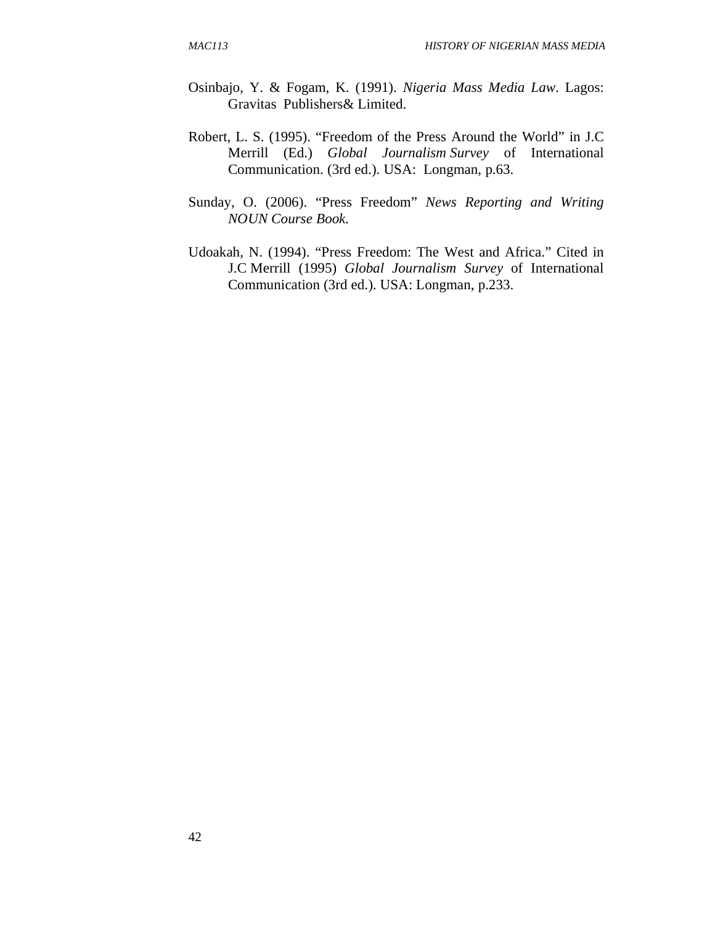- Osinbajo, Y. & Fogam, K. (1991). *Nigeria Mass Media Law*. Lagos: Gravitas Publishers& Limited.
- Robert, L. S. (1995). "Freedom of the Press Around the World" in J.C Merrill (Ed.) *Global Journalism Survey* of International Communication. (3rd ed.). USA: Longman, p.63.
- Sunday, O. (2006). "Press Freedom" *News Reporting and Writing NOUN Course Book.*
- Udoakah, N. (1994). "Press Freedom: The West and Africa." Cited in J.C Merrill (1995) *Global Journalism Survey* of International Communication (3rd ed.). USA: Longman, p.233.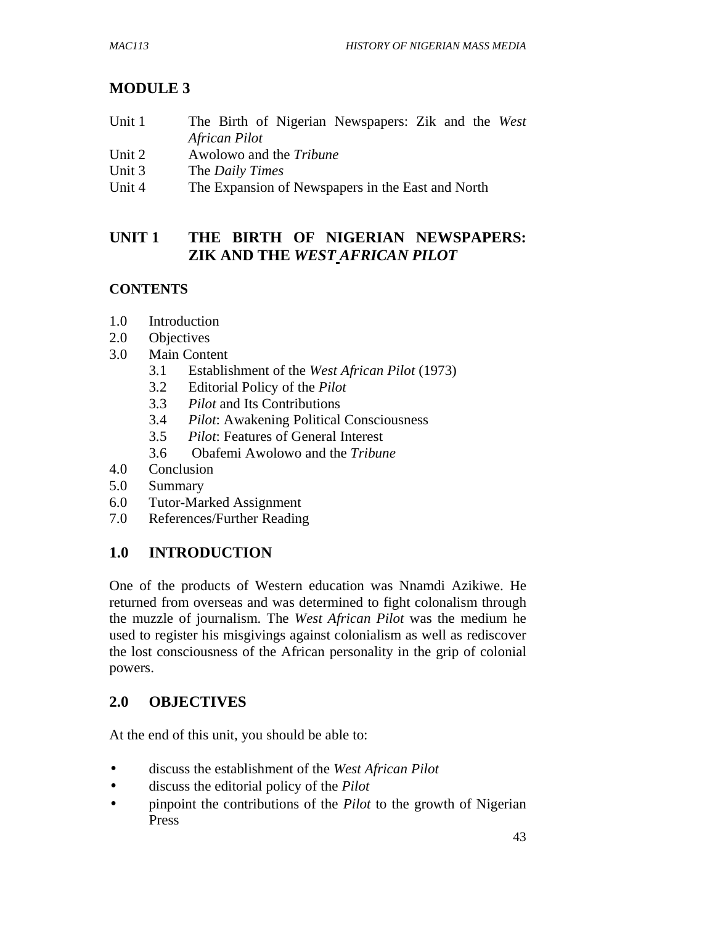# **MODULE 3**

- Unit 1 The Birth of Nigerian Newspapers: Zik and the *West African Pilot*
- Unit 2 Awolowo and the *Tribune*
- Unit 3 The *Daily Times*
- Unit 4 The Expansion of Newspapers in the East and North

# **UNIT 1 THE BIRTH OF NIGERIAN NEWSPAPERS: ZIK AND THE** *WEST AFRICAN PILOT*

# **CONTENTS**

- 1.0 Introduction
- 2.0 Objectives
- 3.0 Main Content
	- 3.1 Establishment of the *West African Pilot* (1973)
	- 3.2 Editorial Policy of the *Pilot*
	- 3.3 *Pilot* and Its Contributions
	- 3.4 *Pilot*: Awakening Political Consciousness
	- 3.5 *Pilot*: Features of General Interest
	- 3.6 Obafemi Awolowo and the *Tribune*
- 4.0 Conclusion
- 5.0 Summary
- 6.0 Tutor-Marked Assignment
- 7.0 References/Further Reading

# **1.0 INTRODUCTION**

One of the products of Western education was Nnamdi Azikiwe. He returned from overseas and was determined to fight colonalism through the muzzle of journalism. The *West African Pilot* was the medium he used to register his misgivings against colonialism as well as rediscover the lost consciousness of the African personality in the grip of colonial powers.

# **2.0 OBJECTIVES**

At the end of this unit, you should be able to:

- discuss the establishment of the *West African Pilot*
- discuss the editorial policy of the *Pilot*
- pinpoint the contributions of the *Pilot* to the growth of Nigerian Press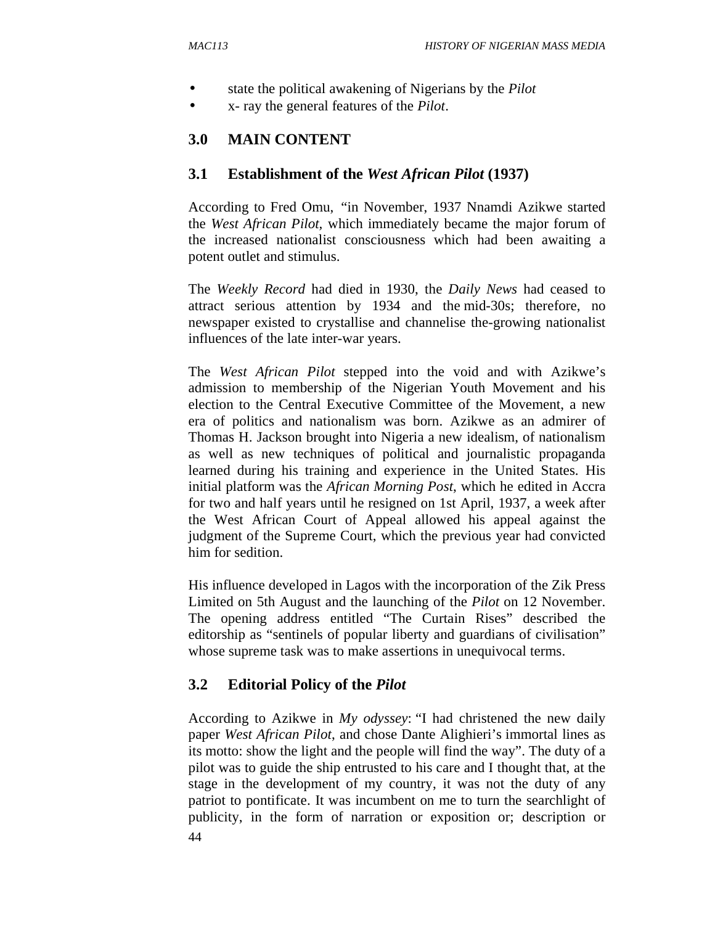- state the political awakening of Nigerians by the *Pilot*
- x- ray the general features of the *Pilot*.

# **3.0 MAIN CONTENT**

### **3.1 Establishment of the** *West African Pilot* **(1937)**

According to Fred Omu, "in November, 1937 Nnamdi Azikwe started the *West African Pilot,* which immediately became the major forum of the increased nationalist consciousness which had been awaiting a potent outlet and stimulus.

The *Weekly Record* had died in 1930, the *Daily News* had ceased to attract serious attention by 1934 and the mid-30s; therefore, no newspaper existed to crystallise and channelise the-growing nationalist influences of the late inter-war years.

The *West African Pilot* stepped into the void and with Azikwe's admission to membership of the Nigerian Youth Movement and his election to the Central Executive Committee of the Movement, a new era of politics and nationalism was born. Azikwe as an admirer of Thomas H. Jackson brought into Nigeria a new idealism, of nationalism as well as new techniques of political and journalistic propaganda learned during his training and experience in the United States. His initial platform was the *African Morning Post*, which he edited in Accra for two and half years until he resigned on 1st April, 1937, a week after the West African Court of Appeal allowed his appeal against the judgment of the Supreme Court, which the previous year had convicted him for sedition.

His influence developed in Lagos with the incorporation of the Zik Press Limited on 5th August and the launching of the *Pilot* on 12 November. The opening address entitled "The Curtain Rises" described the editorship as "sentinels of popular liberty and guardians of civilisation" whose supreme task was to make assertions in unequivocal terms.

# **3.2 Editorial Policy of the** *Pilot*

44 According to Azikwe in *My odyssey*: "I had christened the new daily paper *West African Pilot*, and chose Dante Alighieri's immortal lines as its motto: show the light and the people will find the way". The duty of a pilot was to guide the ship entrusted to his care and I thought that, at the stage in the development of my country, it was not the duty of any patriot to pontificate. It was incumbent on me to turn the searchlight of publicity, in the form of narration or exposition or; description or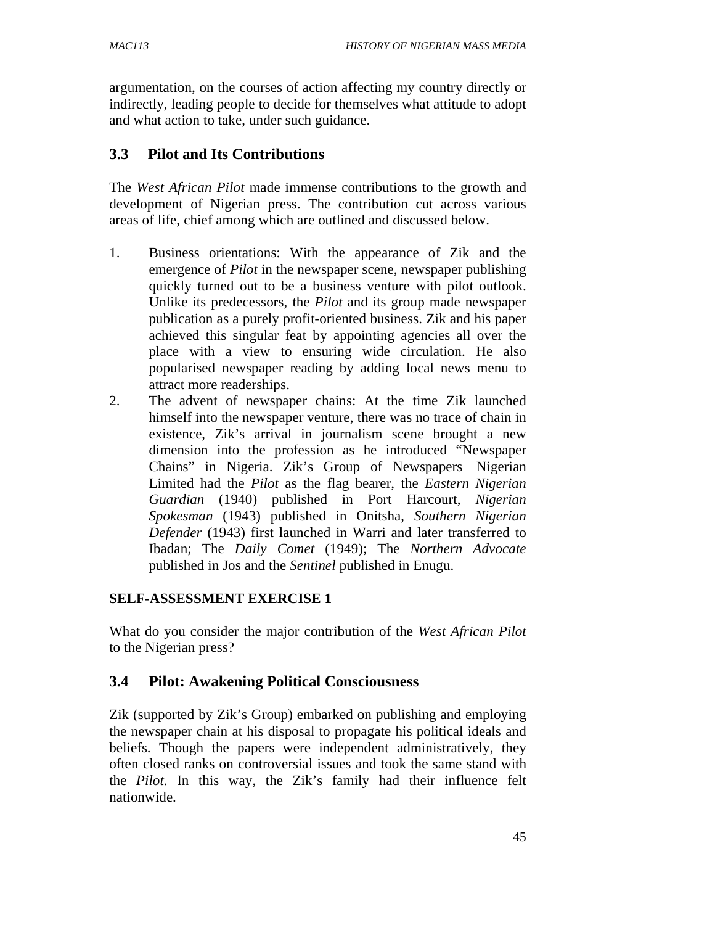argumentation, on the courses of action affecting my country directly or indirectly, leading people to decide for themselves what attitude to adopt and what action to take, under such guidance.

## **3.3 Pilot and Its Contributions**

The *West African Pilot* made immense contributions to the growth and development of Nigerian press. The contribution cut across various areas of life, chief among which are outlined and discussed below.

- 1. Business orientations: With the appearance of Zik and the emergence of *Pilot* in the newspaper scene, newspaper publishing quickly turned out to be a business venture with pilot outlook. Unlike its predecessors, the *Pilot* and its group made newspaper publication as a purely profit-oriented business. Zik and his paper achieved this singular feat by appointing agencies all over the place with a view to ensuring wide circulation. He also popularised newspaper reading by adding local news menu to attract more readerships.
- 2. The advent of newspaper chains: At the time Zik launched himself into the newspaper venture, there was no trace of chain in existence, Zik's arrival in journalism scene brought a new dimension into the profession as he introduced "Newspaper Chains" in Nigeria. Zik's Group of Newspapers Nigerian Limited had the *Pilot* as the flag bearer, the *Eastern Nigerian Guardian* (1940) published in Port Harcourt, *Nigerian Spokesman* (1943) published in Onitsha, *Southern Nigerian Defender* (1943) first launched in Warri and later transferred to Ibadan; The *Daily Comet* (1949); The *Northern Advocate* published in Jos and the *Sentinel* published in Enugu.

### **SELF-ASSESSMENT EXERCISE 1**

What do you consider the major contribution of the *West African Pilot* to the Nigerian press?

### **3.4 Pilot: Awakening Political Consciousness**

Zik (supported by Zik's Group) embarked on publishing and employing the newspaper chain at his disposal to propagate his political ideals and beliefs. Though the papers were independent administratively, they often closed ranks on controversial issues and took the same stand with the *Pilot*. In this way, the Zik's family had their influence felt nationwide.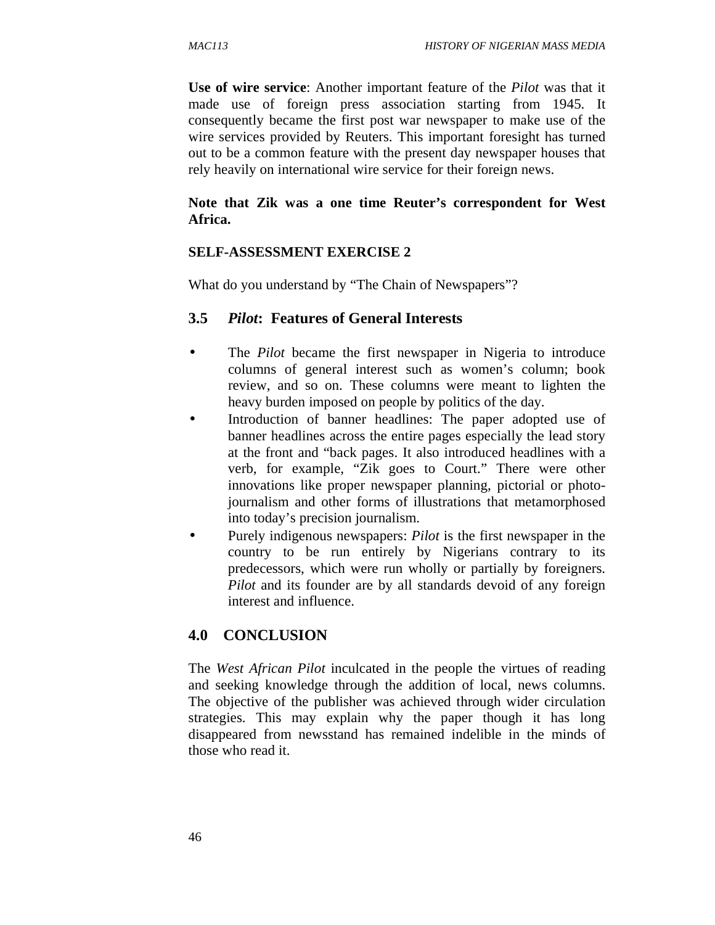**Use of wire service**: Another important feature of the *Pilot* was that it made use of foreign press association starting from 1945. It consequently became the first post war newspaper to make use of the wire services provided by Reuters. This important foresight has turned out to be a common feature with the present day newspaper houses that rely heavily on international wire service for their foreign news.

### **Note that Zik was a one time Reuter's correspondent for West Africa.**

### **SELF-ASSESSMENT EXERCISE 2**

What do you understand by "The Chain of Newspapers"?

### **3.5** *Pilot***: Features of General Interests**

- The *Pilot* became the first newspaper in Nigeria to introduce columns of general interest such as women's column; book review, and so on. These columns were meant to lighten the heavy burden imposed on people by politics of the day.
- Introduction of banner headlines: The paper adopted use of banner headlines across the entire pages especially the lead story at the front and "back pages. It also introduced headlines with a verb, for example, "Zik goes to Court." There were other innovations like proper newspaper planning, pictorial or photojournalism and other forms of illustrations that metamorphosed into today's precision journalism.
- Purely indigenous newspapers: *Pilot* is the first newspaper in the country to be run entirely by Nigerians contrary to its predecessors, which were run wholly or partially by foreigners. *Pilot* and its founder are by all standards devoid of any foreign interest and influence.

# **4.0 CONCLUSION**

The *West African Pilot* inculcated in the people the virtues of reading and seeking knowledge through the addition of local, news columns. The objective of the publisher was achieved through wider circulation strategies. This may explain why the paper though it has long disappeared from newsstand has remained indelible in the minds of those who read it.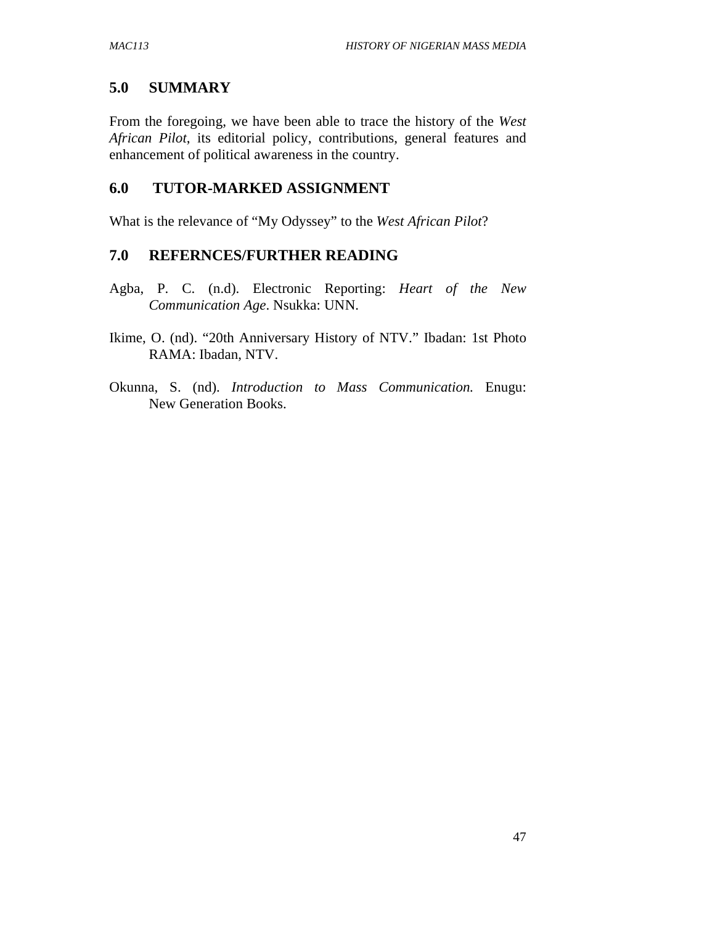# **5.0 SUMMARY**

From the foregoing, we have been able to trace the history of the *West African Pilot*, its editorial policy, contributions, general features and enhancement of political awareness in the country.

# **6.0 TUTOR-MARKED ASSIGNMENT**

What is the relevance of "My Odyssey" to the *West African Pilot*?

### **7.0 REFERNCES/FURTHER READING**

- Agba, P. C. (n.d). Electronic Reporting: *Heart of the New Communication Age*. Nsukka: UNN.
- Ikime, O. (nd). "20th Anniversary History of NTV." Ibadan: 1st Photo RAMA: Ibadan, NTV.
- Okunna, S. (nd). *Introduction to Mass Communication.* Enugu: New Generation Books.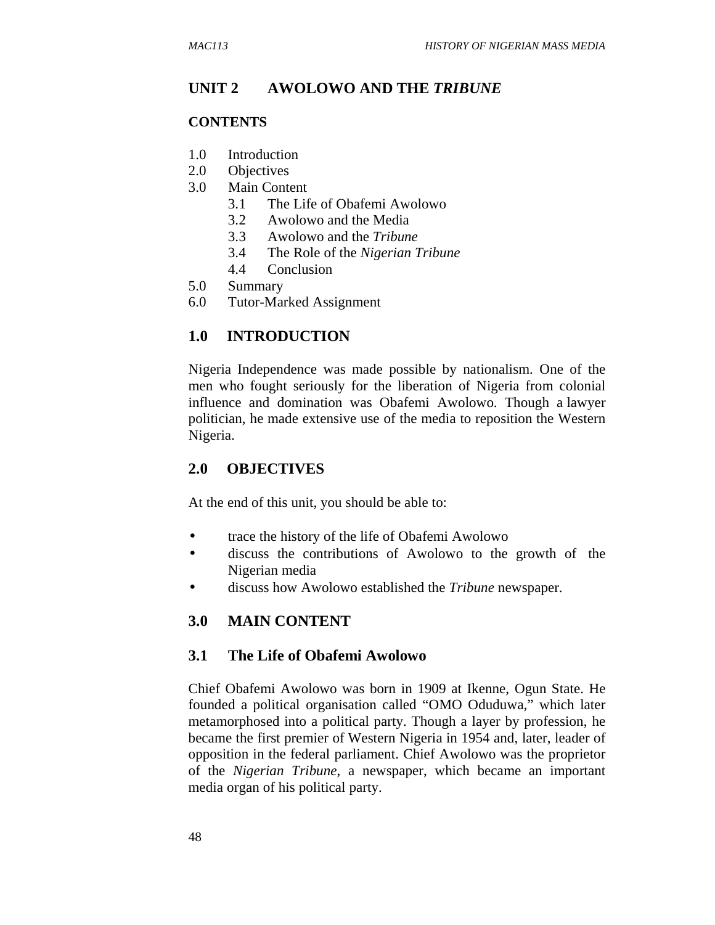### **UNIT 2 AWOLOWO AND THE** *TRIBUNE*

#### **CONTENTS**

- 1.0 Introduction
- 2.0 Objectives
- 3.0 Main Content
	- 3.1 The Life of Obafemi Awolowo
	- 3.2 Awolowo and the Media
	- 3.3 Awolowo and the *Tribune*
	- 3.4 The Role of the *Nigerian Tribune*
	- 4.4 Conclusion
- 5.0 Summary
- 6.0 Tutor-Marked Assignment

### **1.0 INTRODUCTION**

Nigeria Independence was made possible by nationalism. One of the men who fought seriously for the liberation of Nigeria from colonial influence and domination was Obafemi Awolowo. Though a lawyer politician, he made extensive use of the media to reposition the Western Nigeria.

### **2.0 OBJECTIVES**

At the end of this unit, you should be able to:

- trace the history of the life of Obafemi Awolowo
- discuss the contributions of Awolowo to the growth of the Nigerian media
- discuss how Awolowo established the *Tribune* newspaper.

### **3.0 MAIN CONTENT**

#### **3.1 The Life of Obafemi Awolowo**

Chief Obafemi Awolowo was born in 1909 at Ikenne, Ogun State. He founded a political organisation called "OMO Oduduwa," which later metamorphosed into a political party. Though a layer by profession, he became the first premier of Western Nigeria in 1954 and, later, leader of opposition in the federal parliament. Chief Awolowo was the proprietor of the *Nigerian Tribune*, a newspaper, which became an important media organ of his political party.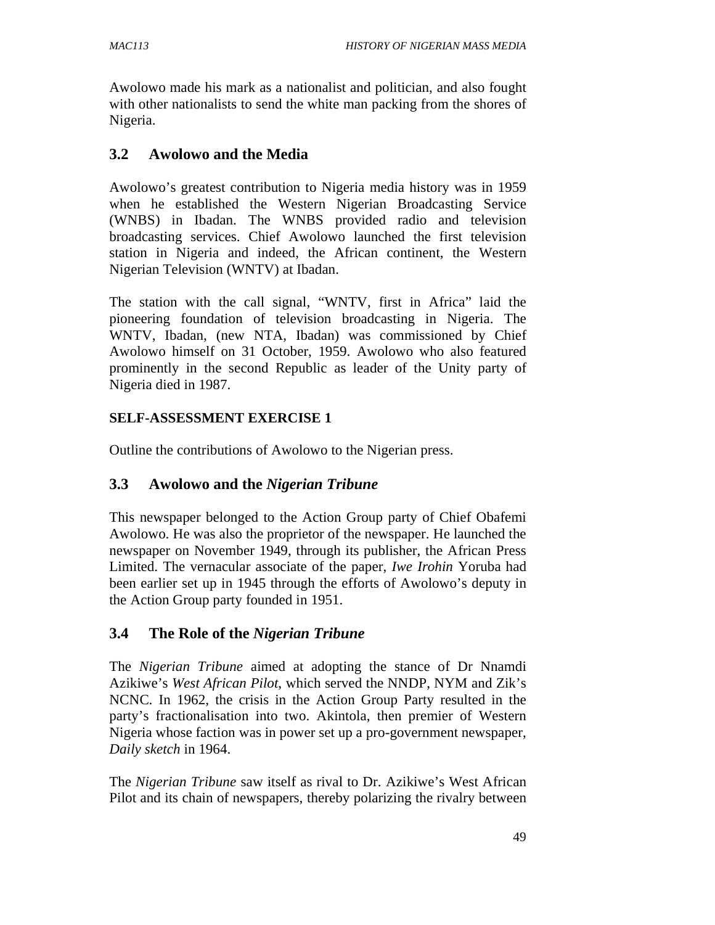Awolowo made his mark as a nationalist and politician, and also fought with other nationalists to send the white man packing from the shores of Nigeria.

## **3.2 Awolowo and the Media**

Awolowo's greatest contribution to Nigeria media history was in 1959 when he established the Western Nigerian Broadcasting Service (WNBS) in Ibadan. The WNBS provided radio and television broadcasting services. Chief Awolowo launched the first television station in Nigeria and indeed, the African continent, the Western Nigerian Television (WNTV) at Ibadan.

The station with the call signal, "WNTV, first in Africa" laid the pioneering foundation of television broadcasting in Nigeria. The WNTV, Ibadan, (new NTA, Ibadan) was commissioned by Chief Awolowo himself on 31 October, 1959. Awolowo who also featured prominently in the second Republic as leader of the Unity party of Nigeria died in 1987.

### **SELF-ASSESSMENT EXERCISE 1**

Outline the contributions of Awolowo to the Nigerian press.

### **3.3 Awolowo and the** *Nigerian Tribune*

This newspaper belonged to the Action Group party of Chief Obafemi Awolowo. He was also the proprietor of the newspaper. He launched the newspaper on November 1949, through its publisher, the African Press Limited. The vernacular associate of the paper, *Iwe Irohin* Yoruba had been earlier set up in 1945 through the efforts of Awolowo's deputy in the Action Group party founded in 1951.

### **3.4 The Role of the** *Nigerian Tribune*

The *Nigerian Tribune* aimed at adopting the stance of Dr Nnamdi Azikiwe's *West African Pilot*, which served the NNDP, NYM and Zik's NCNC. In 1962, the crisis in the Action Group Party resulted in the party's fractionalisation into two. Akintola, then premier of Western Nigeria whose faction was in power set up a pro-government newspaper, *Daily sketch* in 1964.

The *Nigerian Tribune* saw itself as rival to Dr. Azikiwe's West African Pilot and its chain of newspapers, thereby polarizing the rivalry between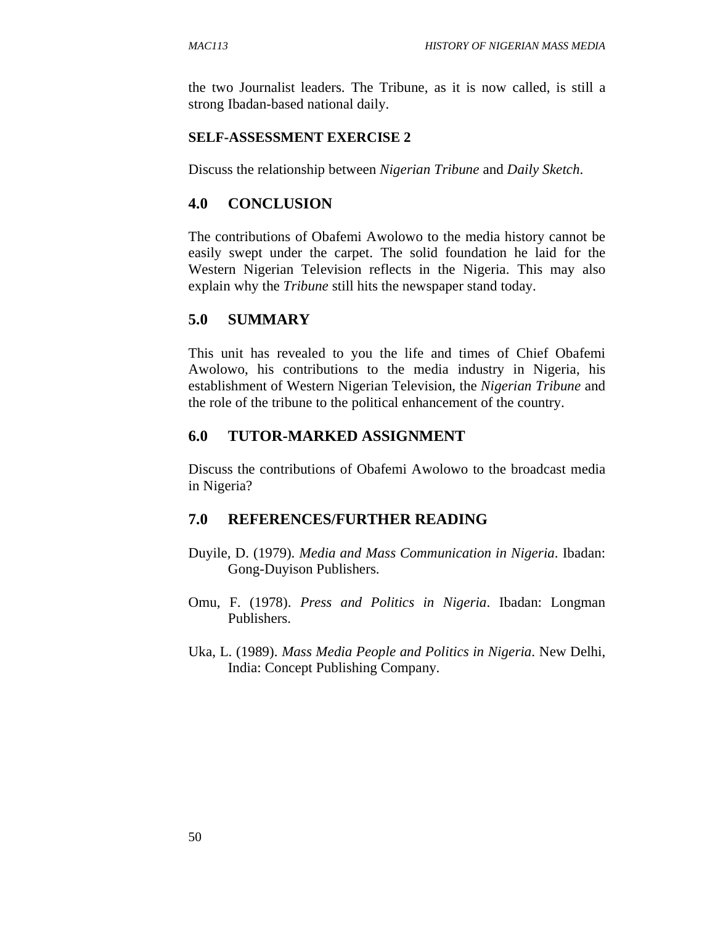the two Journalist leaders. The Tribune, as it is now called, is still a strong Ibadan-based national daily.

#### **SELF-ASSESSMENT EXERCISE 2**

Discuss the relationship between *Nigerian Tribune* and *Daily Sketch*.

### **4.0 CONCLUSION**

The contributions of Obafemi Awolowo to the media history cannot be easily swept under the carpet. The solid foundation he laid for the Western Nigerian Television reflects in the Nigeria. This may also explain why the *Tribune* still hits the newspaper stand today.

#### **5.0 SUMMARY**

This unit has revealed to you the life and times of Chief Obafemi Awolowo, his contributions to the media industry in Nigeria, his establishment of Western Nigerian Television, the *Nigerian Tribune* and the role of the tribune to the political enhancement of the country.

#### **6.0 TUTOR-MARKED ASSIGNMENT**

Discuss the contributions of Obafemi Awolowo to the broadcast media in Nigeria?

#### **7.0 REFERENCES/FURTHER READING**

- Duyile, D. (1979). *Media and Mass Communication in Nigeria*. Ibadan: Gong-Duyison Publishers.
- Omu, F. (1978). *Press and Politics in Nigeria*. Ibadan: Longman Publishers.
- Uka, L. (1989). *Mass Media People and Politics in Nigeria*. New Delhi, India: Concept Publishing Company.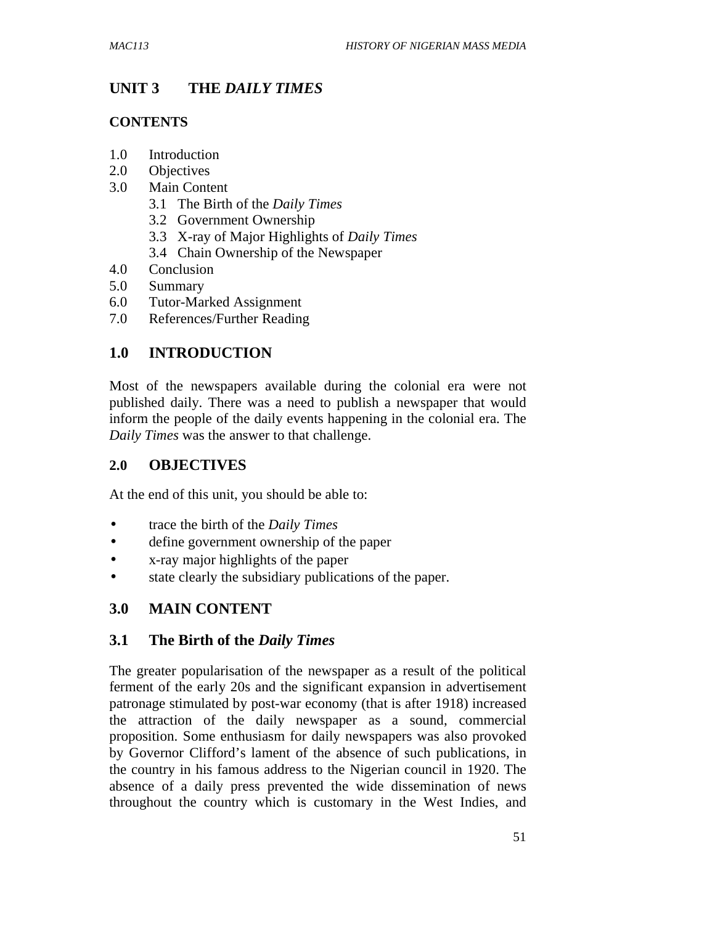# **UNIT 3 THE** *DAILY TIMES*

#### **CONTENTS**

- 1.0 Introduction
- 2.0 Objectives
- 3.0 Main Content
	- 3.1 The Birth of the *Daily Times*
	- 3.2 Government Ownership
	- 3.3 X-ray of Major Highlights of *Daily Times*
	- 3.4 Chain Ownership of the Newspaper
- 4.0 Conclusion
- 5.0 Summary
- 6.0 Tutor-Marked Assignment
- 7.0 References/Further Reading

# **1.0 INTRODUCTION**

Most of the newspapers available during the colonial era were not published daily. There was a need to publish a newspaper that would inform the people of the daily events happening in the colonial era. The *Daily Times* was the answer to that challenge.

### **2.0 OBJECTIVES**

At the end of this unit, you should be able to:

- trace the birth of the *Daily Times*
- define government ownership of the paper
- x-ray major highlights of the paper
- state clearly the subsidiary publications of the paper.

# **3.0 MAIN CONTENT**

### **3.1 The Birth of the** *Daily Times*

The greater popularisation of the newspaper as a result of the political ferment of the early 20s and the significant expansion in advertisement patronage stimulated by post-war economy (that is after 1918) increased the attraction of the daily newspaper as a sound, commercial proposition. Some enthusiasm for daily newspapers was also provoked by Governor Clifford's lament of the absence of such publications, in the country in his famous address to the Nigerian council in 1920. The absence of a daily press prevented the wide dissemination of news throughout the country which is customary in the West Indies, and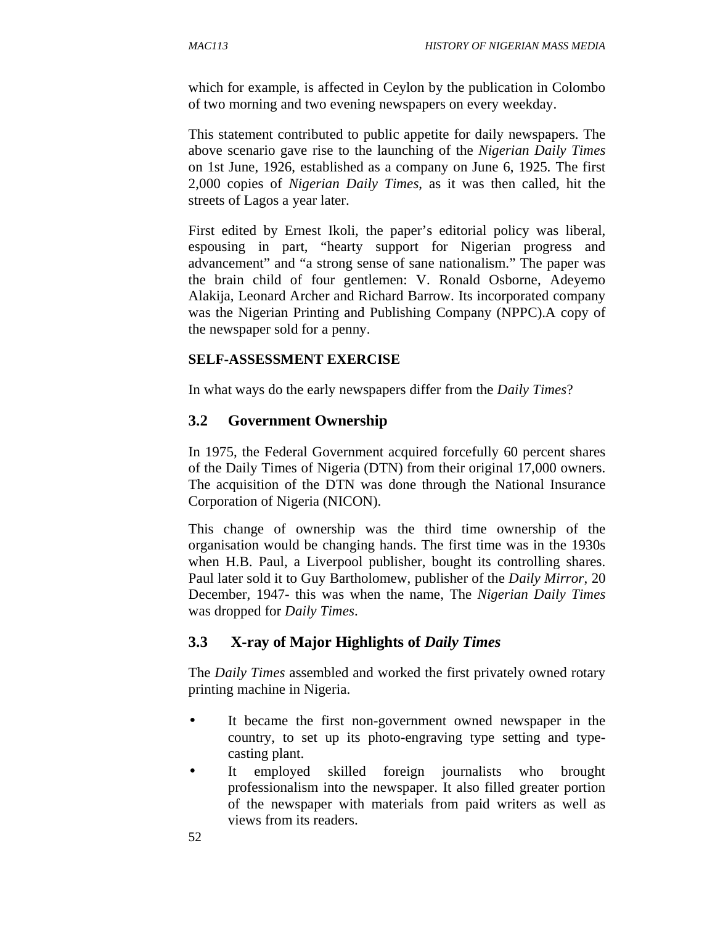which for example, is affected in Ceylon by the publication in Colombo of two morning and two evening newspapers on every weekday.

This statement contributed to public appetite for daily newspapers. The above scenario gave rise to the launching of the *Nigerian Daily Times* on 1st June, 1926, established as a company on June 6, 1925. The first 2,000 copies of *Nigerian Daily Times*, as it was then called, hit the streets of Lagos a year later.

First edited by Ernest Ikoli, the paper's editorial policy was liberal, espousing in part, "hearty support for Nigerian progress and advancement" and "a strong sense of sane nationalism." The paper was the brain child of four gentlemen: V. Ronald Osborne, Adeyemo Alakija, Leonard Archer and Richard Barrow. Its incorporated company was the Nigerian Printing and Publishing Company (NPPC).A copy of the newspaper sold for a penny.

### **SELF-ASSESSMENT EXERCISE**

In what ways do the early newspapers differ from the *Daily Times*?

# **3.2 Government Ownership**

In 1975, the Federal Government acquired forcefully 60 percent shares of the Daily Times of Nigeria (DTN) from their original 17,000 owners. The acquisition of the DTN was done through the National Insurance Corporation of Nigeria (NICON).

This change of ownership was the third time ownership of the organisation would be changing hands. The first time was in the 1930s when H.B. Paul, a Liverpool publisher, bought its controlling shares. Paul later sold it to Guy Bartholomew, publisher of the *Daily Mirror*, 20 December, 1947- this was when the name, The *Nigerian Daily Times*  was dropped for *Daily Times*.

# **3.3 X-ray of Major Highlights of** *Daily Times*

The *Daily Times* assembled and worked the first privately owned rotary printing machine in Nigeria.

- It became the first non-government owned newspaper in the country, to set up its photo-engraving type setting and typecasting plant.
- It employed skilled foreign journalists who brought professionalism into the newspaper. It also filled greater portion of the newspaper with materials from paid writers as well as views from its readers.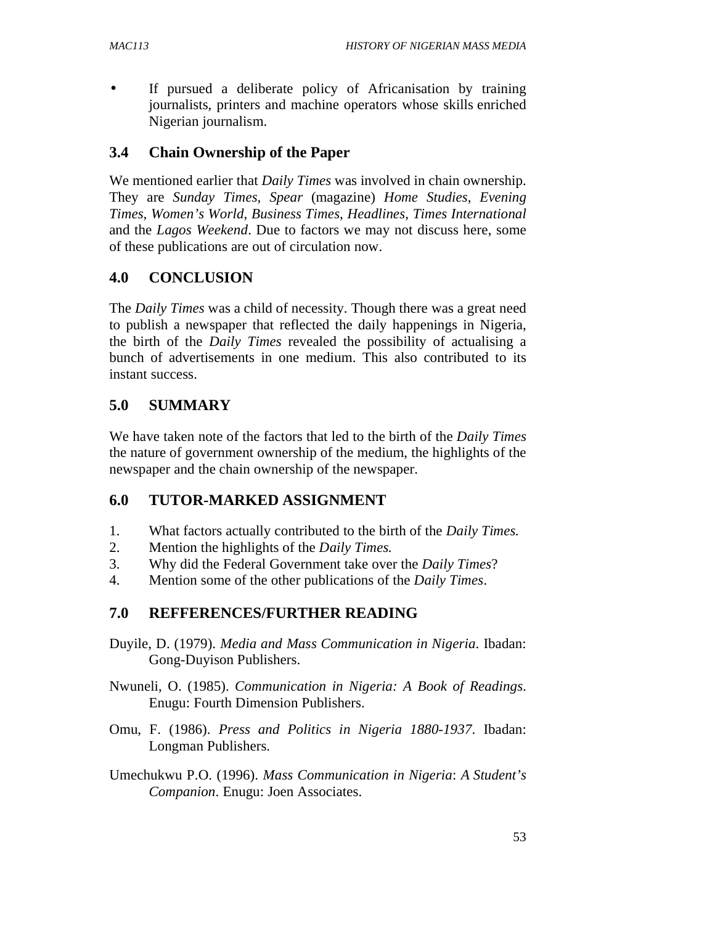• If pursued a deliberate policy of Africanisation by training journalists, printers and machine operators whose skills enriched Nigerian journalism.

### **3.4 Chain Ownership of the Paper**

We mentioned earlier that *Daily Times* was involved in chain ownership. They are *Sunday Times, Spear* (magazine) *Home Studies*, *Evening Times*, *Women's World*, *Business Times*, *Headlines*, *Times International* and the *Lagos Weekend*. Due to factors we may not discuss here, some of these publications are out of circulation now.

### **4.0 CONCLUSION**

The *Daily Times* was a child of necessity. Though there was a great need to publish a newspaper that reflected the daily happenings in Nigeria, the birth of the *Daily Times* revealed the possibility of actualising a bunch of advertisements in one medium. This also contributed to its instant success.

### **5.0 SUMMARY**

We have taken note of the factors that led to the birth of the *Daily Times* the nature of government ownership of the medium, the highlights of the newspaper and the chain ownership of the newspaper.

### **6.0 TUTOR-MARKED ASSIGNMENT**

- 1. What factors actually contributed to the birth of the *Daily Times.*
- 2. Mention the highlights of the *Daily Times.*
- 3. Why did the Federal Government take over the *Daily Times*?
- 4. Mention some of the other publications of the *Daily Times*.

### **7.0 REFFERENCES/FURTHER READING**

- Duyile, D. (1979). *Media and Mass Communication in Nigeria*. Ibadan: Gong-Duyison Publishers.
- Nwuneli, O. (1985). *Communication in Nigeria: A Book of Readings*. Enugu: Fourth Dimension Publishers.
- Omu, F. (1986). *Press and Politics in Nigeria 1880-1937*. Ibadan: Longman Publishers.
- Umechukwu P.O. (1996). *Mass Communication in Nigeria*: *A Student's Companion*. Enugu: Joen Associates.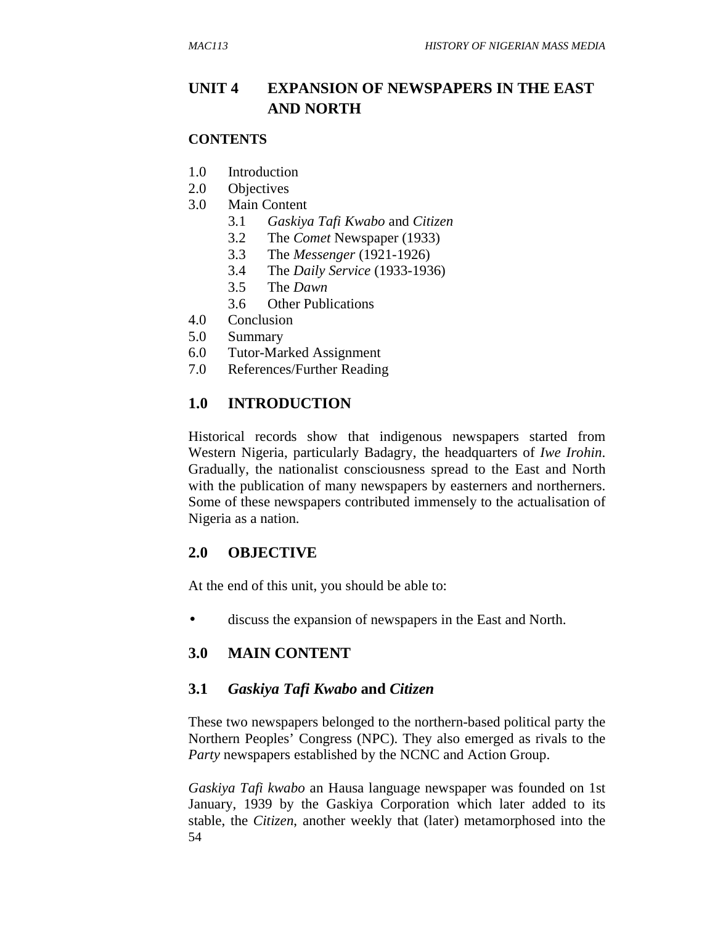# **UNIT 4 EXPANSION OF NEWSPAPERS IN THE EAST AND NORTH**

### **CONTENTS**

- 1.0 Introduction
- 2.0 Objectives
- 3.0 Main Content
	- 3.1 *Gaskiya Tafi Kwabo* and *Citizen*
	- 3.2 The *Comet* Newspaper (1933)
	- 3.3 The *Messenger* (1921-1926)
	- 3.4 The *Daily Service* (1933-1936)
	- 3.5 The *Dawn*
	- 3.6 Other Publications
- 4.0 Conclusion
- 5.0 Summary
- 6.0 Tutor-Marked Assignment
- 7.0 References/Further Reading

# **1.0 INTRODUCTION**

Historical records show that indigenous newspapers started from Western Nigeria, particularly Badagry, the headquarters of *Iwe Irohin*. Gradually, the nationalist consciousness spread to the East and North with the publication of many newspapers by easterners and northerners. Some of these newspapers contributed immensely to the actualisation of Nigeria as a nation.

# **2.0 OBJECTIVE**

At the end of this unit, you should be able to:

• discuss the expansion of newspapers in the East and North.

### **3.0 MAIN CONTENT**

### **3.1** *Gaskiya Tafi Kwabo* **and** *Citizen*

These two newspapers belonged to the northern-based political party the Northern Peoples' Congress (NPC). They also emerged as rivals to the *Party* newspapers established by the NCNC and Action Group.

54 *Gaskiya Tafi kwabo* an Hausa language newspaper was founded on 1st January, 1939 by the Gaskiya Corporation which later added to its stable, the *Citizen*, another weekly that (later) metamorphosed into the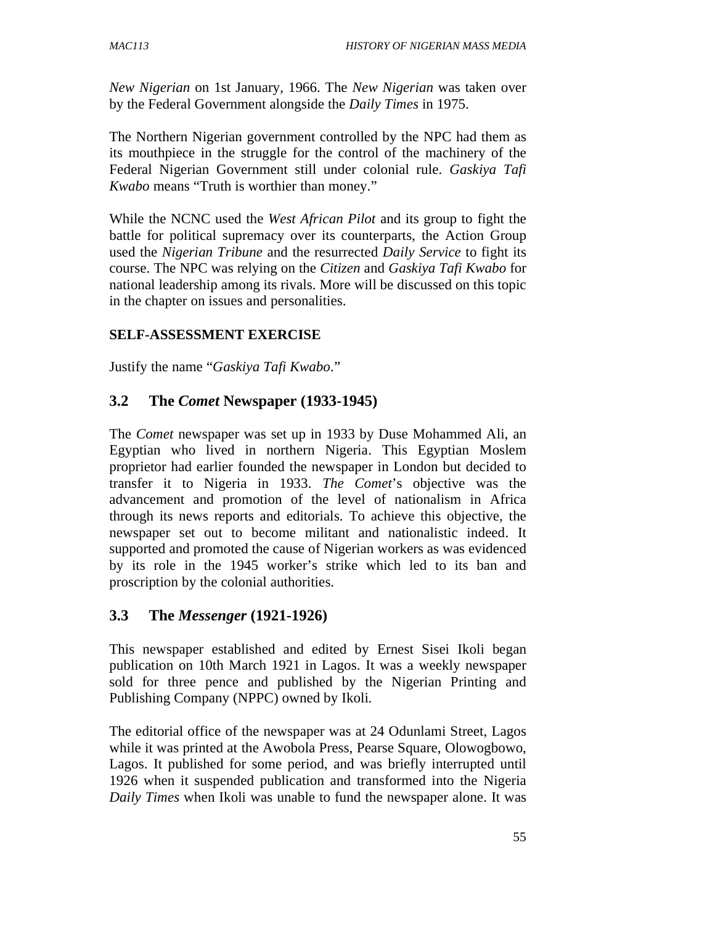*New Nigerian* on 1st January, 1966. The *New Nigerian* was taken over by the Federal Government alongside the *Daily Times* in 1975.

The Northern Nigerian government controlled by the NPC had them as its mouthpiece in the struggle for the control of the machinery of the Federal Nigerian Government still under colonial rule. *Gaskiya Tafi Kwabo* means "Truth is worthier than money."

While the NCNC used the *West African Pilot* and its group to fight the battle for political supremacy over its counterparts, the Action Group used the *Nigerian Tribune* and the resurrected *Daily Service* to fight its course. The NPC was relying on the *Citizen* and *Gaskiya Tafi Kwabo* for national leadership among its rivals. More will be discussed on this topic in the chapter on issues and personalities.

### **SELF-ASSESSMENT EXERCISE**

Justify the name "*Gaskiya Tafi Kwabo*."

### **3.2 The** *Comet* **Newspaper (1933-1945)**

The *Comet* newspaper was set up in 1933 by Duse Mohammed Ali, an Egyptian who lived in northern Nigeria. This Egyptian Moslem proprietor had earlier founded the newspaper in London but decided to transfer it to Nigeria in 1933. *The Comet*'s objective was the advancement and promotion of the level of nationalism in Africa through its news reports and editorials. To achieve this objective, the newspaper set out to become militant and nationalistic indeed. It supported and promoted the cause of Nigerian workers as was evidenced by its role in the 1945 worker's strike which led to its ban and proscription by the colonial authorities.

### **3.3 The** *Messenger* **(1921-1926)**

This newspaper established and edited by Ernest Sisei Ikoli began publication on 10th March 1921 in Lagos. It was a weekly newspaper sold for three pence and published by the Nigerian Printing and Publishing Company (NPPC) owned by Ikoli.

The editorial office of the newspaper was at 24 Odunlami Street, Lagos while it was printed at the Awobola Press, Pearse Square, Olowogbowo, Lagos. It published for some period, and was briefly interrupted until 1926 when it suspended publication and transformed into the Nigeria *Daily Times* when Ikoli was unable to fund the newspaper alone. It was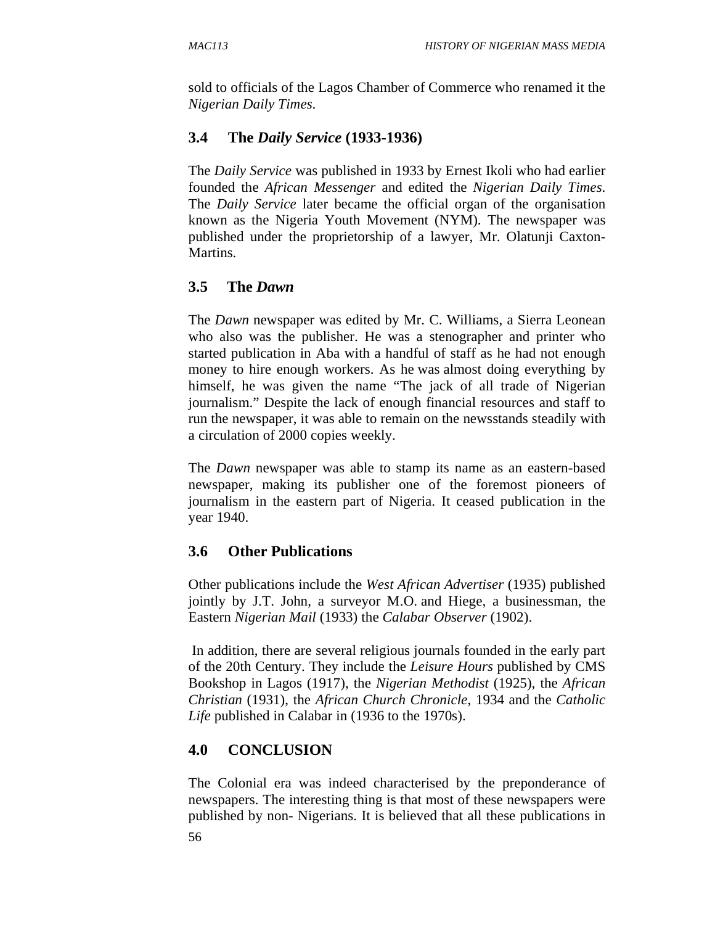sold to officials of the Lagos Chamber of Commerce who renamed it the *Nigerian Daily Times*.

# **3.4 The** *Daily Service* **(1933-1936)**

The *Daily Service* was published in 1933 by Ernest Ikoli who had earlier founded the *African Messenger* and edited the *Nigerian Daily Times*. The *Daily Service* later became the official organ of the organisation known as the Nigeria Youth Movement (NYM). The newspaper was published under the proprietorship of a lawyer, Mr. Olatunji Caxton-Martins.

# **3.5 The** *Dawn*

The *Dawn* newspaper was edited by Mr. C. Williams, a Sierra Leonean who also was the publisher. He was a stenographer and printer who started publication in Aba with a handful of staff as he had not enough money to hire enough workers. As he was almost doing everything by himself, he was given the name "The jack of all trade of Nigerian journalism." Despite the lack of enough financial resources and staff to run the newspaper, it was able to remain on the newsstands steadily with a circulation of 2000 copies weekly.

The *Dawn* newspaper was able to stamp its name as an eastern-based newspaper, making its publisher one of the foremost pioneers of journalism in the eastern part of Nigeria. It ceased publication in the year 1940.

# **3.6 Other Publications**

Other publications include the *West African Advertiser* (1935) published jointly by J.T. John, a surveyor M.O. and Hiege, a businessman, the Eastern *Nigerian Mail* (1933) the *Calabar Observer* (1902).

 In addition, there are several religious journals founded in the early part of the 20th Century. They include the *Leisure Hours* published by CMS Bookshop in Lagos (1917), the *Nigerian Methodist* (1925), the *African Christian* (1931), the *African Church Chronicle*, 1934 and the *Catholic Life* published in Calabar in (1936 to the 1970s).

# **4.0 CONCLUSION**

The Colonial era was indeed characterised by the preponderance of newspapers. The interesting thing is that most of these newspapers were published by non- Nigerians. It is believed that all these publications in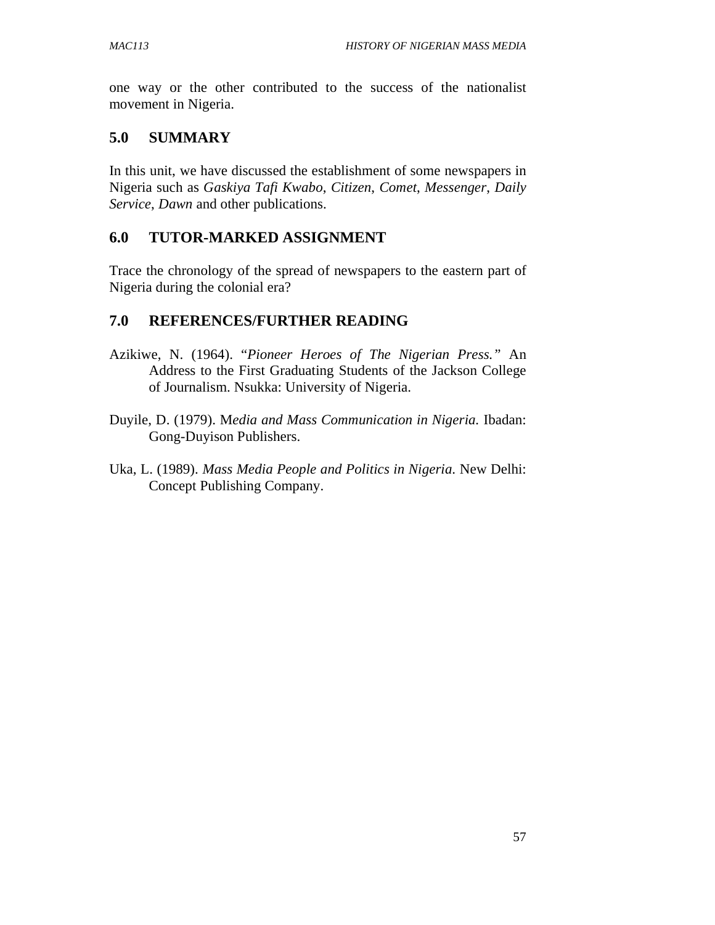one way or the other contributed to the success of the nationalist movement in Nigeria.

# **5.0 SUMMARY**

In this unit, we have discussed the establishment of some newspapers in Nigeria such as *Gaskiya Tafi Kwabo*, *Citizen*, *Comet*, *Messenger*, *Daily Service*, *Dawn* and other publications.

# **6.0 TUTOR-MARKED ASSIGNMENT**

Trace the chronology of the spread of newspapers to the eastern part of Nigeria during the colonial era?

# **7.0 REFERENCES/FURTHER READING**

- Azikiwe, N. (1964). "*Pioneer Heroes of The Nigerian Press."* An Address to the First Graduating Students of the Jackson College of Journalism. Nsukka: University of Nigeria.
- Duyile, D. (1979). M*edia and Mass Communication in Nigeria.* Ibadan: Gong-Duyison Publishers.
- Uka, L. (1989). *Mass Media People and Politics in Nigeria*. New Delhi: Concept Publishing Company.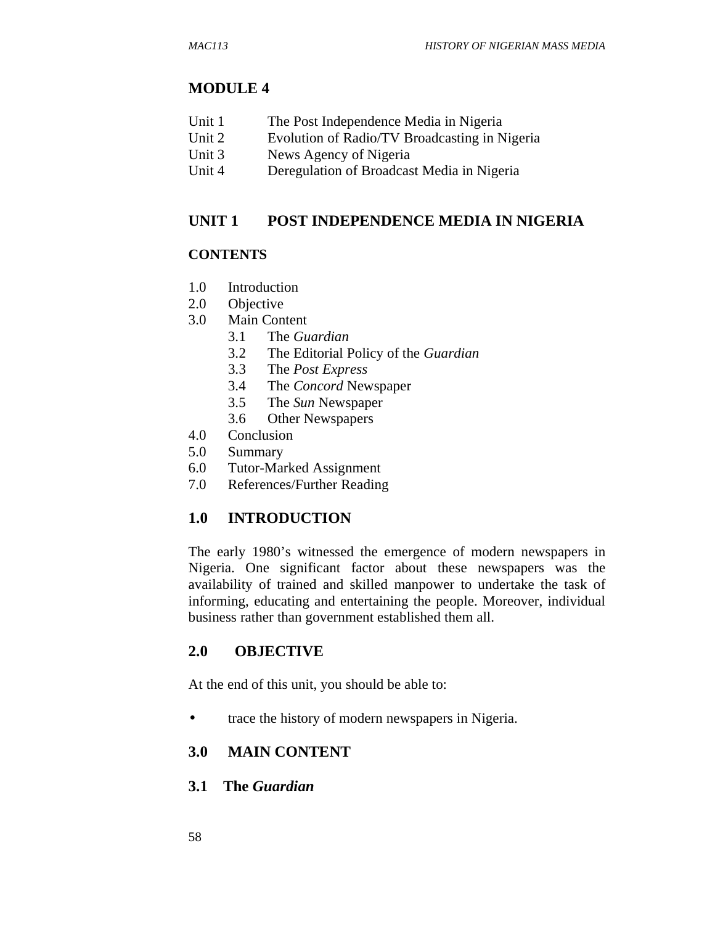#### **MODULE 4**

|  | Unit 1 | The Post Independence Media in Nigeria |
|--|--------|----------------------------------------|
|--|--------|----------------------------------------|

- Unit 2 Evolution of Radio/TV Broadcasting in Nigeria
- Unit 3 News Agency of Nigeria
- Unit 4 Deregulation of Broadcast Media in Nigeria

#### **UNIT 1 POST INDEPENDENCE MEDIA IN NIGERIA**

#### **CONTENTS**

- 1.0 Introduction
- 2.0 Objective
- 3.0 Main Content
	- 3.1 The *Guardian*
	- 3.2 The Editorial Policy of the *Guardian*
	- 3.3 The *Post Express*
	- 3.4 The *Concord* Newspaper
	- 3.5 The *Sun* Newspaper
	- 3.6 Other Newspapers
- 4.0 Conclusion
- 5.0 Summary
- 6.0 Tutor-Marked Assignment
- 7.0 References/Further Reading

### **1.0 INTRODUCTION**

The early 1980's witnessed the emergence of modern newspapers in Nigeria. One significant factor about these newspapers was the availability of trained and skilled manpower to undertake the task of informing, educating and entertaining the people. Moreover, individual business rather than government established them all.

## **2.0 OBJECTIVE**

At the end of this unit, you should be able to:

• trace the history of modern newspapers in Nigeria.

### **3.0 MAIN CONTENT**

**3.1 The** *Guardian*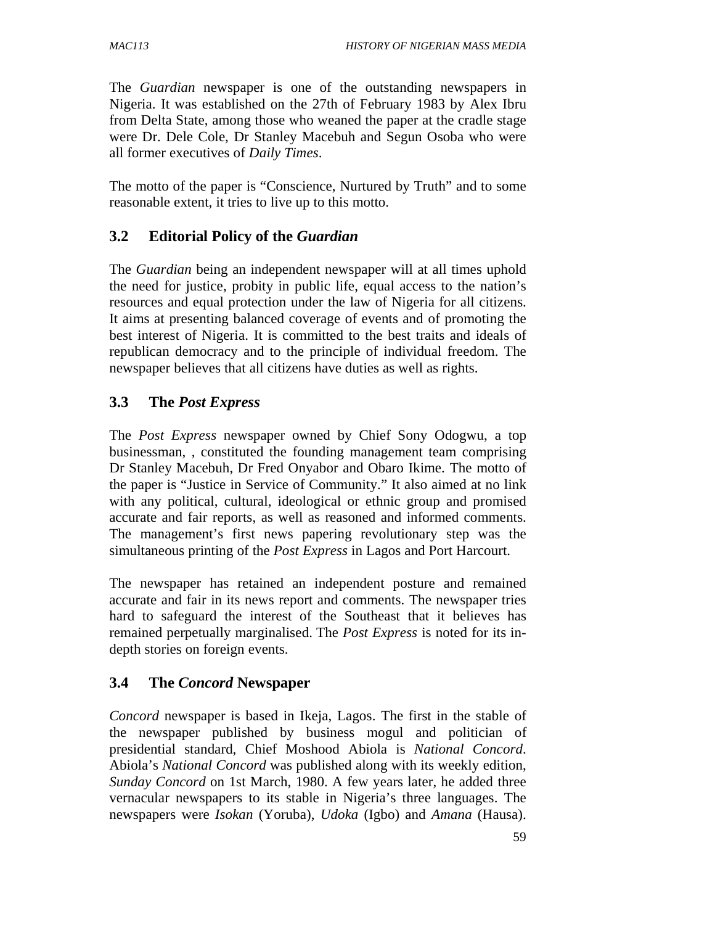The *Guardian* newspaper is one of the outstanding newspapers in Nigeria. It was established on the 27th of February 1983 by Alex Ibru from Delta State, among those who weaned the paper at the cradle stage were Dr. Dele Cole, Dr Stanley Macebuh and Segun Osoba who were all former executives of *Daily Times*.

The motto of the paper is "Conscience, Nurtured by Truth" and to some reasonable extent, it tries to live up to this motto.

### **3.2 Editorial Policy of the** *Guardian*

The *Guardian* being an independent newspaper will at all times uphold the need for justice, probity in public life, equal access to the nation's resources and equal protection under the law of Nigeria for all citizens. It aims at presenting balanced coverage of events and of promoting the best interest of Nigeria. It is committed to the best traits and ideals of republican democracy and to the principle of individual freedom. The newspaper believes that all citizens have duties as well as rights.

### **3.3 The** *Post Express*

The *Post Express* newspaper owned by Chief Sony Odogwu, a top businessman, , constituted the founding management team comprising Dr Stanley Macebuh, Dr Fred Onyabor and Obaro Ikime. The motto of the paper is "Justice in Service of Community." It also aimed at no link with any political, cultural, ideological or ethnic group and promised accurate and fair reports, as well as reasoned and informed comments. The management's first news papering revolutionary step was the simultaneous printing of the *Post Express* in Lagos and Port Harcourt.

The newspaper has retained an independent posture and remained accurate and fair in its news report and comments. The newspaper tries hard to safeguard the interest of the Southeast that it believes has remained perpetually marginalised. The *Post Express* is noted for its indepth stories on foreign events.

# **3.4 The** *Concord* **Newspaper**

*Concord* newspaper is based in Ikeja, Lagos. The first in the stable of the newspaper published by business mogul and politician of presidential standard, Chief Moshood Abiola is *National Concord*. Abiola's *National Concord* was published along with its weekly edition, *Sunday Concord* on 1st March, 1980. A few years later, he added three vernacular newspapers to its stable in Nigeria's three languages. The newspapers were *Isokan* (Yoruba), *Udoka* (Igbo) and *Amana* (Hausa).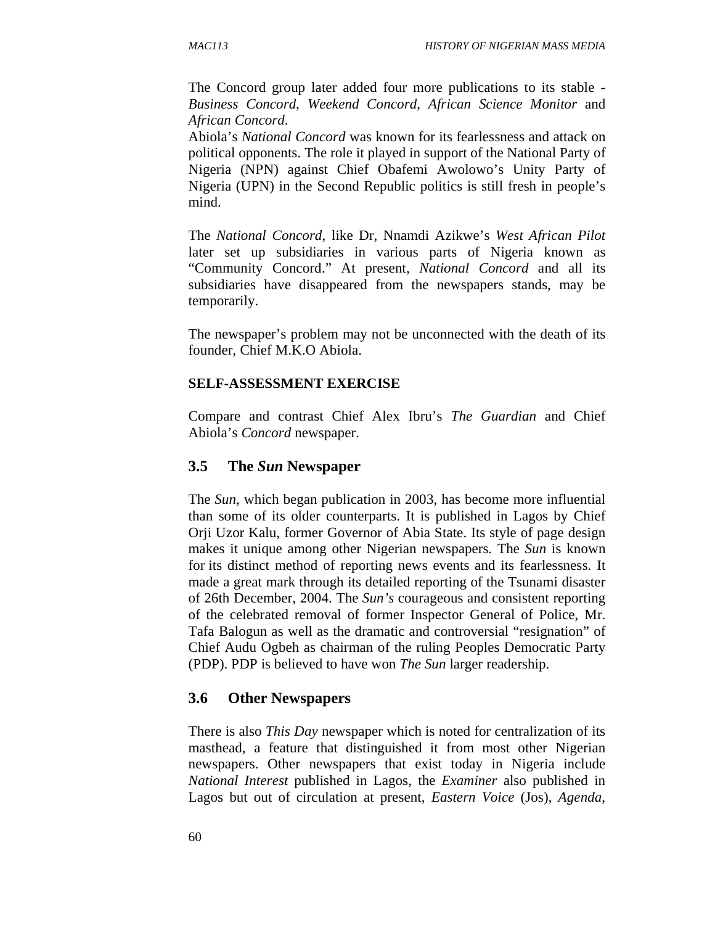The Concord group later added four more publications to its stable - *Business Concord*, *Weekend Concord*, *African Science Monitor* and *African Concord*.

Abiola's *National Concord* was known for its fearlessness and attack on political opponents. The role it played in support of the National Party of Nigeria (NPN) against Chief Obafemi Awolowo's Unity Party of Nigeria (UPN) in the Second Republic politics is still fresh in people's mind.

The *National Concord*, like Dr, Nnamdi Azikwe's *West African Pilot* later set up subsidiaries in various parts of Nigeria known as "Community Concord." At present, *National Concord* and all its subsidiaries have disappeared from the newspapers stands, may be temporarily.

The newspaper's problem may not be unconnected with the death of its founder, Chief M.K.O Abiola.

#### **SELF-ASSESSMENT EXERCISE**

Compare and contrast Chief Alex Ibru's *The Guardian* and Chief Abiola's *Concord* newspaper.

#### **3.5 The** *Sun* **Newspaper**

The *Sun*, which began publication in 2003, has become more influential than some of its older counterparts. It is published in Lagos by Chief Orji Uzor Kalu, former Governor of Abia State. Its style of page design makes it unique among other Nigerian newspapers. The *Sun* is known for its distinct method of reporting news events and its fearlessness. It made a great mark through its detailed reporting of the Tsunami disaster of 26th December, 2004. The *Sun's* courageous and consistent reporting of the celebrated removal of former Inspector General of Police, Mr. Tafa Balogun as well as the dramatic and controversial "resignation" of Chief Audu Ogbeh as chairman of the ruling Peoples Democratic Party (PDP). PDP is believed to have won *The Sun* larger readership.

#### **3.6 Other Newspapers**

There is also *This Day* newspaper which is noted for centralization of its masthead, a feature that distinguished it from most other Nigerian newspapers. Other newspapers that exist today in Nigeria include *National Interest* published in Lagos, the *Examiner* also published in Lagos but out of circulation at present, *Eastern Voice* (Jos), *Agenda*,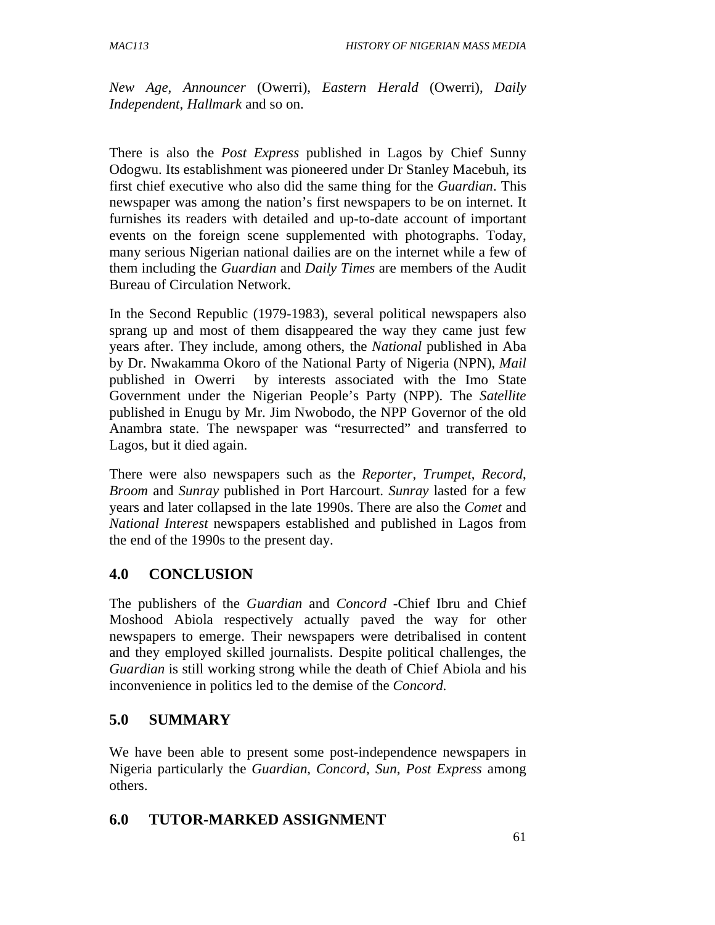*New Age, Announcer* (Owerri), *Eastern Herald* (Owerri), *Daily Independent*, *Hallmark* and so on.

There is also the *Post Express* published in Lagos by Chief Sunny Odogwu. Its establishment was pioneered under Dr Stanley Macebuh, its first chief executive who also did the same thing for the *Guardian*. This newspaper was among the nation's first newspapers to be on internet. It furnishes its readers with detailed and up-to-date account of important events on the foreign scene supplemented with photographs. Today, many serious Nigerian national dailies are on the internet while a few of them including the *Guardian* and *Daily Times* are members of the Audit Bureau of Circulation Network.

In the Second Republic (1979-1983), several political newspapers also sprang up and most of them disappeared the way they came just few years after. They include, among others, the *National* published in Aba by Dr. Nwakamma Okoro of the National Party of Nigeria (NPN), *Mail* published in Owerri by interests associated with the Imo State Government under the Nigerian People's Party (NPP). The *Satellite* published in Enugu by Mr. Jim Nwobodo, the NPP Governor of the old Anambra state. The newspaper was "resurrected" and transferred to Lagos, but it died again.

There were also newspapers such as the *Reporter*, *Trumpet*, *Record*, *Broom* and *Sunray* published in Port Harcourt. *Sunray* lasted for a few years and later collapsed in the late 1990s. There are also the *Comet* and *National Interest* newspapers established and published in Lagos from the end of the 1990s to the present day.

# **4.0 CONCLUSION**

The publishers of the *Guardian* and *Concord* -Chief Ibru and Chief Moshood Abiola respectively actually paved the way for other newspapers to emerge. Their newspapers were detribalised in content and they employed skilled journalists. Despite political challenges, the *Guardian* is still working strong while the death of Chief Abiola and his inconvenience in politics led to the demise of the *Concord*.

# **5.0 SUMMARY**

We have been able to present some post-independence newspapers in Nigeria particularly the *Guardian*, *Concord*, *Sun*, *Post Express* among others.

### **6.0 TUTOR-MARKED ASSIGNMENT**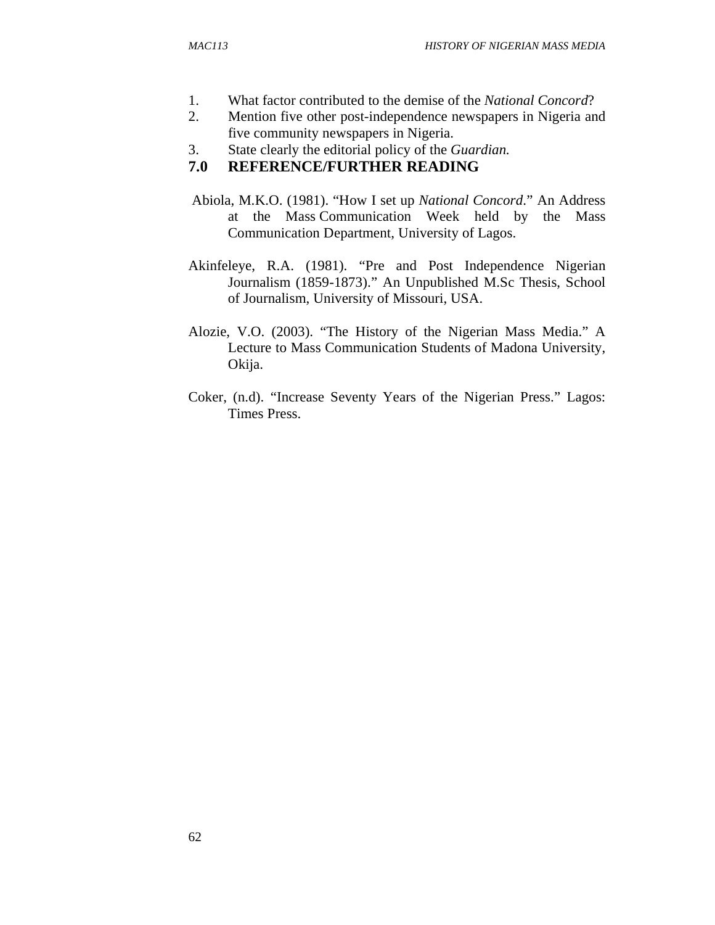- 1. What factor contributed to the demise of the *National Concord*?
- 2. Mention five other post-independence newspapers in Nigeria and five community newspapers in Nigeria.
- 3. State clearly the editorial policy of the *Guardian.*

# **7.0 REFERENCE/FURTHER READING**

- Abiola, M.K.O. (1981). "How I set up *National Concord*." An Address at the Mass Communication Week held by the Mass Communication Department, University of Lagos.
- Akinfeleye, R.A. (1981). "Pre and Post Independence Nigerian Journalism (1859-1873)." An Unpublished M.Sc Thesis, School of Journalism, University of Missouri, USA.
- Alozie, V.O. (2003). "The History of the Nigerian Mass Media." A Lecture to Mass Communication Students of Madona University, Okija.
- Coker, (n.d). "Increase Seventy Years of the Nigerian Press." Lagos: Times Press.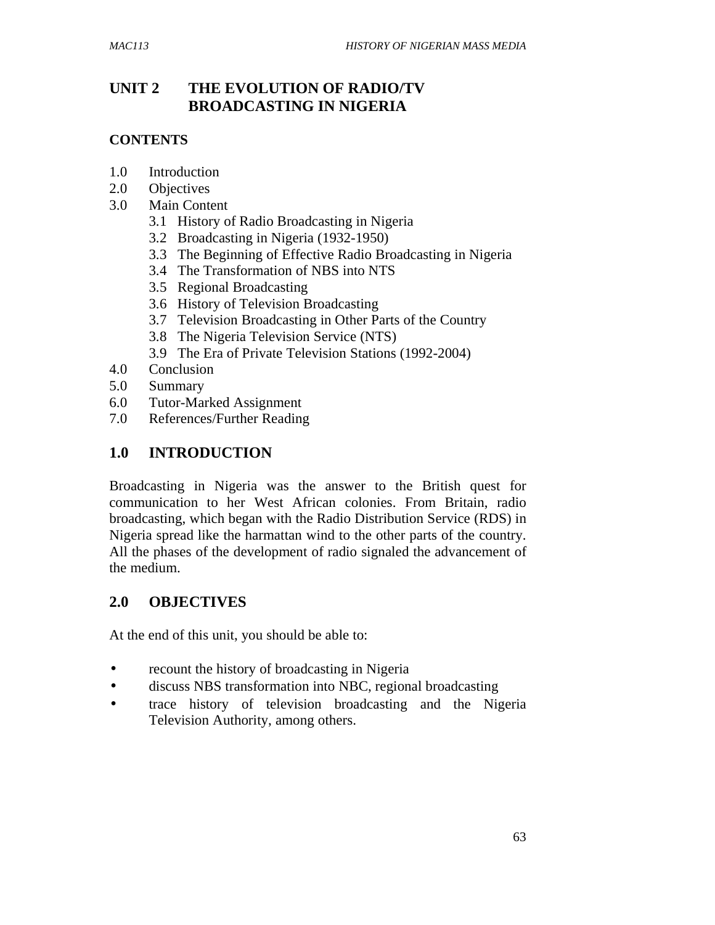# **UNIT 2 THE EVOLUTION OF RADIO/TV BROADCASTING IN NIGERIA**

#### **CONTENTS**

- 1.0 Introduction
- 2.0 Objectives
- 3.0 Main Content
	- 3.1 History of Radio Broadcasting in Nigeria
	- 3.2 Broadcasting in Nigeria (1932-1950)
	- 3.3 The Beginning of Effective Radio Broadcasting in Nigeria
	- 3.4 The Transformation of NBS into NTS
	- 3.5 Regional Broadcasting
	- 3.6 History of Television Broadcasting
	- 3.7 Television Broadcasting in Other Parts of the Country
	- 3.8 The Nigeria Television Service (NTS)
	- 3.9 The Era of Private Television Stations (1992-2004)
- 4.0 Conclusion
- 5.0 Summary
- 6.0 Tutor-Marked Assignment
- 7.0 References/Further Reading

## **1.0 INTRODUCTION**

Broadcasting in Nigeria was the answer to the British quest for communication to her West African colonies. From Britain, radio broadcasting, which began with the Radio Distribution Service (RDS) in Nigeria spread like the harmattan wind to the other parts of the country. All the phases of the development of radio signaled the advancement of the medium.

### **2.0 OBJECTIVES**

At the end of this unit, you should be able to:

- recount the history of broadcasting in Nigeria
- discuss NBS transformation into NBC, regional broadcasting
- trace history of television broadcasting and the Nigeria Television Authority, among others.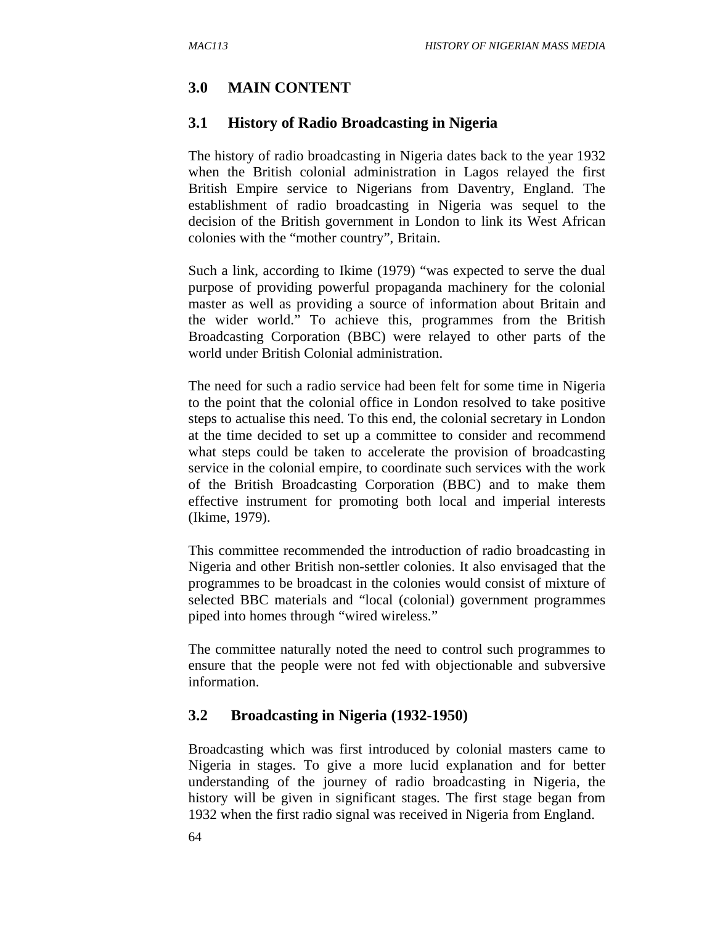### **3.0 MAIN CONTENT**

#### **3.1 History of Radio Broadcasting in Nigeria**

The history of radio broadcasting in Nigeria dates back to the year 1932 when the British colonial administration in Lagos relayed the first British Empire service to Nigerians from Daventry, England. The establishment of radio broadcasting in Nigeria was sequel to the decision of the British government in London to link its West African colonies with the "mother country", Britain.

Such a link, according to Ikime (1979) "was expected to serve the dual purpose of providing powerful propaganda machinery for the colonial master as well as providing a source of information about Britain and the wider world." To achieve this, programmes from the British Broadcasting Corporation (BBC) were relayed to other parts of the world under British Colonial administration.

The need for such a radio service had been felt for some time in Nigeria to the point that the colonial office in London resolved to take positive steps to actualise this need. To this end, the colonial secretary in London at the time decided to set up a committee to consider and recommend what steps could be taken to accelerate the provision of broadcasting service in the colonial empire, to coordinate such services with the work of the British Broadcasting Corporation (BBC) and to make them effective instrument for promoting both local and imperial interests (Ikime, 1979).

This committee recommended the introduction of radio broadcasting in Nigeria and other British non-settler colonies. It also envisaged that the programmes to be broadcast in the colonies would consist of mixture of selected BBC materials and "local (colonial) government programmes piped into homes through "wired wireless."

The committee naturally noted the need to control such programmes to ensure that the people were not fed with objectionable and subversive information.

#### **3.2 Broadcasting in Nigeria (1932-1950)**

Broadcasting which was first introduced by colonial masters came to Nigeria in stages. To give a more lucid explanation and for better understanding of the journey of radio broadcasting in Nigeria, the history will be given in significant stages. The first stage began from 1932 when the first radio signal was received in Nigeria from England.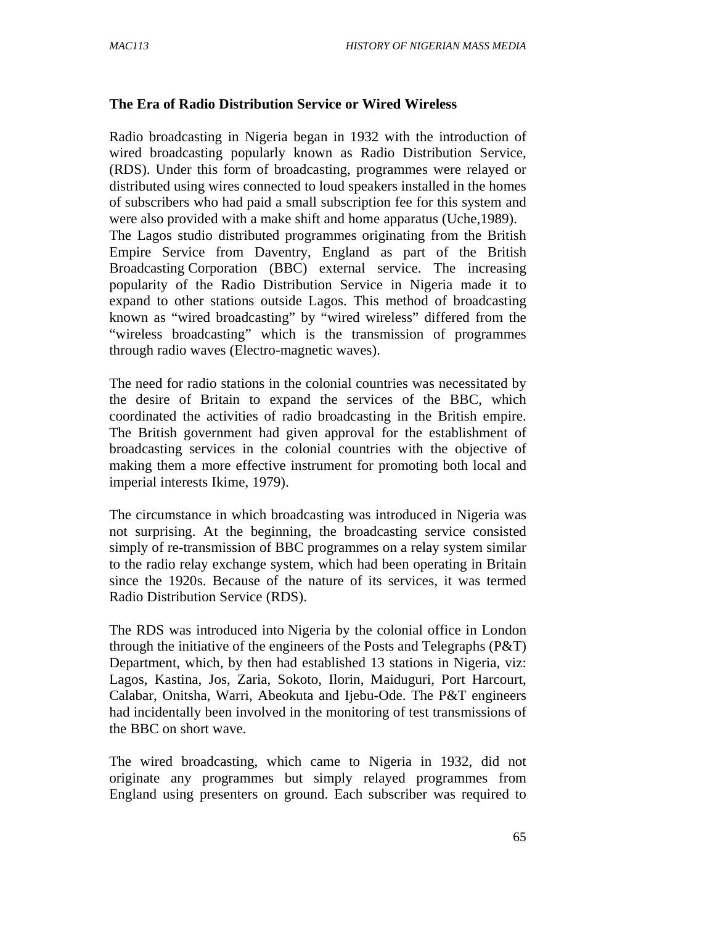#### **The Era of Radio Distribution Service or Wired Wireless**

Radio broadcasting in Nigeria began in 1932 with the introduction of wired broadcasting popularly known as Radio Distribution Service, (RDS). Under this form of broadcasting, programmes were relayed or distributed using wires connected to loud speakers installed in the homes of subscribers who had paid a small subscription fee for this system and were also provided with a make shift and home apparatus (Uche,1989). The Lagos studio distributed programmes originating from the British Empire Service from Daventry, England as part of the British Broadcasting Corporation (BBC) external service. The increasing popularity of the Radio Distribution Service in Nigeria made it to expand to other stations outside Lagos. This method of broadcasting known as "wired broadcasting" by "wired wireless" differed from the "wireless broadcasting" which is the transmission of programmes through radio waves (Electro-magnetic waves).

The need for radio stations in the colonial countries was necessitated by the desire of Britain to expand the services of the BBC, which coordinated the activities of radio broadcasting in the British empire. The British government had given approval for the establishment of broadcasting services in the colonial countries with the objective of making them a more effective instrument for promoting both local and imperial interests Ikime, 1979).

The circumstance in which broadcasting was introduced in Nigeria was not surprising. At the beginning, the broadcasting service consisted simply of re-transmission of BBC programmes on a relay system similar to the radio relay exchange system, which had been operating in Britain since the 1920s. Because of the nature of its services, it was termed Radio Distribution Service (RDS).

The RDS was introduced into Nigeria by the colonial office in London through the initiative of the engineers of the Posts and Telegraphs (P&T) Department, which, by then had established 13 stations in Nigeria, viz: Lagos, Kastina, Jos, Zaria, Sokoto, Ilorin, Maiduguri, Port Harcourt, Calabar, Onitsha, Warri, Abeokuta and Ijebu-Ode. The P&T engineers had incidentally been involved in the monitoring of test transmissions of the BBC on short wave.

The wired broadcasting, which came to Nigeria in 1932, did not originate any programmes but simply relayed programmes from England using presenters on ground. Each subscriber was required to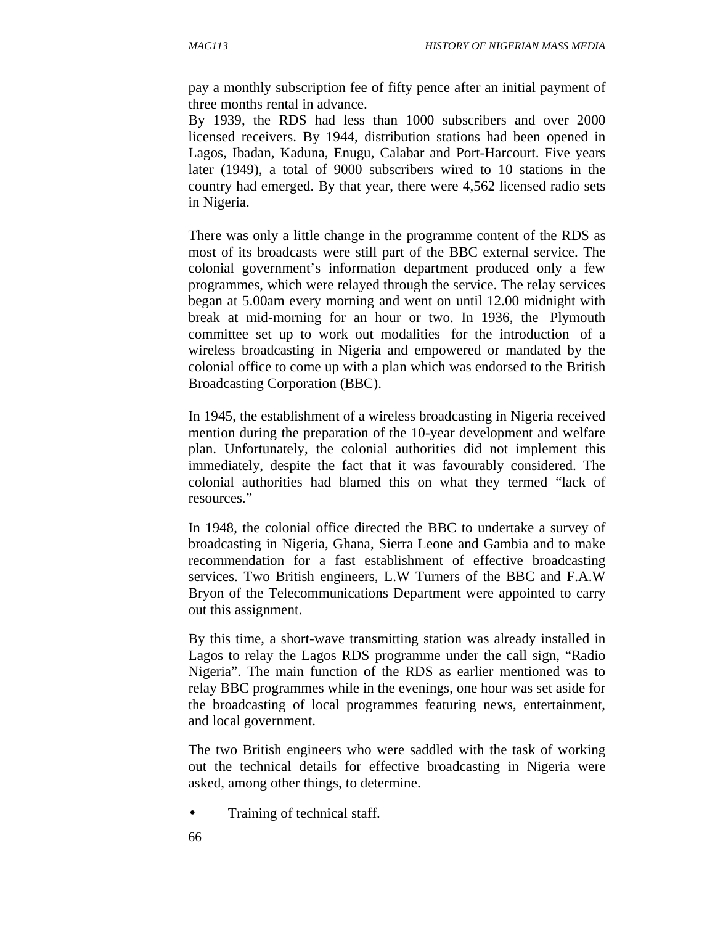pay a monthly subscription fee of fifty pence after an initial payment of three months rental in advance.

By 1939, the RDS had less than 1000 subscribers and over 2000 licensed receivers. By 1944, distribution stations had been opened in Lagos, Ibadan, Kaduna, Enugu, Calabar and Port-Harcourt. Five years later (1949), a total of 9000 subscribers wired to 10 stations in the country had emerged. By that year, there were 4,562 licensed radio sets in Nigeria.

There was only a little change in the programme content of the RDS as most of its broadcasts were still part of the BBC external service. The colonial government's information department produced only a few programmes, which were relayed through the service. The relay services began at 5.00am every morning and went on until 12.00 midnight with break at mid-morning for an hour or two. In 1936, the Plymouth committee set up to work out modalities for the introduction of a wireless broadcasting in Nigeria and empowered or mandated by the colonial office to come up with a plan which was endorsed to the British Broadcasting Corporation (BBC).

In 1945, the establishment of a wireless broadcasting in Nigeria received mention during the preparation of the 10-year development and welfare plan. Unfortunately, the colonial authorities did not implement this immediately, despite the fact that it was favourably considered. The colonial authorities had blamed this on what they termed "lack of resources."

In 1948, the colonial office directed the BBC to undertake a survey of broadcasting in Nigeria, Ghana, Sierra Leone and Gambia and to make recommendation for a fast establishment of effective broadcasting services. Two British engineers, L.W Turners of the BBC and F.A.W Bryon of the Telecommunications Department were appointed to carry out this assignment.

By this time, a short-wave transmitting station was already installed in Lagos to relay the Lagos RDS programme under the call sign, "Radio Nigeria". The main function of the RDS as earlier mentioned was to relay BBC programmes while in the evenings, one hour was set aside for the broadcasting of local programmes featuring news, entertainment, and local government.

The two British engineers who were saddled with the task of working out the technical details for effective broadcasting in Nigeria were asked, among other things, to determine.

- Training of technical staff.
- 66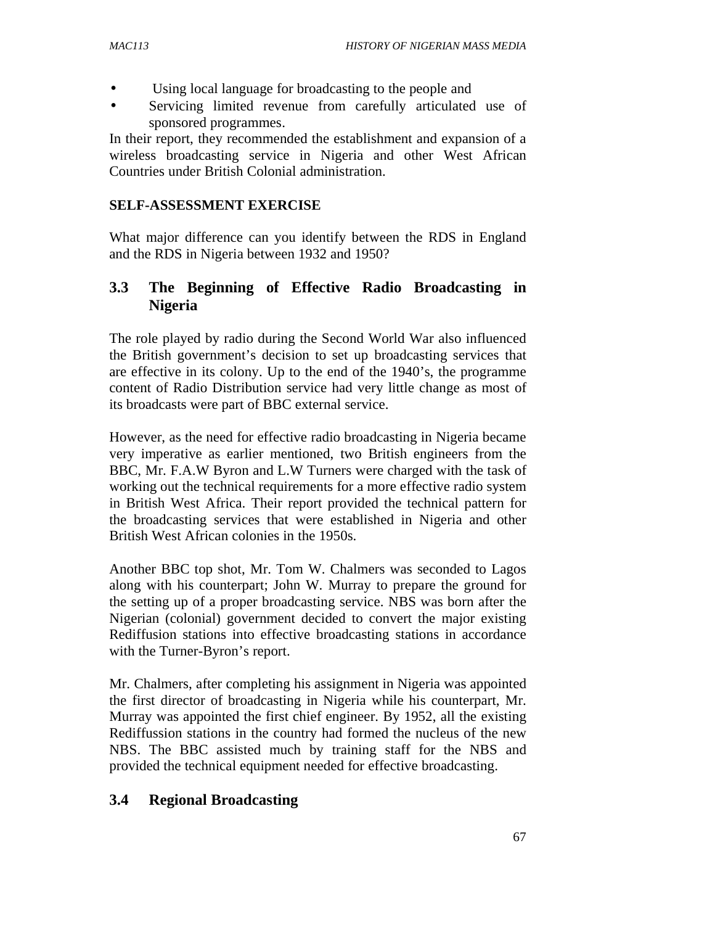- Using local language for broadcasting to the people and
- Servicing limited revenue from carefully articulated use of sponsored programmes.

In their report, they recommended the establishment and expansion of a wireless broadcasting service in Nigeria and other West African Countries under British Colonial administration.

#### **SELF-ASSESSMENT EXERCISE**

What major difference can you identify between the RDS in England and the RDS in Nigeria between 1932 and 1950?

### **3.3 The Beginning of Effective Radio Broadcasting in Nigeria**

The role played by radio during the Second World War also influenced the British government's decision to set up broadcasting services that are effective in its colony. Up to the end of the 1940's, the programme content of Radio Distribution service had very little change as most of its broadcasts were part of BBC external service.

However, as the need for effective radio broadcasting in Nigeria became very imperative as earlier mentioned, two British engineers from the BBC, Mr. F.A.W Byron and L.W Turners were charged with the task of working out the technical requirements for a more effective radio system in British West Africa. Their report provided the technical pattern for the broadcasting services that were established in Nigeria and other British West African colonies in the 1950s.

Another BBC top shot, Mr. Tom W. Chalmers was seconded to Lagos along with his counterpart; John W. Murray to prepare the ground for the setting up of a proper broadcasting service. NBS was born after the Nigerian (colonial) government decided to convert the major existing Rediffusion stations into effective broadcasting stations in accordance with the Turner-Byron's report.

Mr. Chalmers, after completing his assignment in Nigeria was appointed the first director of broadcasting in Nigeria while his counterpart, Mr. Murray was appointed the first chief engineer. By 1952, all the existing Rediffussion stations in the country had formed the nucleus of the new NBS. The BBC assisted much by training staff for the NBS and provided the technical equipment needed for effective broadcasting.

#### **3.4 Regional Broadcasting**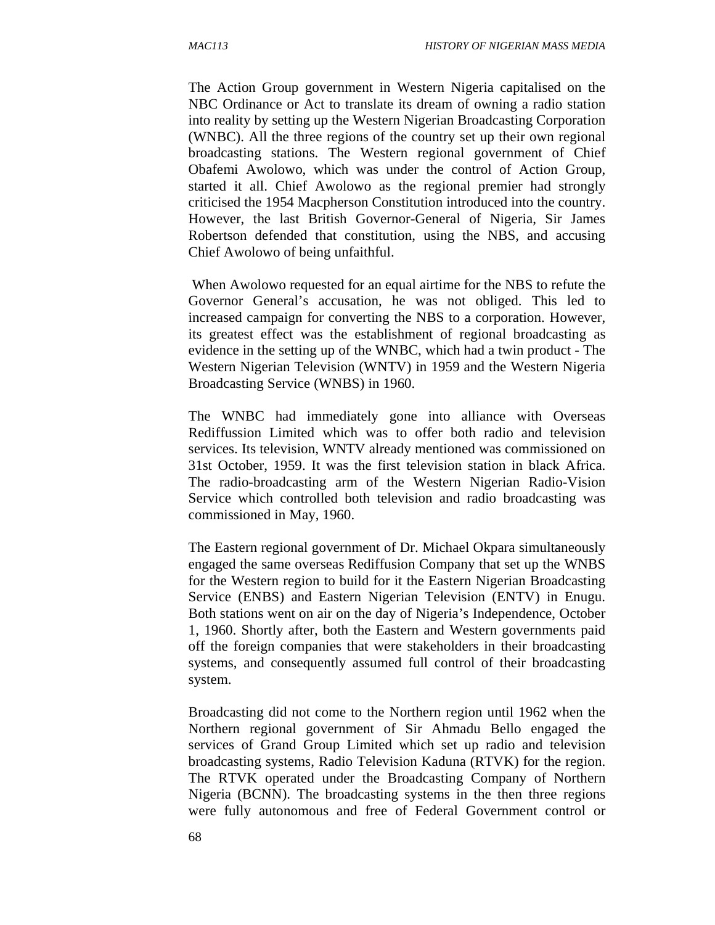The Action Group government in Western Nigeria capitalised on the NBC Ordinance or Act to translate its dream of owning a radio station into reality by setting up the Western Nigerian Broadcasting Corporation (WNBC). All the three regions of the country set up their own regional broadcasting stations. The Western regional government of Chief Obafemi Awolowo, which was under the control of Action Group, started it all. Chief Awolowo as the regional premier had strongly criticised the 1954 Macpherson Constitution introduced into the country. However, the last British Governor-General of Nigeria, Sir James Robertson defended that constitution, using the NBS, and accusing Chief Awolowo of being unfaithful.

 When Awolowo requested for an equal airtime for the NBS to refute the Governor General's accusation, he was not obliged. This led to increased campaign for converting the NBS to a corporation. However, its greatest effect was the establishment of regional broadcasting as evidence in the setting up of the WNBC, which had a twin product - The Western Nigerian Television (WNTV) in 1959 and the Western Nigeria Broadcasting Service (WNBS) in 1960.

The WNBC had immediately gone into alliance with Overseas Rediffussion Limited which was to offer both radio and television services. Its television, WNTV already mentioned was commissioned on 31st October, 1959. It was the first television station in black Africa. The radio-broadcasting arm of the Western Nigerian Radio-Vision Service which controlled both television and radio broadcasting was commissioned in May, 1960.

The Eastern regional government of Dr. Michael Okpara simultaneously engaged the same overseas Rediffusion Company that set up the WNBS for the Western region to build for it the Eastern Nigerian Broadcasting Service (ENBS) and Eastern Nigerian Television (ENTV) in Enugu. Both stations went on air on the day of Nigeria's Independence, October 1, 1960. Shortly after, both the Eastern and Western governments paid off the foreign companies that were stakeholders in their broadcasting systems, and consequently assumed full control of their broadcasting system.

Broadcasting did not come to the Northern region until 1962 when the Northern regional government of Sir Ahmadu Bello engaged the services of Grand Group Limited which set up radio and television broadcasting systems, Radio Television Kaduna (RTVK) for the region. The RTVK operated under the Broadcasting Company of Northern Nigeria (BCNN). The broadcasting systems in the then three regions were fully autonomous and free of Federal Government control or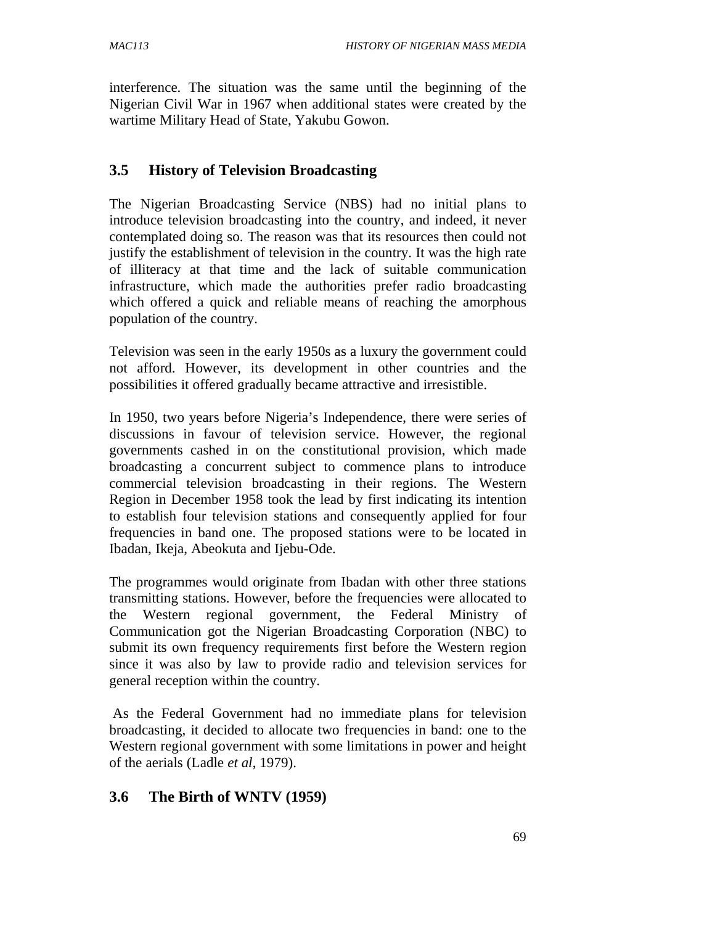interference. The situation was the same until the beginning of the Nigerian Civil War in 1967 when additional states were created by the wartime Military Head of State, Yakubu Gowon.

#### **3.5 History of Television Broadcasting**

The Nigerian Broadcasting Service (NBS) had no initial plans to introduce television broadcasting into the country, and indeed, it never contemplated doing so. The reason was that its resources then could not justify the establishment of television in the country. It was the high rate of illiteracy at that time and the lack of suitable communication infrastructure, which made the authorities prefer radio broadcasting which offered a quick and reliable means of reaching the amorphous population of the country.

Television was seen in the early 1950s as a luxury the government could not afford. However, its development in other countries and the possibilities it offered gradually became attractive and irresistible.

In 1950, two years before Nigeria's Independence, there were series of discussions in favour of television service. However, the regional governments cashed in on the constitutional provision, which made broadcasting a concurrent subject to commence plans to introduce commercial television broadcasting in their regions. The Western Region in December 1958 took the lead by first indicating its intention to establish four television stations and consequently applied for four frequencies in band one. The proposed stations were to be located in Ibadan, Ikeja, Abeokuta and Ijebu-Ode.

The programmes would originate from Ibadan with other three stations transmitting stations. However, before the frequencies were allocated to the Western regional government, the Federal Ministry of Communication got the Nigerian Broadcasting Corporation (NBC) to submit its own frequency requirements first before the Western region since it was also by law to provide radio and television services for general reception within the country.

 As the Federal Government had no immediate plans for television broadcasting, it decided to allocate two frequencies in band: one to the Western regional government with some limitations in power and height of the aerials (Ladle *et al*, 1979).

### **3.6 The Birth of WNTV (1959)**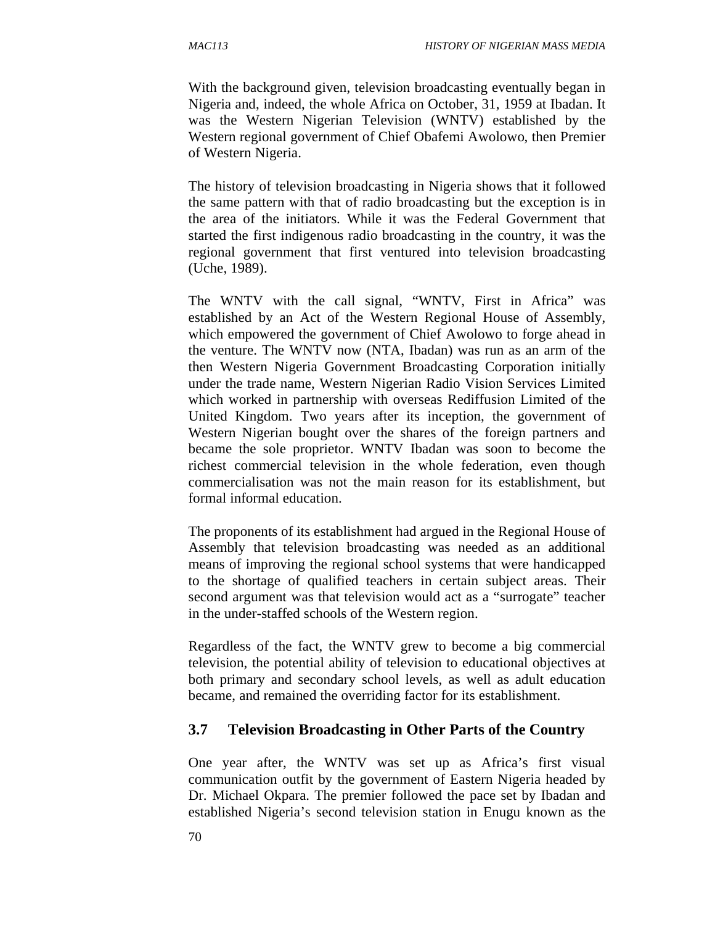With the background given, television broadcasting eventually began in Nigeria and, indeed, the whole Africa on October, 31, 1959 at Ibadan. It was the Western Nigerian Television (WNTV) established by the Western regional government of Chief Obafemi Awolowo, then Premier of Western Nigeria.

The history of television broadcasting in Nigeria shows that it followed the same pattern with that of radio broadcasting but the exception is in the area of the initiators. While it was the Federal Government that started the first indigenous radio broadcasting in the country, it was the regional government that first ventured into television broadcasting (Uche, 1989).

The WNTV with the call signal, "WNTV, First in Africa" was established by an Act of the Western Regional House of Assembly, which empowered the government of Chief Awolowo to forge ahead in the venture. The WNTV now (NTA, Ibadan) was run as an arm of the then Western Nigeria Government Broadcasting Corporation initially under the trade name, Western Nigerian Radio Vision Services Limited which worked in partnership with overseas Rediffusion Limited of the United Kingdom. Two years after its inception, the government of Western Nigerian bought over the shares of the foreign partners and became the sole proprietor. WNTV Ibadan was soon to become the richest commercial television in the whole federation, even though commercialisation was not the main reason for its establishment, but formal informal education.

The proponents of its establishment had argued in the Regional House of Assembly that television broadcasting was needed as an additional means of improving the regional school systems that were handicapped to the shortage of qualified teachers in certain subject areas. Their second argument was that television would act as a "surrogate" teacher in the under-staffed schools of the Western region.

Regardless of the fact, the WNTV grew to become a big commercial television, the potential ability of television to educational objectives at both primary and secondary school levels, as well as adult education became, and remained the overriding factor for its establishment.

#### **3.7 Television Broadcasting in Other Parts of the Country**

One year after, the WNTV was set up as Africa's first visual communication outfit by the government of Eastern Nigeria headed by Dr. Michael Okpara. The premier followed the pace set by Ibadan and established Nigeria's second television station in Enugu known as the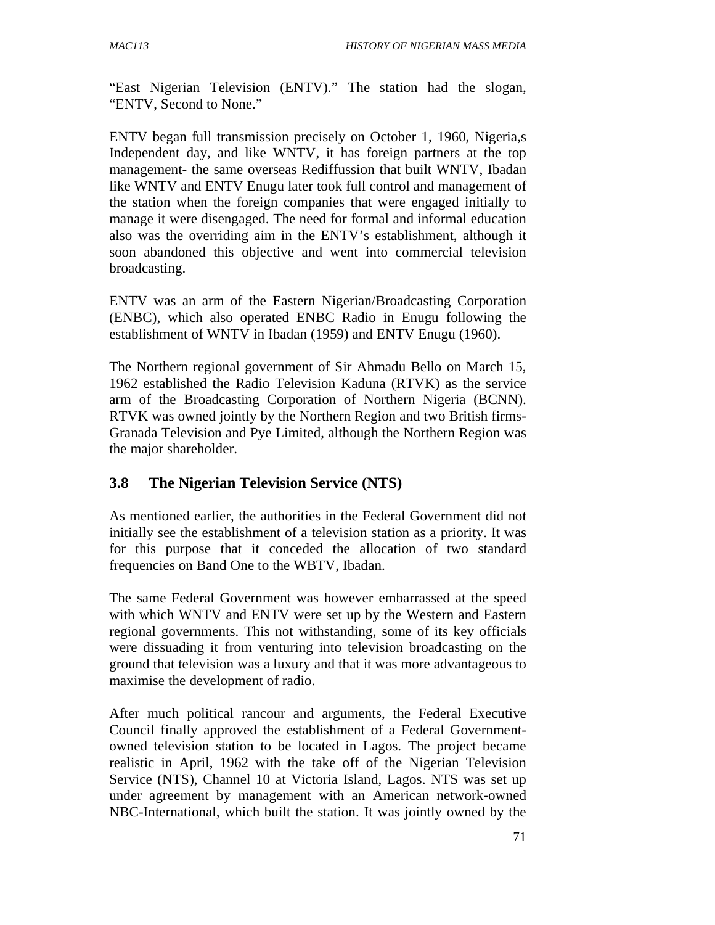"East Nigerian Television (ENTV)." The station had the slogan, "ENTV, Second to None."

ENTV began full transmission precisely on October 1, 1960, Nigeria,s Independent day, and like WNTV, it has foreign partners at the top management- the same overseas Rediffussion that built WNTV, Ibadan like WNTV and ENTV Enugu later took full control and management of the station when the foreign companies that were engaged initially to manage it were disengaged. The need for formal and informal education also was the overriding aim in the ENTV's establishment, although it soon abandoned this objective and went into commercial television broadcasting.

ENTV was an arm of the Eastern Nigerian/Broadcasting Corporation (ENBC), which also operated ENBC Radio in Enugu following the establishment of WNTV in Ibadan (1959) and ENTV Enugu (1960).

The Northern regional government of Sir Ahmadu Bello on March 15, 1962 established the Radio Television Kaduna (RTVK) as the service arm of the Broadcasting Corporation of Northern Nigeria (BCNN). RTVK was owned jointly by the Northern Region and two British firms-Granada Television and Pye Limited, although the Northern Region was the major shareholder.

### **3.8 The Nigerian Television Service (NTS)**

As mentioned earlier, the authorities in the Federal Government did not initially see the establishment of a television station as a priority. It was for this purpose that it conceded the allocation of two standard frequencies on Band One to the WBTV, Ibadan.

The same Federal Government was however embarrassed at the speed with which WNTV and ENTV were set up by the Western and Eastern regional governments. This not withstanding, some of its key officials were dissuading it from venturing into television broadcasting on the ground that television was a luxury and that it was more advantageous to maximise the development of radio.

After much political rancour and arguments, the Federal Executive Council finally approved the establishment of a Federal Governmentowned television station to be located in Lagos. The project became realistic in April, 1962 with the take off of the Nigerian Television Service (NTS), Channel 10 at Victoria Island, Lagos. NTS was set up under agreement by management with an American network-owned NBC-International, which built the station. It was jointly owned by the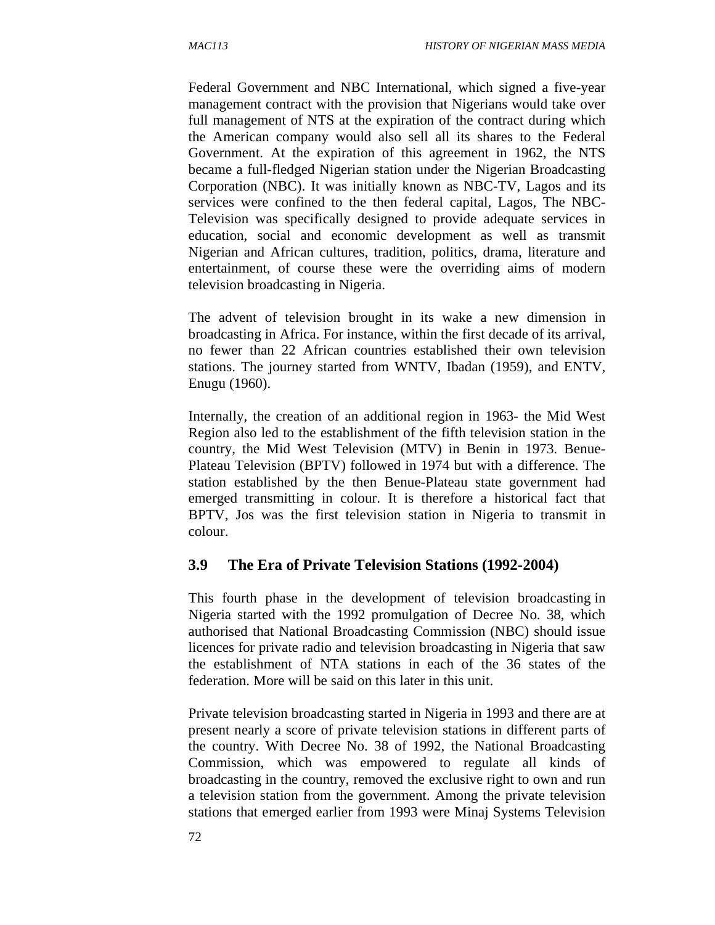Federal Government and NBC International, which signed a five-year management contract with the provision that Nigerians would take over full management of NTS at the expiration of the contract during which the American company would also sell all its shares to the Federal Government. At the expiration of this agreement in 1962, the NTS became a full-fledged Nigerian station under the Nigerian Broadcasting Corporation (NBC). It was initially known as NBC-TV, Lagos and its services were confined to the then federal capital, Lagos, The NBC-Television was specifically designed to provide adequate services in education, social and economic development as well as transmit Nigerian and African cultures, tradition, politics, drama, literature and entertainment, of course these were the overriding aims of modern television broadcasting in Nigeria.

The advent of television brought in its wake a new dimension in broadcasting in Africa. For instance, within the first decade of its arrival, no fewer than 22 African countries established their own television stations. The journey started from WNTV, Ibadan (1959), and ENTV, Enugu (1960).

Internally, the creation of an additional region in 1963- the Mid West Region also led to the establishment of the fifth television station in the country, the Mid West Television (MTV) in Benin in 1973. Benue-Plateau Television (BPTV) followed in 1974 but with a difference. The station established by the then Benue-Plateau state government had emerged transmitting in colour. It is therefore a historical fact that BPTV, Jos was the first television station in Nigeria to transmit in colour.

#### **3.9 The Era of Private Television Stations (1992-2004)**

This fourth phase in the development of television broadcasting in Nigeria started with the 1992 promulgation of Decree No. 38, which authorised that National Broadcasting Commission (NBC) should issue licences for private radio and television broadcasting in Nigeria that saw the establishment of NTA stations in each of the 36 states of the federation. More will be said on this later in this unit.

Private television broadcasting started in Nigeria in 1993 and there are at present nearly a score of private television stations in different parts of the country. With Decree No. 38 of 1992, the National Broadcasting Commission, which was empowered to regulate all kinds of broadcasting in the country, removed the exclusive right to own and run a television station from the government. Among the private television stations that emerged earlier from 1993 were Minaj Systems Television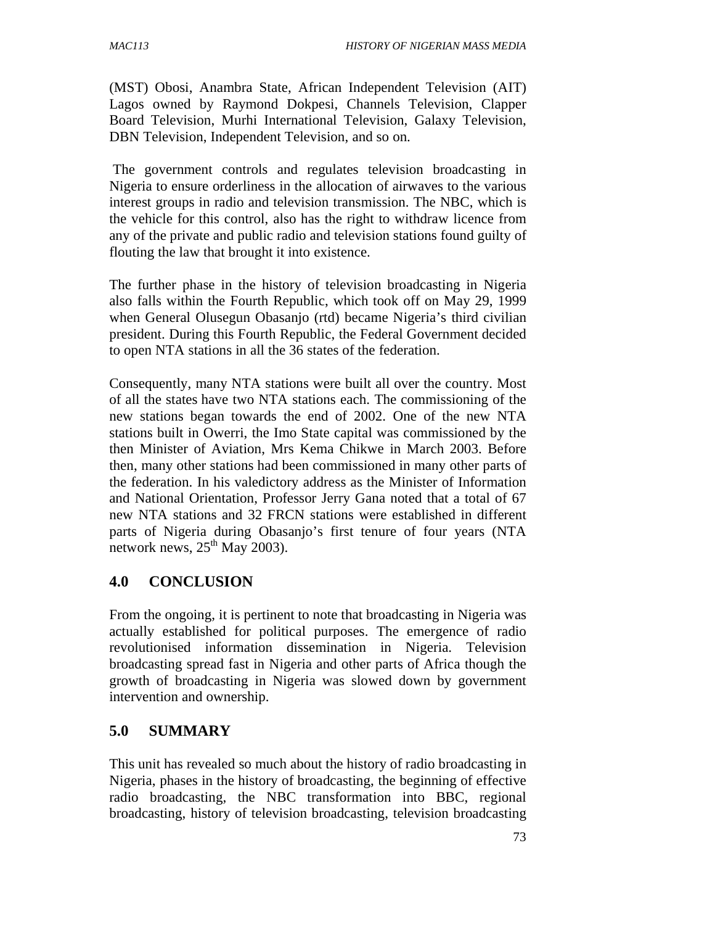(MST) Obosi, Anambra State, African Independent Television (AIT) Lagos owned by Raymond Dokpesi, Channels Television, Clapper Board Television, Murhi International Television, Galaxy Television, DBN Television, Independent Television, and so on.

 The government controls and regulates television broadcasting in Nigeria to ensure orderliness in the allocation of airwaves to the various interest groups in radio and television transmission. The NBC, which is the vehicle for this control, also has the right to withdraw licence from any of the private and public radio and television stations found guilty of flouting the law that brought it into existence.

The further phase in the history of television broadcasting in Nigeria also falls within the Fourth Republic, which took off on May 29, 1999 when General Olusegun Obasanjo (rtd) became Nigeria's third civilian president. During this Fourth Republic, the Federal Government decided to open NTA stations in all the 36 states of the federation.

Consequently, many NTA stations were built all over the country. Most of all the states have two NTA stations each. The commissioning of the new stations began towards the end of 2002. One of the new NTA stations built in Owerri, the Imo State capital was commissioned by the then Minister of Aviation, Mrs Kema Chikwe in March 2003. Before then, many other stations had been commissioned in many other parts of the federation. In his valedictory address as the Minister of Information and National Orientation, Professor Jerry Gana noted that a total of 67 new NTA stations and 32 FRCN stations were established in different parts of Nigeria during Obasanjo's first tenure of four years (NTA network news,  $25<sup>th</sup>$  May 2003).

#### **4.0 CONCLUSION**

From the ongoing, it is pertinent to note that broadcasting in Nigeria was actually established for political purposes. The emergence of radio revolutionised information dissemination in Nigeria. Television broadcasting spread fast in Nigeria and other parts of Africa though the growth of broadcasting in Nigeria was slowed down by government intervention and ownership.

#### **5.0 SUMMARY**

This unit has revealed so much about the history of radio broadcasting in Nigeria, phases in the history of broadcasting, the beginning of effective radio broadcasting, the NBC transformation into BBC, regional broadcasting, history of television broadcasting, television broadcasting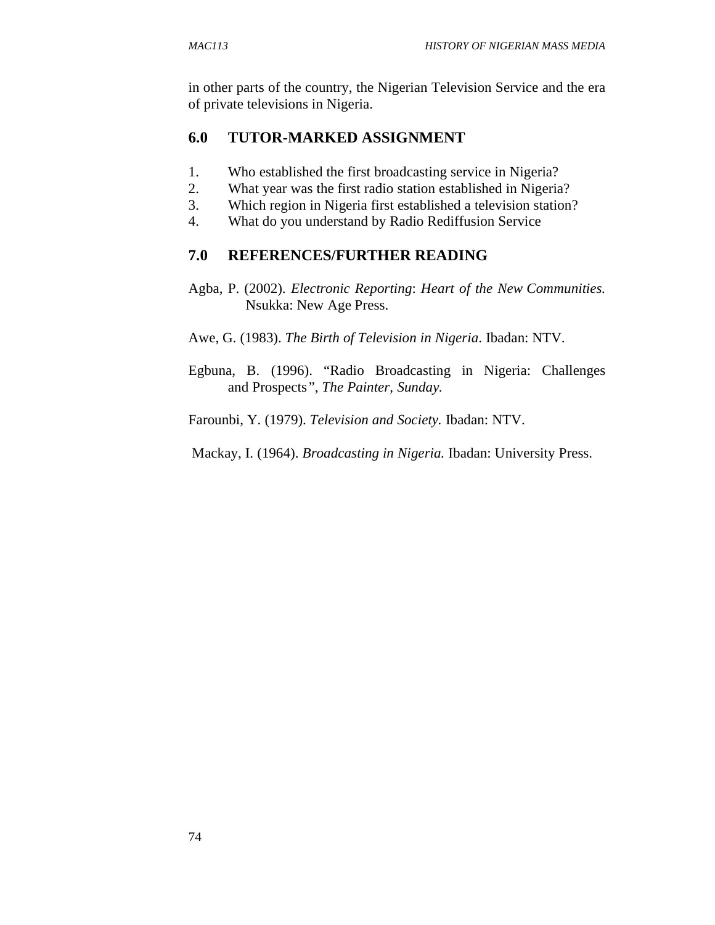in other parts of the country, the Nigerian Television Service and the era of private televisions in Nigeria.

## **6.0 TUTOR-MARKED ASSIGNMENT**

- 1. Who established the first broadcasting service in Nigeria?
- 2. What year was the first radio station established in Nigeria?
- 3. Which region in Nigeria first established a television station?
- 4. What do you understand by Radio Rediffusion Service

#### **7.0 REFERENCES/FURTHER READING**

- Agba, P. (2002). *Electronic Reporting*: *Heart of the New Communities.*  **Nsukka: New Age Press.**
- Awe, G. (1983). *The Birth of Television in Nigeria*. Ibadan: NTV.
- Egbuna, B. (1996). "Radio Broadcasting in Nigeria: Challenges and Prospects*"*, *The Painter, Sunday.*

Farounbi, Y. (1979). *Television and Society.* Ibadan: NTV.

Mackay, I. (1964). *Broadcasting in Nigeria.* Ibadan: University Press.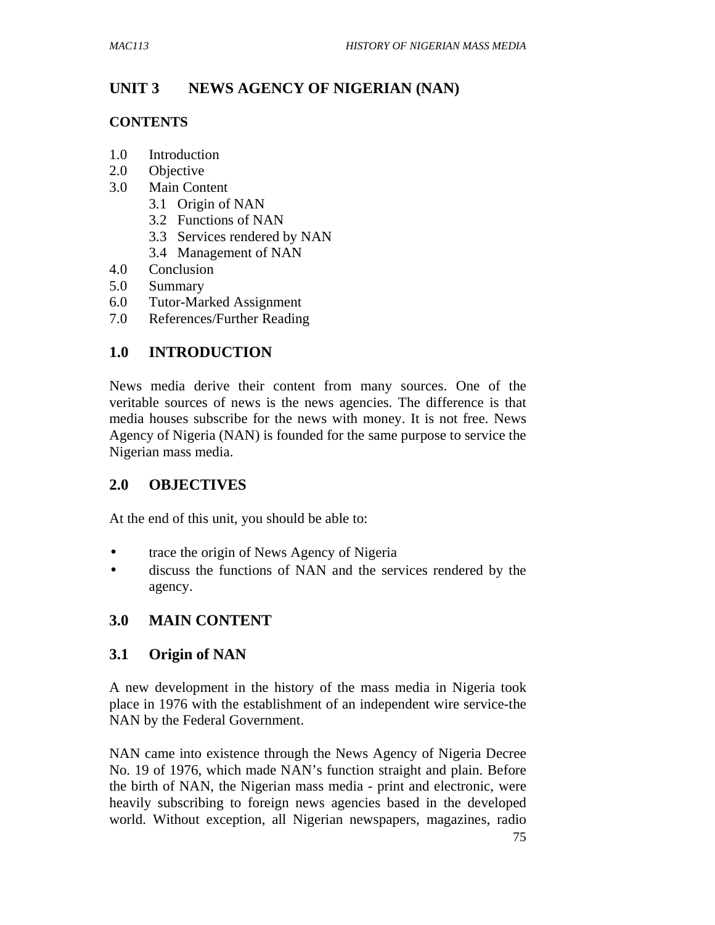# **UNIT 3 NEWS AGENCY OF NIGERIAN (NAN)**

#### **CONTENTS**

- 1.0 Introduction
- 2.0 Objective
- 3.0 Main Content
	- 3.1 Origin of NAN
	- 3.2 Functions of NAN
	- 3.3 Services rendered by NAN
	- 3.4 Management of NAN
- 4.0 Conclusion
- 5.0 Summary
- 6.0 Tutor-Marked Assignment
- 7.0 References/Further Reading

## **1.0 INTRODUCTION**

News media derive their content from many sources. One of the veritable sources of news is the news agencies. The difference is that media houses subscribe for the news with money. It is not free. News Agency of Nigeria (NAN) is founded for the same purpose to service the Nigerian mass media.

### **2.0 OBJECTIVES**

At the end of this unit, you should be able to:

- trace the origin of News Agency of Nigeria
- discuss the functions of NAN and the services rendered by the agency.

### **3.0 MAIN CONTENT**

### **3.1 Origin of NAN**

A new development in the history of the mass media in Nigeria took place in 1976 with the establishment of an independent wire service-the NAN by the Federal Government.

NAN came into existence through the News Agency of Nigeria Decree No. 19 of 1976, which made NAN's function straight and plain. Before the birth of NAN, the Nigerian mass media - print and electronic, were heavily subscribing to foreign news agencies based in the developed world. Without exception, all Nigerian newspapers, magazines, radio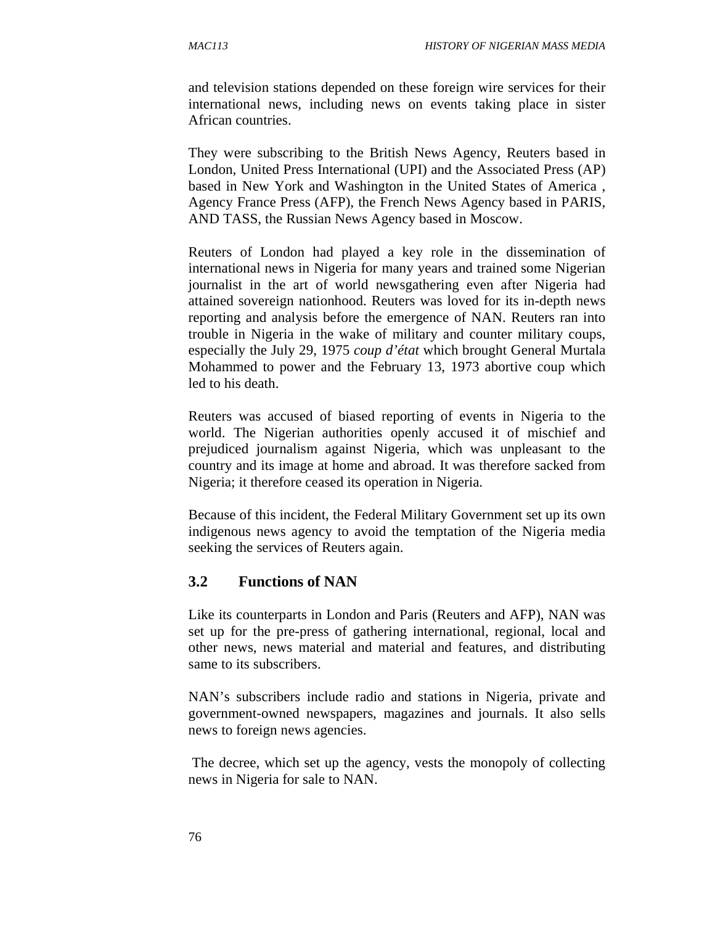and television stations depended on these foreign wire services for their international news, including news on events taking place in sister African countries.

They were subscribing to the British News Agency, Reuters based in London, United Press International (UPI) and the Associated Press (AP) based in New York and Washington in the United States of America , Agency France Press (AFP), the French News Agency based in PARIS, AND TASS, the Russian News Agency based in Moscow.

Reuters of London had played a key role in the dissemination of international news in Nigeria for many years and trained some Nigerian journalist in the art of world newsgathering even after Nigeria had attained sovereign nationhood. Reuters was loved for its in-depth news reporting and analysis before the emergence of NAN. Reuters ran into trouble in Nigeria in the wake of military and counter military coups, especially the July 29, 1975 *coup d'état* which brought General Murtala Mohammed to power and the February 13, 1973 abortive coup which led to his death.

Reuters was accused of biased reporting of events in Nigeria to the world. The Nigerian authorities openly accused it of mischief and prejudiced journalism against Nigeria, which was unpleasant to the country and its image at home and abroad. It was therefore sacked from Nigeria; it therefore ceased its operation in Nigeria.

Because of this incident, the Federal Military Government set up its own indigenous news agency to avoid the temptation of the Nigeria media seeking the services of Reuters again.

#### **3.2 Functions of NAN**

Like its counterparts in London and Paris (Reuters and AFP), NAN was set up for the pre-press of gathering international, regional, local and other news, news material and material and features, and distributing same to its subscribers.

NAN's subscribers include radio and stations in Nigeria, private and government-owned newspapers, magazines and journals. It also sells news to foreign news agencies.

 The decree, which set up the agency, vests the monopoly of collecting news in Nigeria for sale to NAN.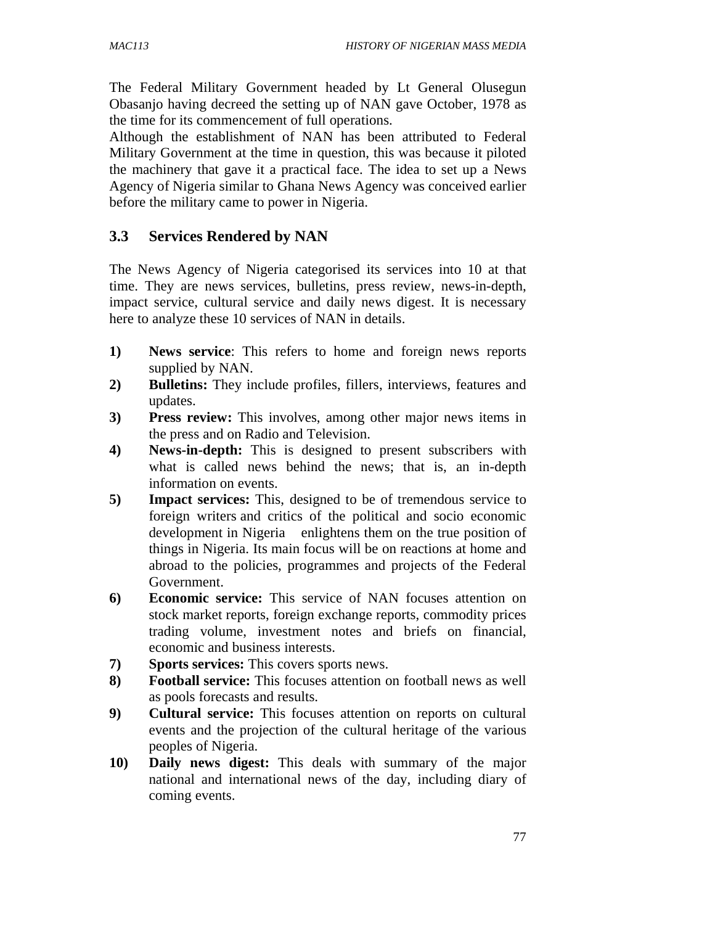The Federal Military Government headed by Lt General Olusegun Obasanjo having decreed the setting up of NAN gave October, 1978 as the time for its commencement of full operations.

Although the establishment of NAN has been attributed to Federal Military Government at the time in question, this was because it piloted the machinery that gave it a practical face. The idea to set up a News Agency of Nigeria similar to Ghana News Agency was conceived earlier before the military came to power in Nigeria.

#### **3.3 Services Rendered by NAN**

The News Agency of Nigeria categorised its services into 10 at that time. They are news services, bulletins, press review, news-in-depth, impact service, cultural service and daily news digest. It is necessary here to analyze these 10 services of NAN in details.

- **1) News service**: This refers to home and foreign news reports supplied by NAN.
- **2) Bulletins:** They include profiles, fillers, interviews, features and updates.
- **3) Press review:** This involves, among other major news items in the press and on Radio and Television.
- **4) News-in-depth:** This is designed to present subscribers with what is called news behind the news; that is, an in-depth information on events.
- **5) Impact services:** This, designed to be of tremendous service to foreign writers and critics of the political and socio economic development in Nigeria enlightens them on the true position of things in Nigeria. Its main focus will be on reactions at home and abroad to the policies, programmes and projects of the Federal Government.
- **6) Economic service:** This service of NAN focuses attention on stock market reports, foreign exchange reports, commodity prices trading volume, investment notes and briefs on financial, economic and business interests.
- **7) Sports services:** This covers sports news.
- **8) Football service:** This focuses attention on football news as well as pools forecasts and results.
- **9) Cultural service:** This focuses attention on reports on cultural events and the projection of the cultural heritage of the various peoples of Nigeria.
- **10) Daily news digest:** This deals with summary of the major national and international news of the day, including diary of coming events.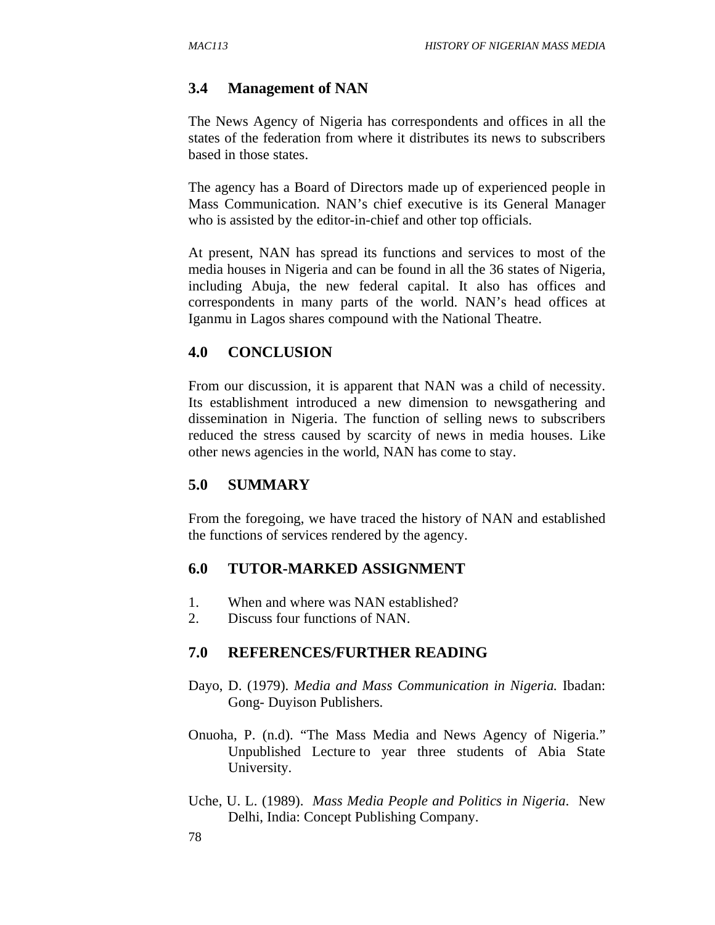### **3.4 Management of NAN**

The News Agency of Nigeria has correspondents and offices in all the states of the federation from where it distributes its news to subscribers based in those states.

The agency has a Board of Directors made up of experienced people in Mass Communication. NAN's chief executive is its General Manager who is assisted by the editor-in-chief and other top officials.

At present, NAN has spread its functions and services to most of the media houses in Nigeria and can be found in all the 36 states of Nigeria, including Abuja, the new federal capital. It also has offices and correspondents in many parts of the world. NAN's head offices at Iganmu in Lagos shares compound with the National Theatre.

## **4.0 CONCLUSION**

From our discussion, it is apparent that NAN was a child of necessity. Its establishment introduced a new dimension to newsgathering and dissemination in Nigeria. The function of selling news to subscribers reduced the stress caused by scarcity of news in media houses. Like other news agencies in the world, NAN has come to stay.

### **5.0 SUMMARY**

From the foregoing, we have traced the history of NAN and established the functions of services rendered by the agency.

# **6.0 TUTOR-MARKED ASSIGNMENT**

- 1. When and where was NAN established?
- 2. Discuss four functions of NAN.

### **7.0 REFERENCES/FURTHER READING**

- Dayo, D. (1979). *Media and Mass Communication in Nigeria.* Ibadan: Gong- Duyison Publishers.
- Onuoha, P. (n.d). "The Mass Media and News Agency of Nigeria." Unpublished Lecture to year three students of Abia State University.
- Uche, U. L. (1989). *Mass Media People and Politics in Nigeria*. New Delhi, India: Concept Publishing Company.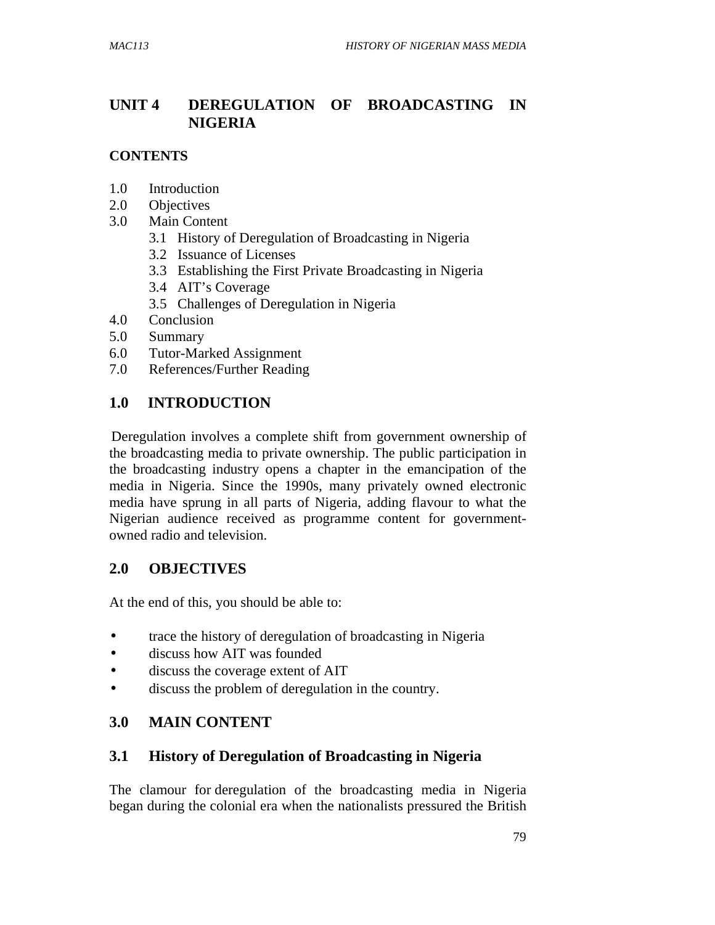# **UNIT 4 DEREGULATION OF BROADCASTING IN NIGERIA**

#### **CONTENTS**

- 1.0 Introduction
- 2.0 Objectives
- 3.0 Main Content
	- 3.1 History of Deregulation of Broadcasting in Nigeria
	- 3.2 Issuance of Licenses
	- 3.3 Establishing the First Private Broadcasting in Nigeria
	- 3.4 AIT's Coverage
	- 3.5 Challenges of Deregulation in Nigeria
- 4.0 Conclusion
- 5.0 Summary
- 6.0 Tutor-Marked Assignment
- 7.0 References/Further Reading

## **1.0 INTRODUCTION**

Deregulation involves a complete shift from government ownership of the broadcasting media to private ownership. The public participation in the broadcasting industry opens a chapter in the emancipation of the media in Nigeria. Since the 1990s, many privately owned electronic media have sprung in all parts of Nigeria, adding flavour to what the Nigerian audience received as programme content for governmentowned radio and television.

# **2.0 OBJECTIVES**

At the end of this, you should be able to:

- trace the history of deregulation of broadcasting in Nigeria
- discuss how AIT was founded
- discuss the coverage extent of AIT
- discuss the problem of deregulation in the country.

### **3.0 MAIN CONTENT**

### **3.1 History of Deregulation of Broadcasting in Nigeria**

The clamour for deregulation of the broadcasting media in Nigeria began during the colonial era when the nationalists pressured the British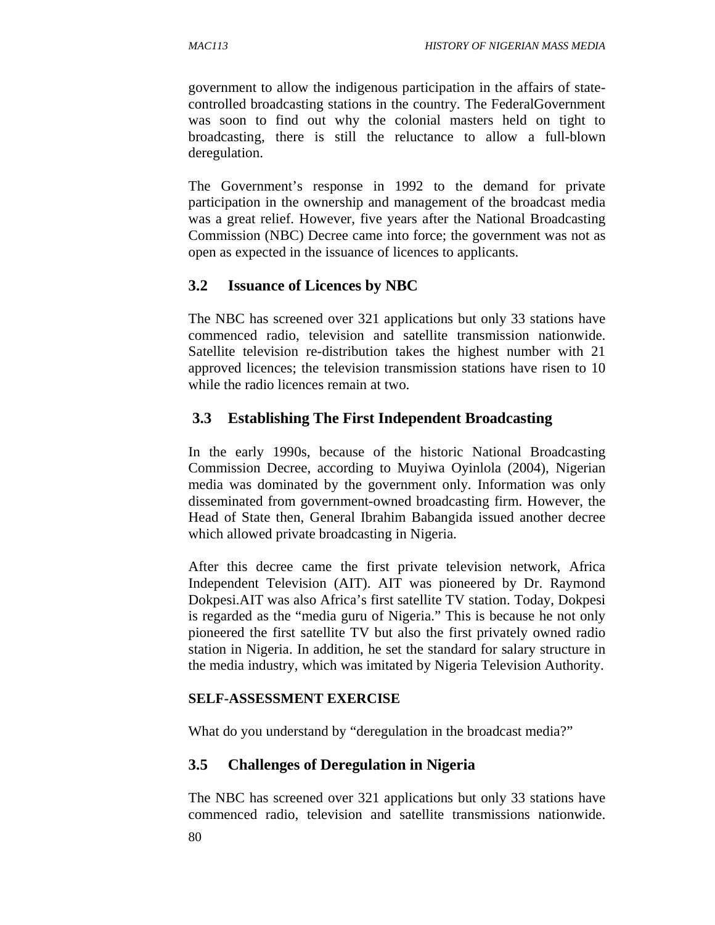government to allow the indigenous participation in the affairs of statecontrolled broadcasting stations in the country. The FederalGovernment was soon to find out why the colonial masters held on tight to broadcasting, there is still the reluctance to allow a full-blown deregulation.

The Government's response in 1992 to the demand for private participation in the ownership and management of the broadcast media was a great relief. However, five years after the National Broadcasting Commission (NBC) Decree came into force; the government was not as open as expected in the issuance of licences to applicants.

### **3.2 Issuance of Licences by NBC**

The NBC has screened over 321 applications but only 33 stations have commenced radio, television and satellite transmission nationwide. Satellite television re-distribution takes the highest number with 21 approved licences; the television transmission stations have risen to 10 while the radio licences remain at two.

## **3.3 Establishing The First Independent Broadcasting**

In the early 1990s, because of the historic National Broadcasting Commission Decree, according to Muyiwa Oyinlola (2004), Nigerian media was dominated by the government only. Information was only disseminated from government-owned broadcasting firm. However, the Head of State then, General Ibrahim Babangida issued another decree which allowed private broadcasting in Nigeria.

After this decree came the first private television network, Africa Independent Television (AIT). AIT was pioneered by Dr. Raymond Dokpesi.AIT was also Africa's first satellite TV station. Today, Dokpesi is regarded as the "media guru of Nigeria." This is because he not only pioneered the first satellite TV but also the first privately owned radio station in Nigeria. In addition, he set the standard for salary structure in the media industry, which was imitated by Nigeria Television Authority.

#### **SELF-ASSESSMENT EXERCISE**

What do you understand by "deregulation in the broadcast media?"

### **3.5 Challenges of Deregulation in Nigeria**

The NBC has screened over 321 applications but only 33 stations have commenced radio, television and satellite transmissions nationwide.